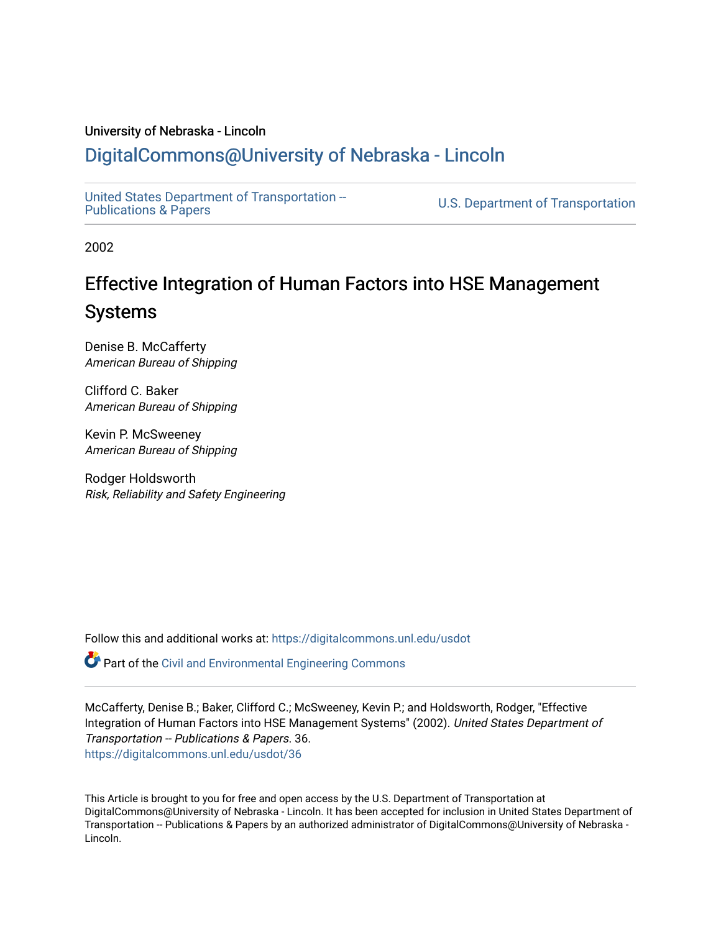#### University of Nebraska - Lincoln

## [DigitalCommons@University of Nebraska - Lincoln](https://digitalcommons.unl.edu/)

[United States Department of Transportation --](https://digitalcommons.unl.edu/usdot)<br>Publications & Papers

U.S. Department of Transportation

2002

## Effective Integration of Human Factors into HSE Management Systems

Denise B. McCafferty American Bureau of Shipping

Clifford C. Baker American Bureau of Shipping

Kevin P. McSweeney American Bureau of Shipping

Rodger Holdsworth Risk, Reliability and Safety Engineering

Follow this and additional works at: [https://digitalcommons.unl.edu/usdot](https://digitalcommons.unl.edu/usdot?utm_source=digitalcommons.unl.edu%2Fusdot%2F36&utm_medium=PDF&utm_campaign=PDFCoverPages) 

Part of the [Civil and Environmental Engineering Commons](http://network.bepress.com/hgg/discipline/251?utm_source=digitalcommons.unl.edu%2Fusdot%2F36&utm_medium=PDF&utm_campaign=PDFCoverPages)

McCafferty, Denise B.; Baker, Clifford C.; McSweeney, Kevin P.; and Holdsworth, Rodger, "Effective Integration of Human Factors into HSE Management Systems" (2002). United States Department of Transportation -- Publications & Papers. 36. [https://digitalcommons.unl.edu/usdot/36](https://digitalcommons.unl.edu/usdot/36?utm_source=digitalcommons.unl.edu%2Fusdot%2F36&utm_medium=PDF&utm_campaign=PDFCoverPages)

This Article is brought to you for free and open access by the U.S. Department of Transportation at DigitalCommons@University of Nebraska - Lincoln. It has been accepted for inclusion in United States Department of Transportation -- Publications & Papers by an authorized administrator of DigitalCommons@University of Nebraska -Lincoln.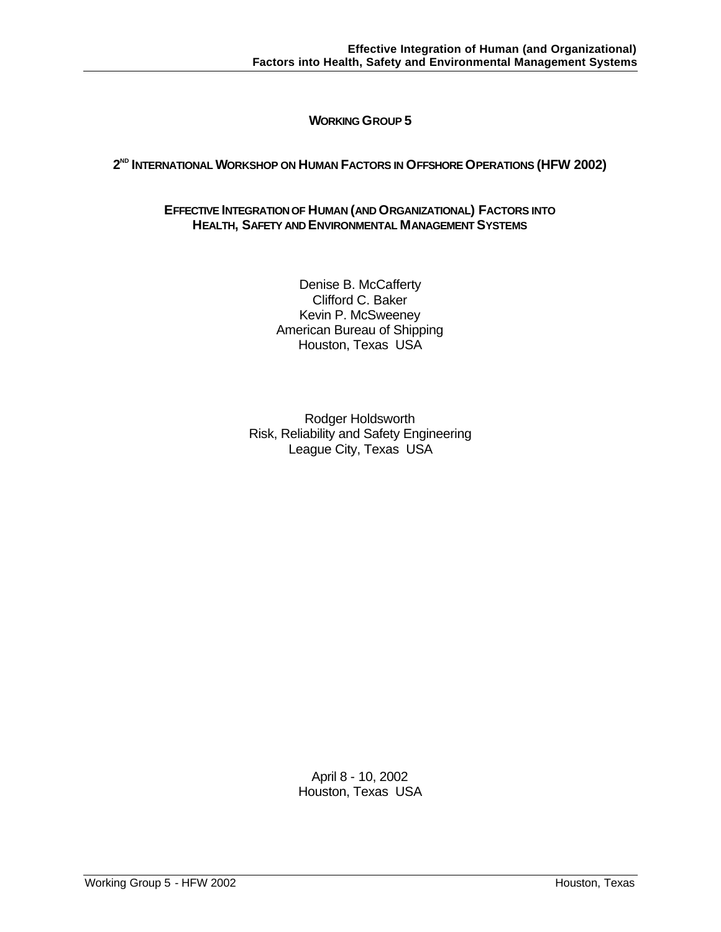## **WORKING GROUP 5**

## **2 ND INTERNATIONAL WORKSHOP ON HUMAN FACTORS IN OFFSHORE OPERATIONS (HFW 2002)**

#### **EFFECTIVE INTEGRATION OF HUMAN (AND ORGANIZATIONAL) FACTORS INTO HEALTH, SAFETY AND ENVIRONMENTAL MANAGEMENT SYSTEMS**

Denise B. McCafferty Clifford C. Baker Kevin P. McSweeney American Bureau of Shipping Houston, Texas USA

Rodger Holdsworth Risk, Reliability and Safety Engineering League City, Texas USA

> April 8 - 10, 2002 Houston, Texas USA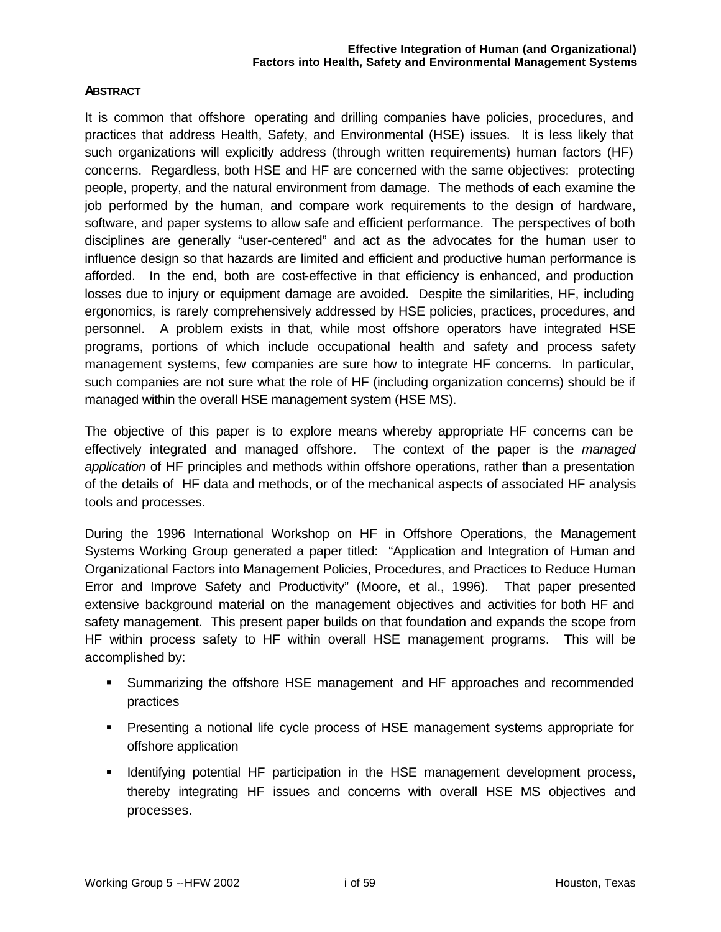## **ABSTRACT**

It is common that offshore operating and drilling companies have policies, procedures, and practices that address Health, Safety, and Environmental (HSE) issues. It is less likely that such organizations will explicitly address (through written requirements) human factors (HF) concerns. Regardless, both HSE and HF are concerned with the same objectives: protecting people, property, and the natural environment from damage. The methods of each examine the job performed by the human, and compare work requirements to the design of hardware, software, and paper systems to allow safe and efficient performance. The perspectives of both disciplines are generally "user-centered" and act as the advocates for the human user to influence design so that hazards are limited and efficient and productive human performance is afforded. In the end, both are cost-effective in that efficiency is enhanced, and production losses due to injury or equipment damage are avoided. Despite the similarities, HF, including ergonomics, is rarely comprehensively addressed by HSE policies, practices, procedures, and personnel. A problem exists in that, while most offshore operators have integrated HSE programs, portions of which include occupational health and safety and process safety management systems, few companies are sure how to integrate HF concerns. In particular, such companies are not sure what the role of HF (including organization concerns) should be if managed within the overall HSE management system (HSE MS).

The objective of this paper is to explore means whereby appropriate HF concerns can be effectively integrated and managed offshore. The context of the paper is the *managed application* of HF principles and methods within offshore operations, rather than a presentation of the details of HF data and methods, or of the mechanical aspects of associated HF analysis tools and processes.

During the 1996 International Workshop on HF in Offshore Operations, the Management Systems Working Group generated a paper titled: "Application and Integration of Human and Organizational Factors into Management Policies, Procedures, and Practices to Reduce Human Error and Improve Safety and Productivity" (Moore, et al., 1996). That paper presented extensive background material on the management objectives and activities for both HF and safety management. This present paper builds on that foundation and expands the scope from HF within process safety to HF within overall HSE management programs. This will be accomplished by:

- ß Summarizing the offshore HSE management and HF approaches and recommended practices
- **Presenting a notional life cycle process of HSE management systems appropriate for** offshore application
- **IDENTIFY IDENTIFY IDENTIFY** Identifying potential HF participation in the HSE management development process, thereby integrating HF issues and concerns with overall HSE MS objectives and processes.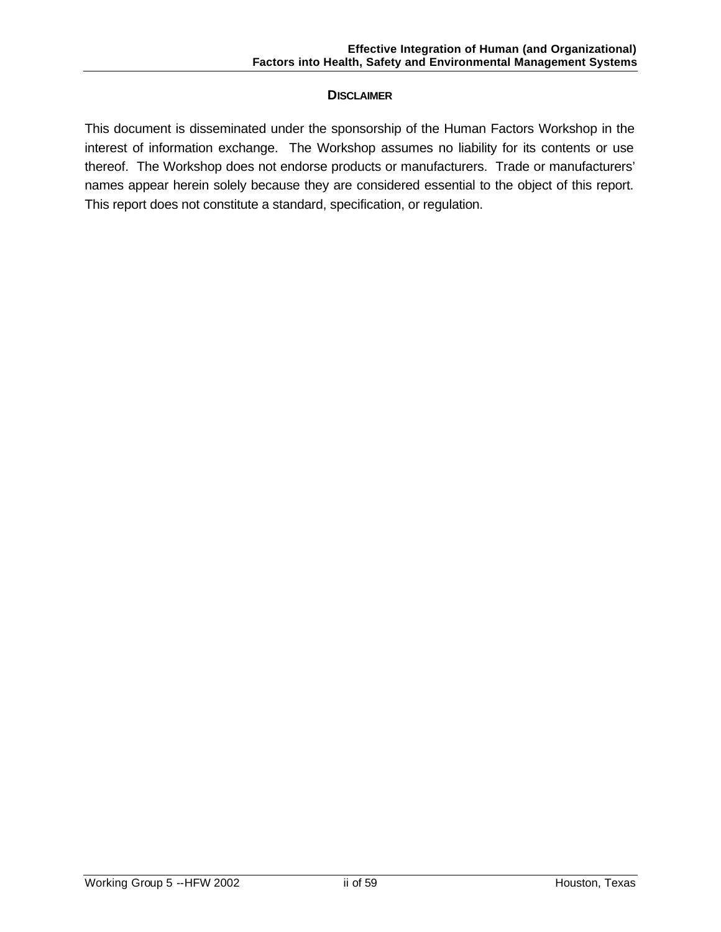## **DISCLAIMER**

This document is disseminated under the sponsorship of the Human Factors Workshop in the interest of information exchange. The Workshop assumes no liability for its contents or use thereof. The Workshop does not endorse products or manufacturers. Trade or manufacturers' names appear herein solely because they are considered essential to the object of this report. This report does not constitute a standard, specification, or regulation.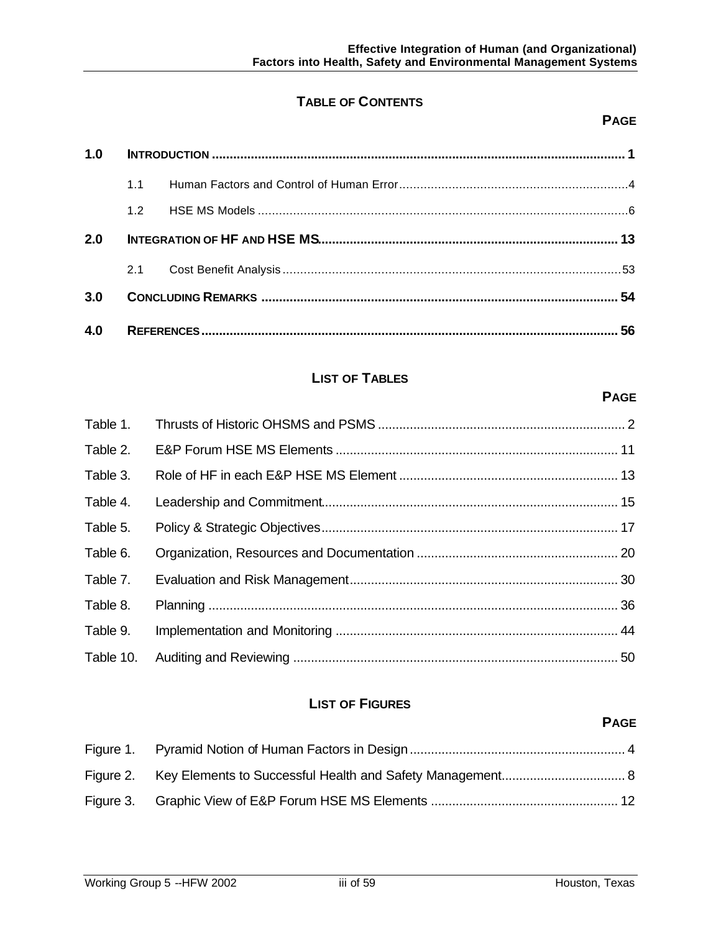## **TABLE OF CONTENTS**

## **PAGE**

**PAGE**

| 1.0 |     |  |  |
|-----|-----|--|--|
|     | 1.1 |  |  |
|     | 12  |  |  |
| 2.0 |     |  |  |
|     | 2.1 |  |  |
| 3.0 |     |  |  |
| 4.0 |     |  |  |

## **LIST OF TABLES**

# Table 1. Thrusts of Historic OHSMS and PSMS ...................................................................... 2 Table 2. E&P Forum HSE MS Elements ................................................................................ 11 Table 3. Role of HF in each E&P HSE MS Element .............................................................. 13 Table 4. Leadership and Commitment.................................................................................... 15 Table 5. Policy & Strategic Objectives.................................................................................... 17 Table 6. Organization, Resources and Documentation ......................................................... 20 Table 7. Evaluation and Risk Management............................................................................ 30 Table 8. Planning .................................................................................................................... 36 Table 9. Implementation and Monitoring ................................................................................ 44 Table 10. Auditing and Reviewing ............................................................................................ 50

## **LIST OF FIGURES**

## **PAGE**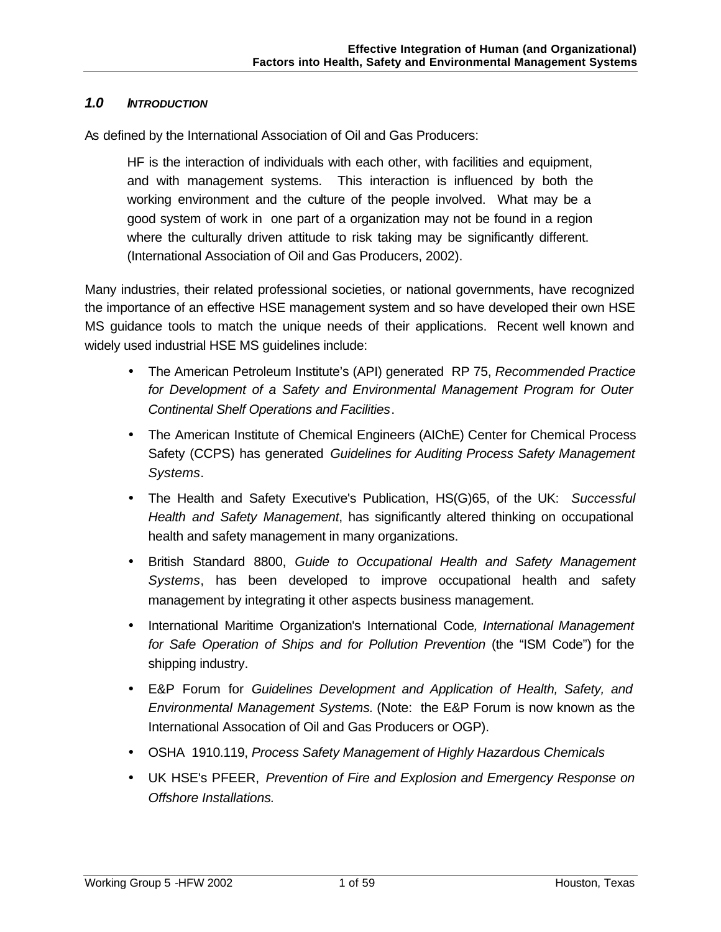## *1.0 INTRODUCTION*

As defined by the International Association of Oil and Gas Producers:

HF is the interaction of individuals with each other, with facilities and equipment, and with management systems. This interaction is influenced by both the working environment and the culture of the people involved. What may be a good system of work in one part of a organization may not be found in a region where the culturally driven attitude to risk taking may be significantly different. (International Association of Oil and Gas Producers, 2002).

Many industries, their related professional societies, or national governments, have recognized the importance of an effective HSE management system and so have developed their own HSE MS guidance tools to match the unique needs of their applications. Recent well known and widely used industrial HSE MS guidelines include:

- The American Petroleum Institute's (API) generated RP 75, *Recommended Practice for Development of a Safety and Environmental Management Program for Outer Continental Shelf Operations and Facilities*.
- The American Institute of Chemical Engineers (AIChE) Center for Chemical Process Safety (CCPS) has generated *Guidelines for Auditing Process Safety Management Systems*.
- The Health and Safety Executive's Publication, HS(G)65, of the UK: *Successful Health and Safety Management*, has significantly altered thinking on occupational health and safety management in many organizations.
- British Standard 8800, *Guide to Occupational Health and Safety Management Systems*, has been developed to improve occupational health and safety management by integrating it other aspects business management.
- International Maritime Organization's International Code*, International Management for Safe Operation of Ships and for Pollution Prevention* (the "ISM Code") for the shipping industry.
- E&P Forum for *Guidelines Development and Application of Health, Safety, and Environmental Management Systems.* (Note: the E&P Forum is now known as the International Assocation of Oil and Gas Producers or OGP).
- OSHA 1910.119, *Process Safety Management of Highly Hazardous Chemicals*
- UK HSE's PFEER, *Prevention of Fire and Explosion and Emergency Response on Offshore Installations.*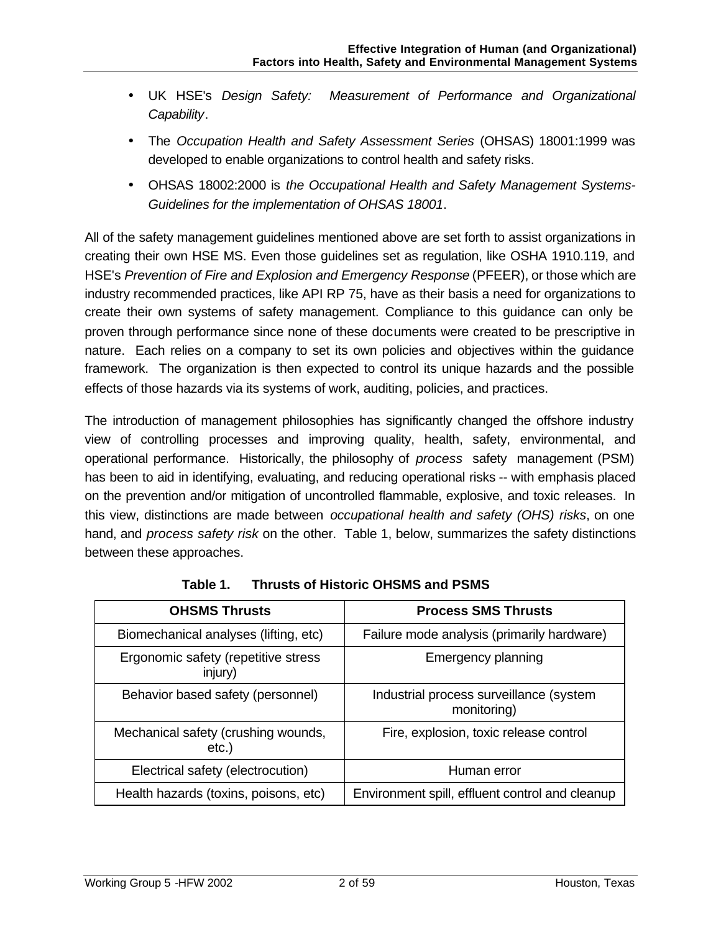- UK HSE's *Design Safety: Measurement of Performance and Organizational Capability*.
- The *Occupation Health and Safety Assessment Series* (OHSAS) 18001:1999 was developed to enable organizations to control health and safety risks.
- OHSAS 18002:2000 is *the Occupational Health and Safety Management Systems-Guidelines for the implementation of OHSAS 18001*.

All of the safety management guidelines mentioned above are set forth to assist organizations in creating their own HSE MS. Even those guidelines set as regulation, like OSHA 1910.119, and HSE's *Prevention of Fire and Explosion and Emergency Response* (PFEER), or those which are industry recommended practices, like API RP 75, have as their basis a need for organizations to create their own systems of safety management. Compliance to this guidance can only be proven through performance since none of these documents were created to be prescriptive in nature. Each relies on a company to set its own policies and objectives within the guidance framework. The organization is then expected to control its unique hazards and the possible effects of those hazards via its systems of work, auditing, policies, and practices.

The introduction of management philosophies has significantly changed the offshore industry view of controlling processes and improving quality, health, safety, environmental, and operational performance. Historically, the philosophy of *process* safety management (PSM) has been to aid in identifying, evaluating, and reducing operational risks -- with emphasis placed on the prevention and/or mitigation of uncontrolled flammable, explosive, and toxic releases. In this view, distinctions are made between *occupational health and safety (OHS) risks*, on one hand, and *process safety risk* on the other. Table 1, below, summarizes the safety distinctions between these approaches.

| <b>OHSMS Thrusts</b>                           | <b>Process SMS Thrusts</b>                             |
|------------------------------------------------|--------------------------------------------------------|
| Biomechanical analyses (lifting, etc)          | Failure mode analysis (primarily hardware)             |
| Ergonomic safety (repetitive stress<br>injury) | Emergency planning                                     |
| Behavior based safety (personnel)              | Industrial process surveillance (system<br>monitoring) |
| Mechanical safety (crushing wounds,<br>etc.)   | Fire, explosion, toxic release control                 |
| Electrical safety (electrocution)              | Human error                                            |
| Health hazards (toxins, poisons, etc)          | Environment spill, effluent control and cleanup        |

**Table 1. Thrusts of Historic OHSMS and PSMS**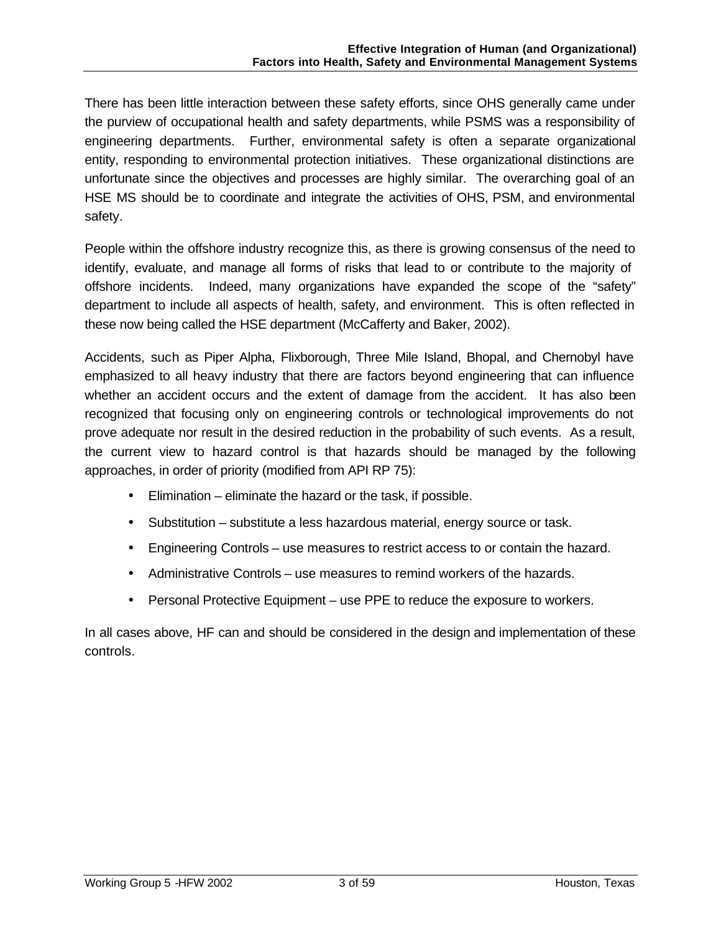There has been little interaction between these safety efforts, since OHS generally came under the purview of occupational health and safety departments, while PSMS was a responsibility of engineering departments. Further, environmental safety is often a separate organizational entity, responding to environmental protection initiatives. These organizational distinctions are unfortunate since the objectives and processes are highly similar. The overarching goal of an HSE MS should be to coordinate and integrate the activities of OHS, PSM, and environmental safety.

People within the offshore industry recognize this, as there is growing consensus of the need to identify, evaluate, and manage all forms of risks that lead to or contribute to the majority of offshore incidents. Indeed, many organizations have expanded the scope of the "safety" department to include all aspects of health, safety, and environment. This is often reflected in these now being called the HSE department (McCafferty and Baker, 2002).

Accidents, such as Piper Alpha, Flixborough, Three Mile Island, Bhopal, and Chernobyl have emphasized to all heavy industry that there are factors beyond engineering that can influence whether an accident occurs and the extent of damage from the accident. It has also been recognized that focusing only on engineering controls or technological improvements do not prove adequate nor result in the desired reduction in the probability of such events. As a result, the current view to hazard control is that hazards should be managed by the following approaches, in order of priority (modified from API RP 75):

- Elimination eliminate the hazard or the task, if possible.
- Substitution substitute a less hazardous material, energy source or task.
- Engineering Controls use measures to restrict access to or contain the hazard.
- Administrative Controls use measures to remind workers of the hazards.
- Personal Protective Equipment use PPE to reduce the exposure to workers.

In all cases above, HF can and should be considered in the design and implementation of these controls.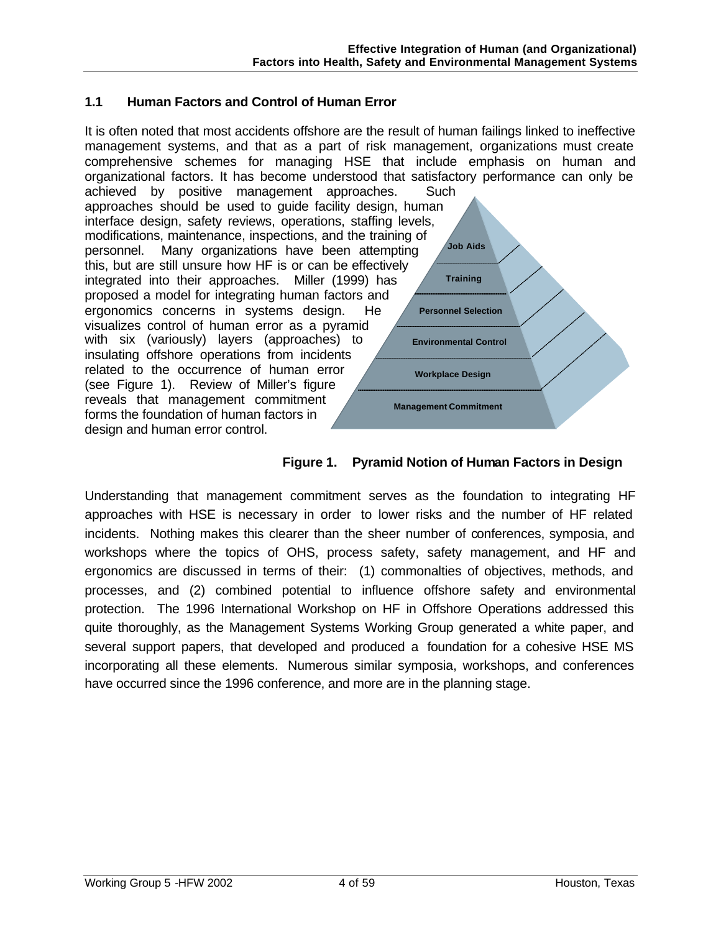## **1.1 Human Factors and Control of Human Error**

**Personnel Selection Environmental Control Workplace Design Management Commitment Training Job Aids** It is often noted that most accidents offshore are the result of human failings linked to ineffective management systems, and that as a part of risk management, organizations must create comprehensive schemes for managing HSE that include emphasis on human and organizational factors. It has become understood that satisfactory performance can only be achieved by positive management approaches. Such approaches should be used to guide facility design, human interface design, safety reviews, operations, staffing levels, modifications, maintenance, inspections, and the training of personnel. Many organizations have been attempting this, but are still unsure how HF is or can be effectively integrated into their approaches. Miller (1999) has proposed a model for integrating human factors and ergonomics concerns in systems design. He visualizes control of human error as a pyramid with six (variously) layers (approaches) to insulating offshore operations from incidents related to the occurrence of human error (see Figure 1). Review of Miller's figure reveals that management commitment forms the foundation of human factors in design and human error control.



Understanding that management commitment serves as the foundation to integrating HF approaches with HSE is necessary in order to lower risks and the number of HF related incidents. Nothing makes this clearer than the sheer number of conferences, symposia, and workshops where the topics of OHS, process safety, safety management, and HF and ergonomics are discussed in terms of their: (1) commonalties of objectives, methods, and processes, and (2) combined potential to influence offshore safety and environmental protection. The 1996 International Workshop on HF in Offshore Operations addressed this quite thoroughly, as the Management Systems Working Group generated a white paper, and several support papers, that developed and produced a foundation for a cohesive HSE MS incorporating all these elements. Numerous similar symposia, workshops, and conferences have occurred since the 1996 conference, and more are in the planning stage.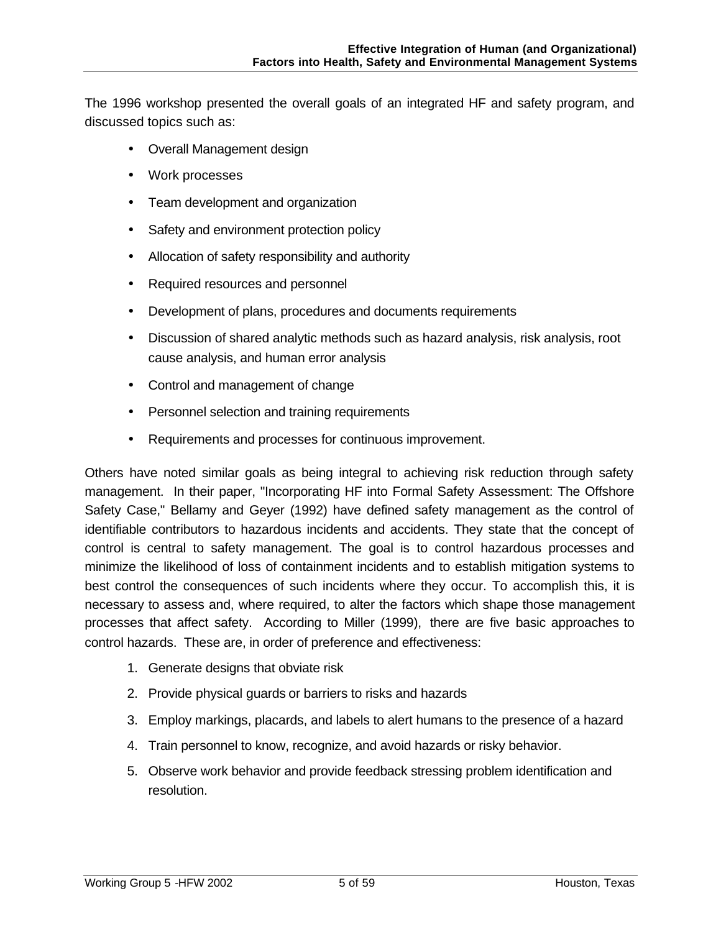The 1996 workshop presented the overall goals of an integrated HF and safety program, and discussed topics such as:

- Overall Management design
- Work processes
- Team development and organization
- Safety and environment protection policy
- Allocation of safety responsibility and authority
- Required resources and personnel
- Development of plans, procedures and documents requirements
- Discussion of shared analytic methods such as hazard analysis, risk analysis, root cause analysis, and human error analysis
- Control and management of change
- Personnel selection and training requirements
- Requirements and processes for continuous improvement.

Others have noted similar goals as being integral to achieving risk reduction through safety management. In their paper, "Incorporating HF into Formal Safety Assessment: The Offshore Safety Case," Bellamy and Geyer (1992) have defined safety management as the control of identifiable contributors to hazardous incidents and accidents. They state that the concept of control is central to safety management. The goal is to control hazardous processes and minimize the likelihood of loss of containment incidents and to establish mitigation systems to best control the consequences of such incidents where they occur. To accomplish this, it is necessary to assess and, where required, to alter the factors which shape those management processes that affect safety. According to Miller (1999), there are five basic approaches to control hazards. These are, in order of preference and effectiveness:

- 1. Generate designs that obviate risk
- 2. Provide physical guards or barriers to risks and hazards
- 3. Employ markings, placards, and labels to alert humans to the presence of a hazard
- 4. Train personnel to know, recognize, and avoid hazards or risky behavior.
- 5. Observe work behavior and provide feedback stressing problem identification and resolution.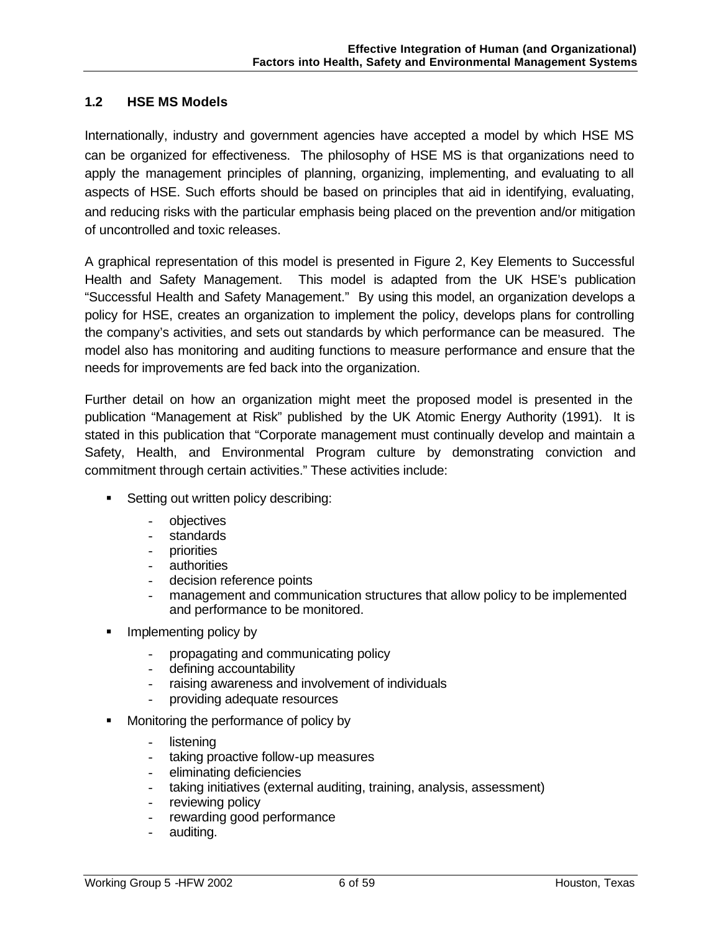## **1.2 HSE MS Models**

Internationally, industry and government agencies have accepted a model by which HSE MS can be organized for effectiveness. The philosophy of HSE MS is that organizations need to apply the management principles of planning, organizing, implementing, and evaluating to all aspects of HSE. Such efforts should be based on principles that aid in identifying, evaluating, and reducing risks with the particular emphasis being placed on the prevention and/or mitigation of uncontrolled and toxic releases.

A graphical representation of this model is presented in Figure 2, Key Elements to Successful Health and Safety Management. This model is adapted from the UK HSE's publication "Successful Health and Safety Management." By using this model, an organization develops a policy for HSE, creates an organization to implement the policy, develops plans for controlling the company's activities, and sets out standards by which performance can be measured. The model also has monitoring and auditing functions to measure performance and ensure that the needs for improvements are fed back into the organization.

Further detail on how an organization might meet the proposed model is presented in the publication "Management at Risk" published by the UK Atomic Energy Authority (1991). It is stated in this publication that "Corporate management must continually develop and maintain a Safety, Health, and Environmental Program culture by demonstrating conviction and commitment through certain activities." These activities include:

- **Setting out written policy describing:** 
	- objectives
	- standards
	- priorities
	- authorities
	- decision reference points
	- management and communication structures that allow policy to be implemented and performance to be monitored.
- **Implementing policy by** 
	- propagating and communicating policy
	- defining accountability
	- raising awareness and involvement of individuals
	- providing adequate resources
- ß Monitoring the performance of policy by
	- listening
	- taking proactive follow-up measures
	- eliminating deficiencies
	- taking initiatives (external auditing, training, analysis, assessment)
	- reviewing policy
	- rewarding good performance
	- auditing.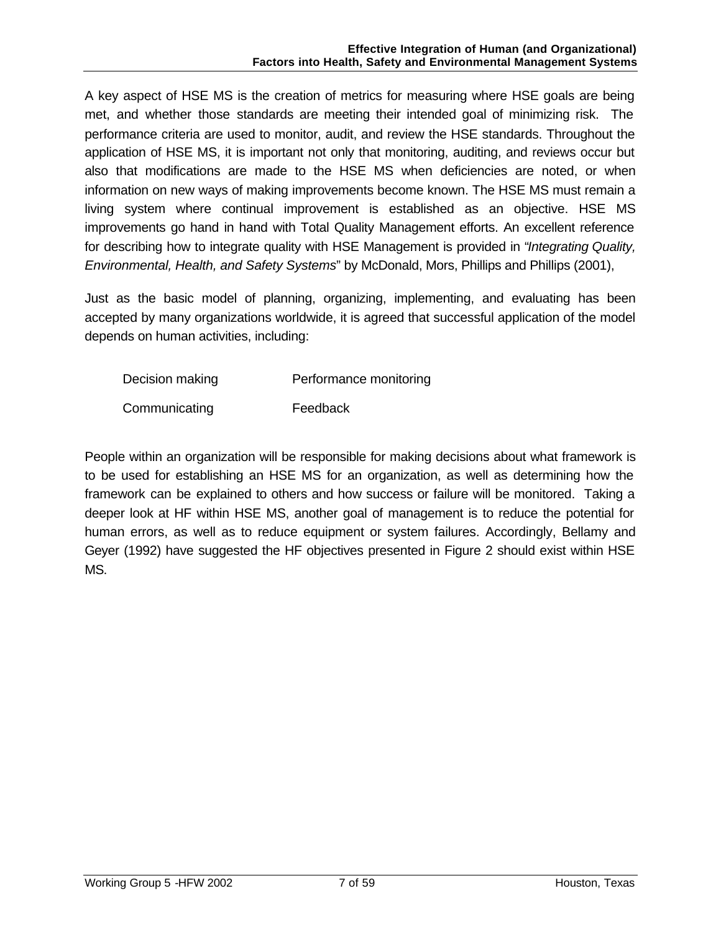A key aspect of HSE MS is the creation of metrics for measuring where HSE goals are being met, and whether those standards are meeting their intended goal of minimizing risk. The performance criteria are used to monitor, audit, and review the HSE standards. Throughout the application of HSE MS, it is important not only that monitoring, auditing, and reviews occur but also that modifications are made to the HSE MS when deficiencies are noted, or when information on new ways of making improvements become known. The HSE MS must remain a living system where continual improvement is established as an objective. HSE MS improvements go hand in hand with Total Quality Management efforts. An excellent reference for describing how to integrate quality with HSE Management is provided in "*Integrating Quality, Environmental, Health, and Safety Systems*" by McDonald, Mors, Phillips and Phillips (2001),

Just as the basic model of planning, organizing, implementing, and evaluating has been accepted by many organizations worldwide, it is agreed that successful application of the model depends on human activities, including:

| Decision making | Performance monitoring |
|-----------------|------------------------|
| Communicating   | Feedback               |

People within an organization will be responsible for making decisions about what framework is to be used for establishing an HSE MS for an organization, as well as determining how the framework can be explained to others and how success or failure will be monitored. Taking a deeper look at HF within HSE MS, another goal of management is to reduce the potential for human errors, as well as to reduce equipment or system failures. Accordingly, Bellamy and Geyer (1992) have suggested the HF objectives presented in Figure 2 should exist within HSE MS.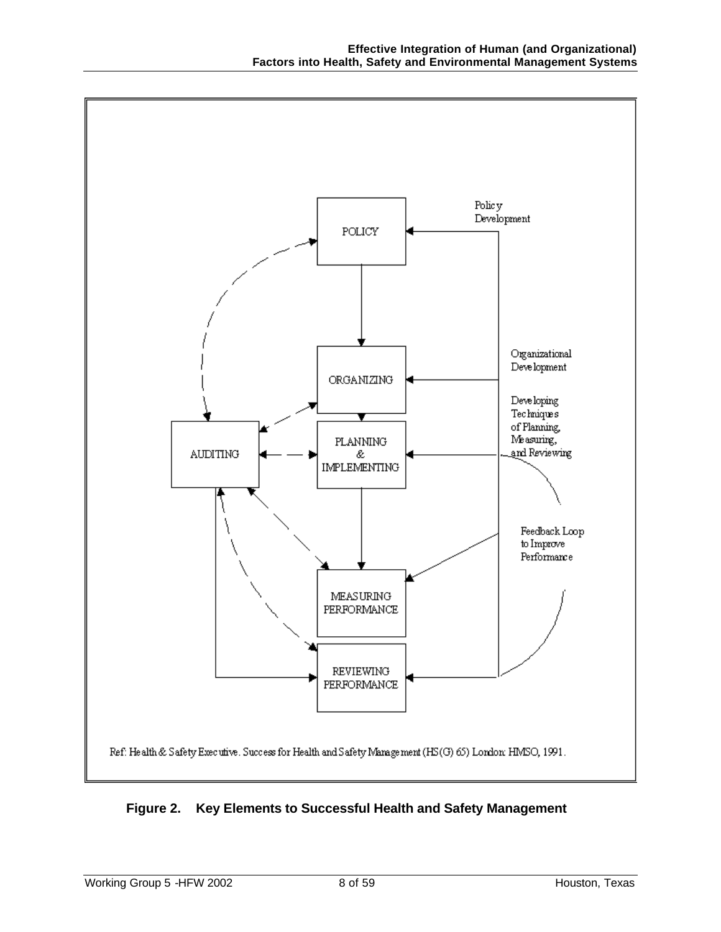

**Figure 2. Key Elements to Successful Health and Safety Management**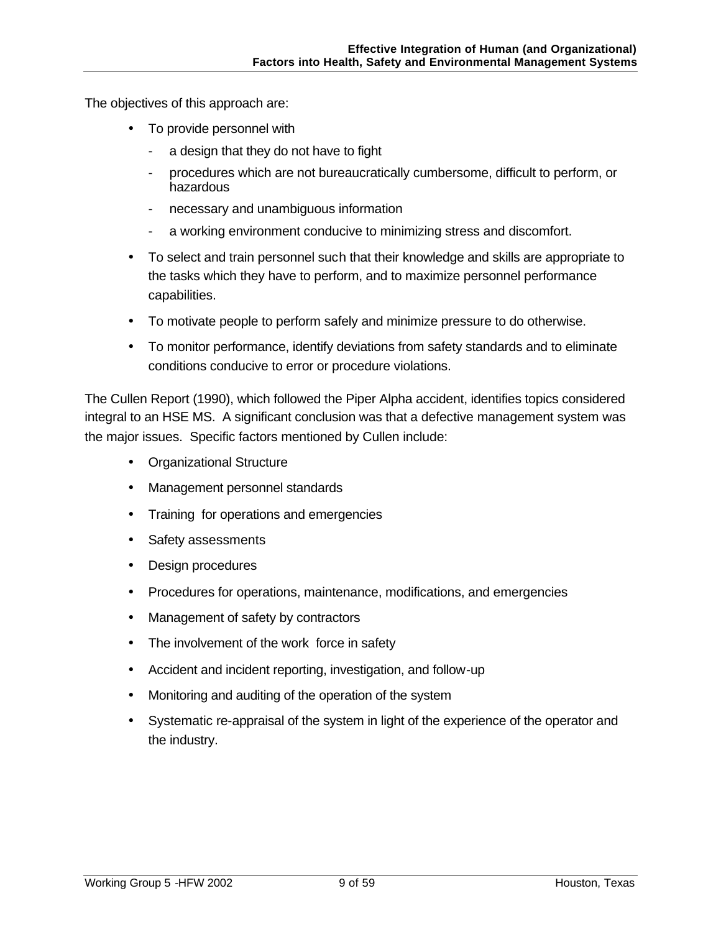The objectives of this approach are:

- To provide personnel with
	- a design that they do not have to fight
	- procedures which are not bureaucratically cumbersome, difficult to perform, or hazardous
	- necessary and unambiguous information
	- a working environment conducive to minimizing stress and discomfort.
- To select and train personnel such that their knowledge and skills are appropriate to the tasks which they have to perform, and to maximize personnel performance capabilities.
- To motivate people to perform safely and minimize pressure to do otherwise.
- To monitor performance, identify deviations from safety standards and to eliminate conditions conducive to error or procedure violations.

The Cullen Report (1990), which followed the Piper Alpha accident, identifies topics considered integral to an HSE MS. A significant conclusion was that a defective management system was the major issues. Specific factors mentioned by Cullen include:

- Organizational Structure
- Management personnel standards
- Training for operations and emergencies
- Safety assessments
- Design procedures
- Procedures for operations, maintenance, modifications, and emergencies
- Management of safety by contractors
- The involvement of the work force in safety
- Accident and incident reporting, investigation, and follow-up
- Monitoring and auditing of the operation of the system
- Systematic re-appraisal of the system in light of the experience of the operator and the industry.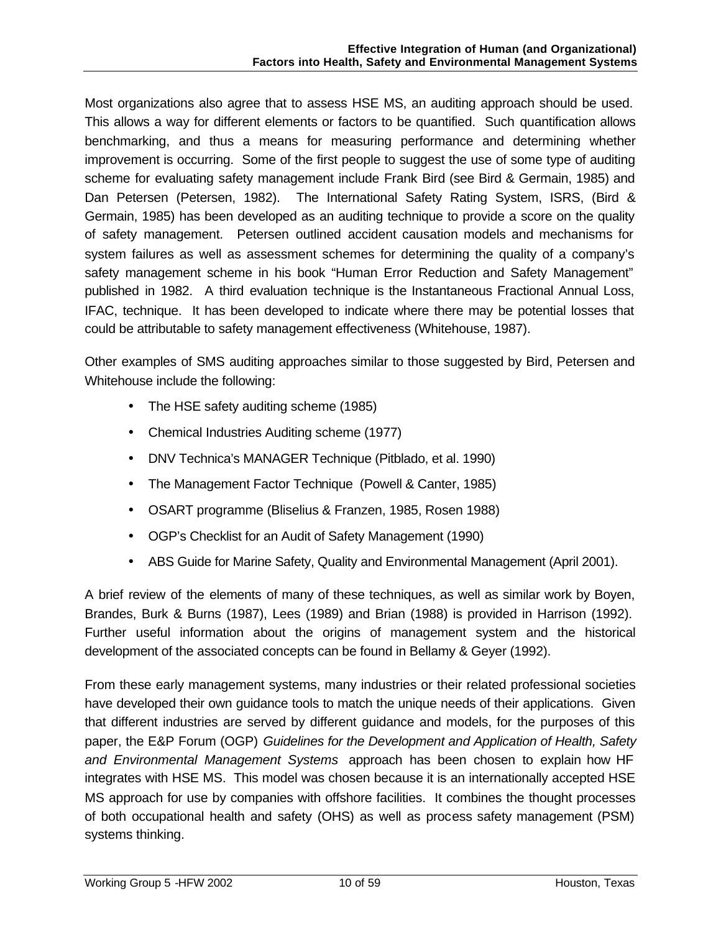Most organizations also agree that to assess HSE MS, an auditing approach should be used. This allows a way for different elements or factors to be quantified. Such quantification allows benchmarking, and thus a means for measuring performance and determining whether improvement is occurring. Some of the first people to suggest the use of some type of auditing scheme for evaluating safety management include Frank Bird (see Bird & Germain, 1985) and Dan Petersen (Petersen, 1982). The International Safety Rating System, ISRS, (Bird & Germain, 1985) has been developed as an auditing technique to provide a score on the quality of safety management. Petersen outlined accident causation models and mechanisms for system failures as well as assessment schemes for determining the quality of a company's safety management scheme in his book "Human Error Reduction and Safety Management" published in 1982. A third evaluation technique is the Instantaneous Fractional Annual Loss, IFAC, technique. It has been developed to indicate where there may be potential losses that could be attributable to safety management effectiveness (Whitehouse, 1987).

Other examples of SMS auditing approaches similar to those suggested by Bird, Petersen and Whitehouse include the following:

- The HSE safety auditing scheme (1985)
- Chemical Industries Auditing scheme (1977)
- DNV Technica's MANAGER Technique (Pitblado, et al. 1990)
- The Management Factor Technique (Powell & Canter, 1985)
- OSART programme (Bliselius & Franzen, 1985, Rosen 1988)
- OGP's Checklist for an Audit of Safety Management (1990)
- ABS Guide for Marine Safety, Quality and Environmental Management (April 2001).

A brief review of the elements of many of these techniques, as well as similar work by Boyen, Brandes, Burk & Burns (1987), Lees (1989) and Brian (1988) is provided in Harrison (1992). Further useful information about the origins of management system and the historical development of the associated concepts can be found in Bellamy & Geyer (1992).

From these early management systems, many industries or their related professional societies have developed their own guidance tools to match the unique needs of their applications. Given that different industries are served by different guidance and models, for the purposes of this paper, the E&P Forum (OGP) *Guidelines for the Development and Application of Health, Safety and Environmental Management Systems* approach has been chosen to explain how HF integrates with HSE MS. This model was chosen because it is an internationally accepted HSE MS approach for use by companies with offshore facilities. It combines the thought processes of both occupational health and safety (OHS) as well as process safety management (PSM) systems thinking.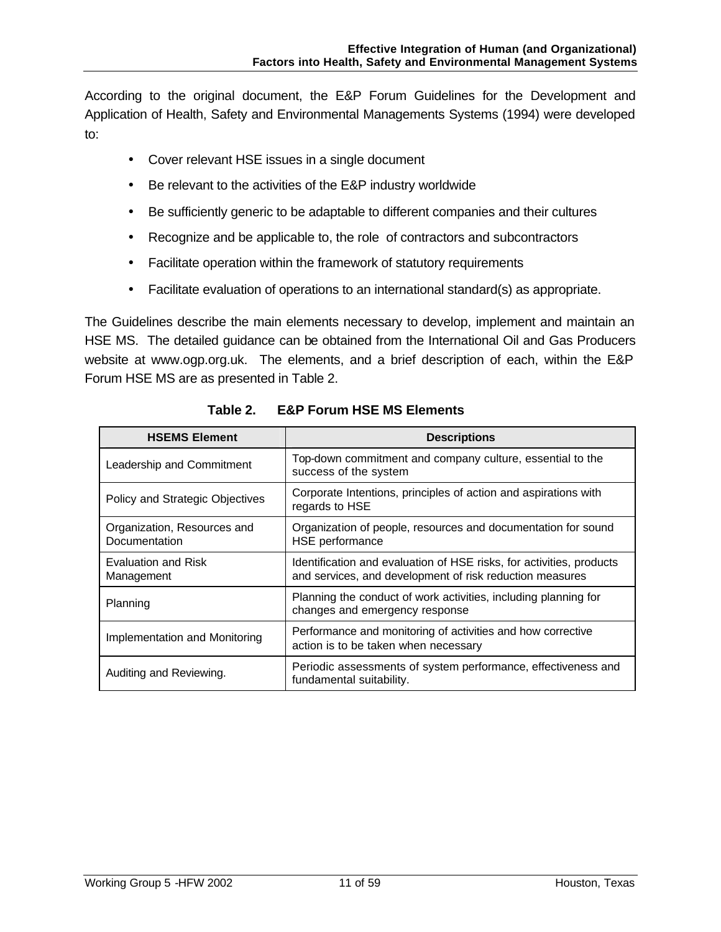According to the original document, the E&P Forum Guidelines for the Development and Application of Health, Safety and Environmental Managements Systems (1994) were developed to:

- Cover relevant HSE issues in a single document
- Be relevant to the activities of the E&P industry worldwide
- Be sufficiently generic to be adaptable to different companies and their cultures
- Recognize and be applicable to, the role of contractors and subcontractors
- Facilitate operation within the framework of statutory requirements
- Facilitate evaluation of operations to an international standard(s) as appropriate.

The Guidelines describe the main elements necessary to develop, implement and maintain an HSE MS. The detailed guidance can be obtained from the International Oil and Gas Producers website at www.ogp.org.uk. The elements, and a brief description of each, within the E&P Forum HSE MS are as presented in Table 2.

| <b>HSEMS Element</b>                         | <b>Descriptions</b>                                                                                                              |  |  |
|----------------------------------------------|----------------------------------------------------------------------------------------------------------------------------------|--|--|
| Leadership and Commitment                    | Top-down commitment and company culture, essential to the<br>success of the system                                               |  |  |
| Policy and Strategic Objectives              | Corporate Intentions, principles of action and aspirations with<br>regards to HSE                                                |  |  |
| Organization, Resources and<br>Documentation | Organization of people, resources and documentation for sound<br>HSE performance                                                 |  |  |
| Evaluation and Risk<br>Management            | Identification and evaluation of HSE risks, for activities, products<br>and services, and development of risk reduction measures |  |  |
| Planning                                     | Planning the conduct of work activities, including planning for<br>changes and emergency response                                |  |  |
| Implementation and Monitoring                | Performance and monitoring of activities and how corrective<br>action is to be taken when necessary                              |  |  |
| Auditing and Reviewing.                      | Periodic assessments of system performance, effectiveness and<br>fundamental suitability.                                        |  |  |

**Table 2. E&P Forum HSE MS Elements**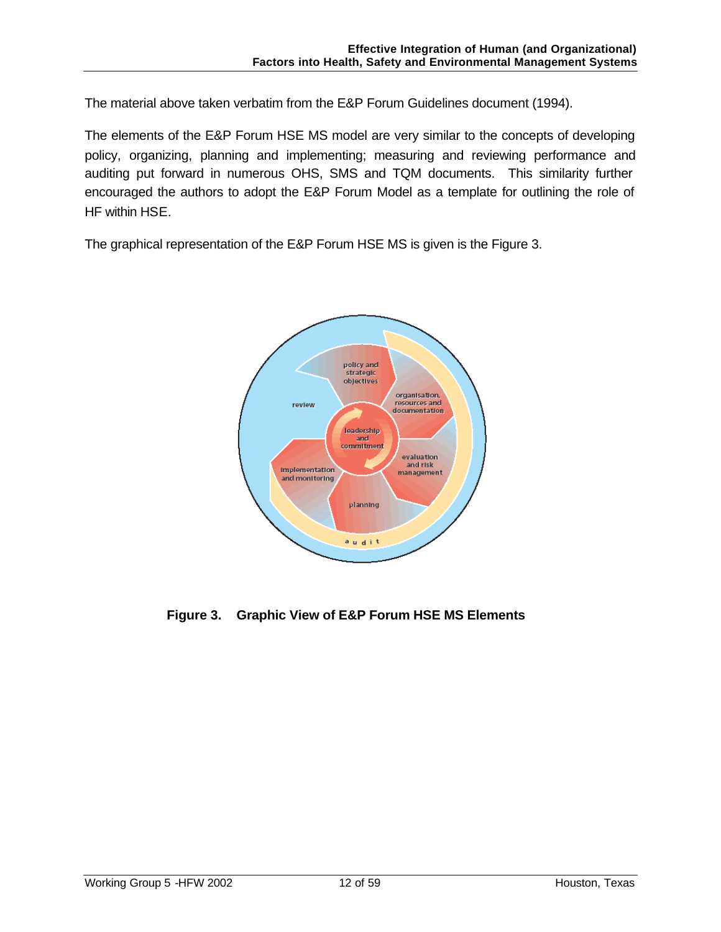The material above taken verbatim from the E&P Forum Guidelines document (1994).

The elements of the E&P Forum HSE MS model are very similar to the concepts of developing policy, organizing, planning and implementing; measuring and reviewing performance and auditing put forward in numerous OHS, SMS and TQM documents. This similarity further encouraged the authors to adopt the E&P Forum Model as a template for outlining the role of HF within HSE.

The graphical representation of the E&P Forum HSE MS is given is the Figure 3.



**Figure 3. Graphic View of E&P Forum HSE MS Elements**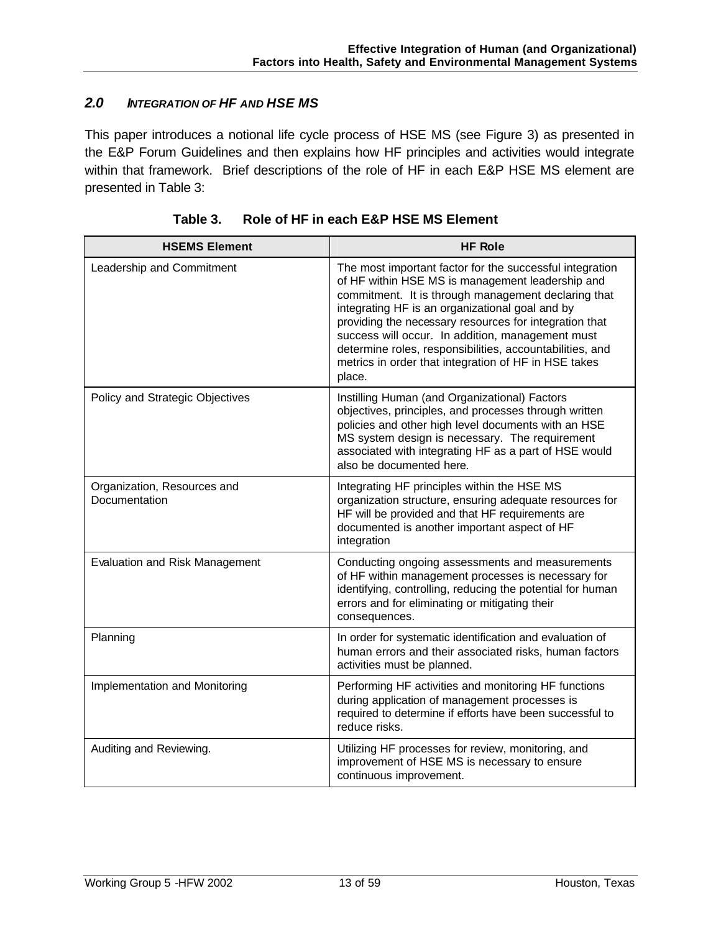## *2.0 INTEGRATION OF HF AND HSE MS*

This paper introduces a notional life cycle process of HSE MS (see Figure 3) as presented in the E&P Forum Guidelines and then explains how HF principles and activities would integrate within that framework. Brief descriptions of the role of HF in each E&P HSE MS element are presented in Table 3:

| <b>HSEMS Element</b>                         | <b>HF Role</b>                                                                                                                                                                                                                                                                                                                                                                                                                                                     |
|----------------------------------------------|--------------------------------------------------------------------------------------------------------------------------------------------------------------------------------------------------------------------------------------------------------------------------------------------------------------------------------------------------------------------------------------------------------------------------------------------------------------------|
| Leadership and Commitment                    | The most important factor for the successful integration<br>of HF within HSE MS is management leadership and<br>commitment. It is through management declaring that<br>integrating HF is an organizational goal and by<br>providing the necessary resources for integration that<br>success will occur. In addition, management must<br>determine roles, responsibilities, accountabilities, and<br>metrics in order that integration of HF in HSE takes<br>place. |
| Policy and Strategic Objectives              | Instilling Human (and Organizational) Factors<br>objectives, principles, and processes through written<br>policies and other high level documents with an HSE<br>MS system design is necessary. The requirement<br>associated with integrating HF as a part of HSE would<br>also be documented here.                                                                                                                                                               |
| Organization, Resources and<br>Documentation | Integrating HF principles within the HSE MS<br>organization structure, ensuring adequate resources for<br>HF will be provided and that HF requirements are<br>documented is another important aspect of HF<br>integration                                                                                                                                                                                                                                          |
| <b>Evaluation and Risk Management</b>        | Conducting ongoing assessments and measurements<br>of HF within management processes is necessary for<br>identifying, controlling, reducing the potential for human<br>errors and for eliminating or mitigating their<br>consequences.                                                                                                                                                                                                                             |
| Planning                                     | In order for systematic identification and evaluation of<br>human errors and their associated risks, human factors<br>activities must be planned.                                                                                                                                                                                                                                                                                                                  |
| Implementation and Monitoring                | Performing HF activities and monitoring HF functions<br>during application of management processes is<br>required to determine if efforts have been successful to<br>reduce risks.                                                                                                                                                                                                                                                                                 |
| Auditing and Reviewing.                      | Utilizing HF processes for review, monitoring, and<br>improvement of HSE MS is necessary to ensure<br>continuous improvement.                                                                                                                                                                                                                                                                                                                                      |

|  | Table 3. | Role of HF in each E&P HSE MS Element |
|--|----------|---------------------------------------|
|--|----------|---------------------------------------|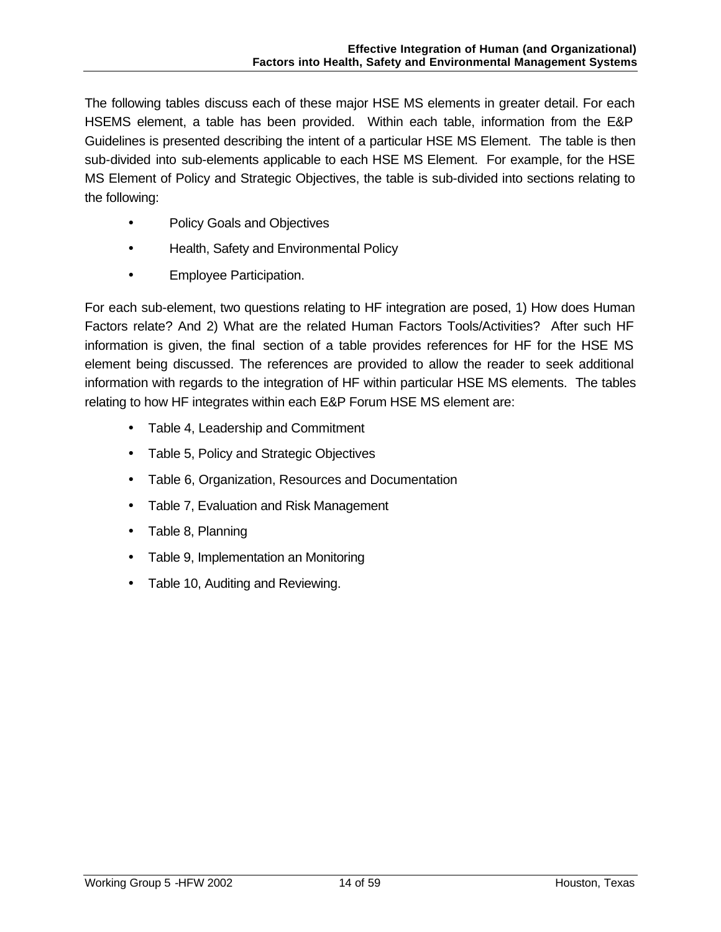The following tables discuss each of these major HSE MS elements in greater detail. For each HSEMS element, a table has been provided. Within each table, information from the E&P Guidelines is presented describing the intent of a particular HSE MS Element. The table is then sub-divided into sub-elements applicable to each HSE MS Element. For example, for the HSE MS Element of Policy and Strategic Objectives, the table is sub-divided into sections relating to the following:

- Policy Goals and Objectives
- Health, Safety and Environmental Policy
- Employee Participation.

For each sub-element, two questions relating to HF integration are posed, 1) How does Human Factors relate? And 2) What are the related Human Factors Tools/Activities? After such HF information is given, the final section of a table provides references for HF for the HSE MS element being discussed. The references are provided to allow the reader to seek additional information with regards to the integration of HF within particular HSE MS elements. The tables relating to how HF integrates within each E&P Forum HSE MS element are:

- Table 4, Leadership and Commitment
- Table 5, Policy and Strategic Objectives
- Table 6, Organization, Resources and Documentation
- Table 7, Evaluation and Risk Management
- Table 8, Planning
- Table 9, Implementation an Monitoring
- Table 10, Auditing and Reviewing.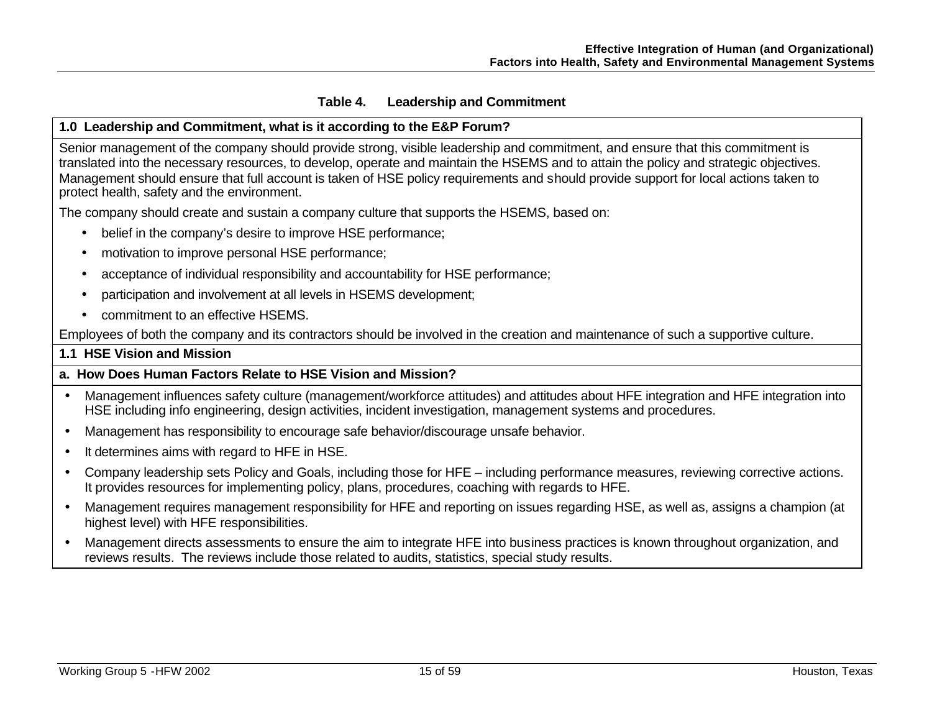#### **Table 4. Leadership and Commitment**

#### **1.0 Leadership and Commitment, what is it according to the E&P Forum?**

Senior management of the company should provide strong, visible leadership and commitment, and ensure that this commitment is translated into the necessary resources, to develop, operate and maintain the HSEMS and to attain the policy and strategic objectives. Management should ensure that full account is taken of HSE policy requirements and should provide support for local actions taken to protect health, safety and the environment.

The company should create and sustain a company culture that supports the HSEMS, based on:

- belief in the company's desire to improve HSE performance;
- motivation to improve personal HSE performance;
- acceptance of individual responsibility and accountability for HSE performance;
- participation and involvement at all levels in HSEMS development;
- commitment to an effective HSEMS.

Employees of both the company and its contractors should be involved in the creation and maintenance of such a supportive culture.

#### **1.1 HSE Vision and Mission**

## **a. How Does Human Factors Relate to HSE Vision and Mission?**

- Management influences safety culture (management/workforce attitudes) and attitudes about HFE integration and HFE integration into HSE including info engineering, design activities, incident investigation, management systems and procedures.
- Management has responsibility to encourage safe behavior/discourage unsafe behavior.
- It determines aims with regard to HFE in HSE.
- Company leadership sets Policy and Goals, including those for HFE including performance measures, reviewing corrective actions. It provides resources for implementing policy, plans, procedures, coaching with regards to HFE.
- Management requires management responsibility for HFE and reporting on issues regarding HSE, as well as, assigns a champion (at highest level) with HFE responsibilities.
- Management directs assessments to ensure the aim to integrate HFE into business practices is known throughout organization, and reviews results. The reviews include those related to audits, statistics, special study results.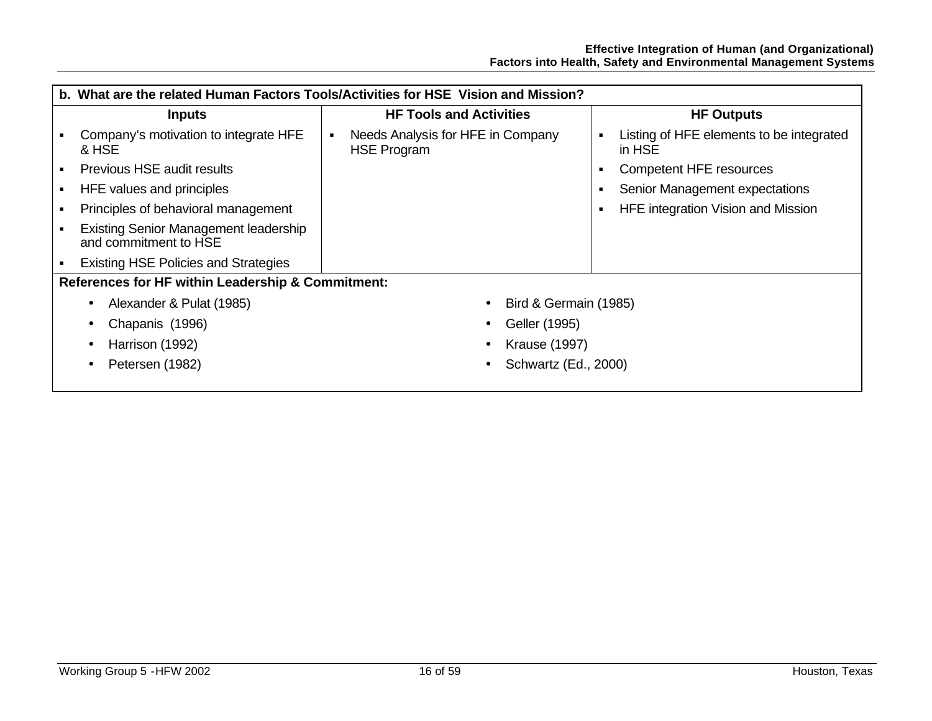| b. What are the related Human Factors Tools/Activities for HSE Vision and Mission? |                                                         |                                                         |  |  |  |
|------------------------------------------------------------------------------------|---------------------------------------------------------|---------------------------------------------------------|--|--|--|
| <b>Inputs</b>                                                                      | <b>HF Tools and Activities</b>                          | <b>HF Outputs</b>                                       |  |  |  |
| Company's motivation to integrate HFE<br>& HSE                                     | Needs Analysis for HFE in Company<br><b>HSE Program</b> | Listing of HFE elements to be integrated<br>٠<br>in HSE |  |  |  |
| Previous HSE audit results                                                         |                                                         | <b>Competent HFE resources</b><br>п                     |  |  |  |
| HFE values and principles                                                          |                                                         | Senior Management expectations                          |  |  |  |
| Principles of behavioral management                                                |                                                         | HFE integration Vision and Mission<br>п                 |  |  |  |
| Existing Senior Management leadership<br>and commitment to HSE                     |                                                         |                                                         |  |  |  |
| <b>Existing HSE Policies and Strategies</b>                                        |                                                         |                                                         |  |  |  |
| References for HF within Leadership & Commitment:                                  |                                                         |                                                         |  |  |  |
| Alexander & Pulat (1985)<br>Bird & Germain (1985)<br>$\bullet$                     |                                                         |                                                         |  |  |  |
| Chapanis (1996)<br>$\bullet$                                                       | Geller (1995)                                           |                                                         |  |  |  |
| Harrison (1992)<br>$\bullet$                                                       | <b>Krause (1997)</b>                                    |                                                         |  |  |  |
| Petersen (1982)<br>$\bullet$                                                       | Schwartz (Ed., 2000)                                    |                                                         |  |  |  |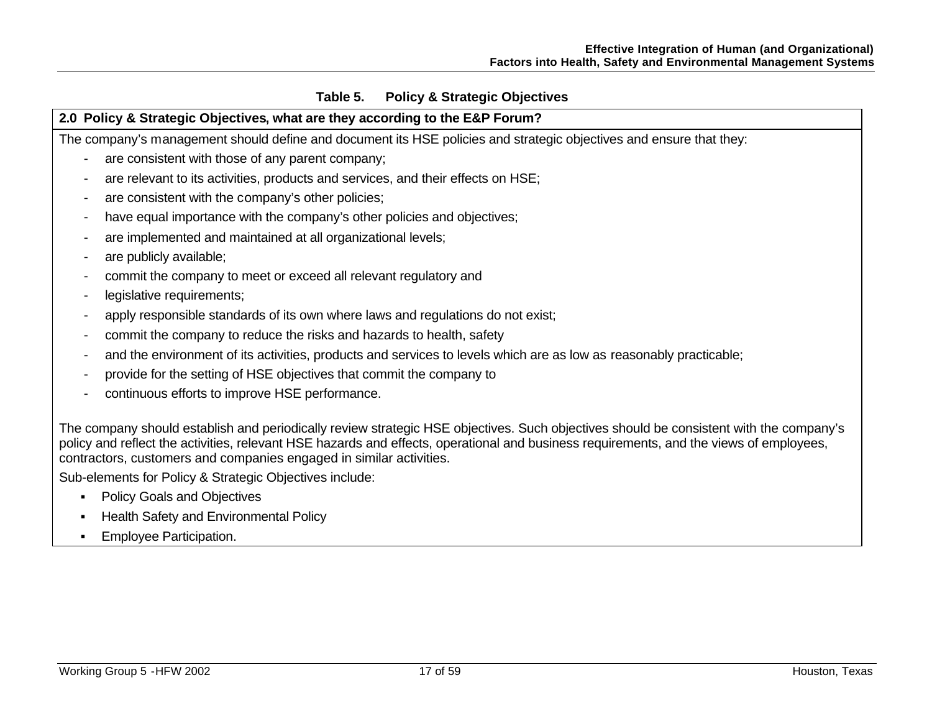## **Table 5. Policy & Strategic Objectives**

## **2.0 Policy & Strategic Objectives, what are they according to the E&P Forum?**

The company's management should define and document its HSE policies and strategic objectives and ensure that they:

- are consistent with those of any parent company;
- are relevant to its activities, products and services, and their effects on HSE;
- are consistent with the company's other policies;
- have equal importance with the company's other policies and objectives;
- are implemented and maintained at all organizational levels;
- are publicly available;
- commit the company to meet or exceed all relevant regulatory and
- legislative requirements;
- apply responsible standards of its own where laws and regulations do not exist;
- commit the company to reduce the risks and hazards to health, safety
- and the environment of its activities, products and services to levels which are as low as reasonably practicable;
- provide for the setting of HSE objectives that commit the company to
- continuous efforts to improve HSE performance.

The company should establish and periodically review strategic HSE objectives. Such objectives should be consistent with the company's policy and reflect the activities, relevant HSE hazards and effects, operational and business requirements, and the views of employees, contractors, customers and companies engaged in similar activities.

Sub-elements for Policy & Strategic Objectives include:

- Policy Goals and Objectives
- ß Health Safety and Environmental Policy
- **Employee Participation.**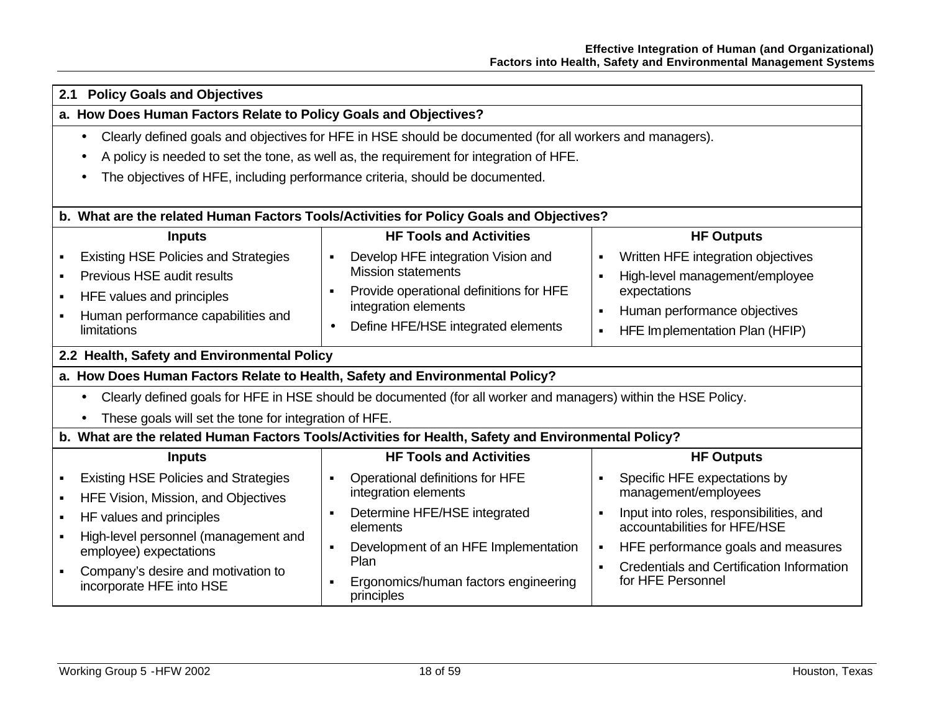| <b>Policy Goals and Objectives</b><br>2.1                                                                                   |                                                                                                          |                                                                                           |  |  |  |  |
|-----------------------------------------------------------------------------------------------------------------------------|----------------------------------------------------------------------------------------------------------|-------------------------------------------------------------------------------------------|--|--|--|--|
| a. How Does Human Factors Relate to Policy Goals and Objectives?                                                            |                                                                                                          |                                                                                           |  |  |  |  |
| $\bullet$                                                                                                                   | Clearly defined goals and objectives for HFE in HSE should be documented (for all workers and managers). |                                                                                           |  |  |  |  |
|                                                                                                                             | A policy is needed to set the tone, as well as, the requirement for integration of HFE.                  |                                                                                           |  |  |  |  |
|                                                                                                                             | The objectives of HFE, including performance criteria, should be documented.                             |                                                                                           |  |  |  |  |
|                                                                                                                             |                                                                                                          |                                                                                           |  |  |  |  |
|                                                                                                                             | b. What are the related Human Factors Tools/Activities for Policy Goals and Objectives?                  |                                                                                           |  |  |  |  |
| <b>Inputs</b>                                                                                                               | <b>HF Tools and Activities</b>                                                                           | <b>HF Outputs</b>                                                                         |  |  |  |  |
| <b>Existing HSE Policies and Strategies</b><br>٠                                                                            | Develop HFE integration Vision and                                                                       | Written HFE integration objectives<br>$\blacksquare$                                      |  |  |  |  |
| Previous HSE audit results<br>$\blacksquare$                                                                                | <b>Mission statements</b>                                                                                | High-level management/employee<br>$\blacksquare$                                          |  |  |  |  |
| HFE values and principles<br>٠                                                                                              | Provide operational definitions for HFE<br>$\blacksquare$<br>integration elements                        | expectations                                                                              |  |  |  |  |
| Human performance capabilities and                                                                                          |                                                                                                          | Human performance objectives<br>$\blacksquare$                                            |  |  |  |  |
| <b>limitations</b>                                                                                                          | Define HFE/HSE integrated elements<br>$\bullet$                                                          | HFE Implementation Plan (HFIP)<br>$\blacksquare$                                          |  |  |  |  |
| 2.2 Health, Safety and Environmental Policy                                                                                 |                                                                                                          |                                                                                           |  |  |  |  |
| a. How Does Human Factors Relate to Health, Safety and Environmental Policy?                                                |                                                                                                          |                                                                                           |  |  |  |  |
| Clearly defined goals for HFE in HSE should be documented (for all worker and managers) within the HSE Policy.<br>$\bullet$ |                                                                                                          |                                                                                           |  |  |  |  |
| These goals will set the tone for integration of HFE.                                                                       |                                                                                                          |                                                                                           |  |  |  |  |
|                                                                                                                             | b. What are the related Human Factors Tools/Activities for Health, Safety and Environmental Policy?      |                                                                                           |  |  |  |  |
| <b>Inputs</b>                                                                                                               | <b>HF Tools and Activities</b>                                                                           | <b>HF Outputs</b>                                                                         |  |  |  |  |
| <b>Existing HSE Policies and Strategies</b><br>٠                                                                            | Operational definitions for HFE                                                                          | Specific HFE expectations by<br>$\blacksquare$                                            |  |  |  |  |
| HFE Vision, Mission, and Objectives<br>٠                                                                                    | integration elements                                                                                     | management/employees                                                                      |  |  |  |  |
| HF values and principles<br>٠                                                                                               | Determine HFE/HSE integrated<br>elements                                                                 | Input into roles, responsibilities, and<br>$\blacksquare$<br>accountabilities for HFE/HSE |  |  |  |  |
| High-level personnel (management and<br>٠                                                                                   | Development of an HFE Implementation<br>$\blacksquare$                                                   | HFE performance goals and measures<br>٠                                                   |  |  |  |  |
| employee) expectations                                                                                                      | Plan                                                                                                     | Credentials and Certification Information<br>$\blacksquare$                               |  |  |  |  |
| Company's desire and motivation to<br>$\blacksquare$<br>incorporate HFE into HSE                                            | Ergonomics/human factors engineering                                                                     | for HFE Personnel                                                                         |  |  |  |  |
|                                                                                                                             | principles                                                                                               |                                                                                           |  |  |  |  |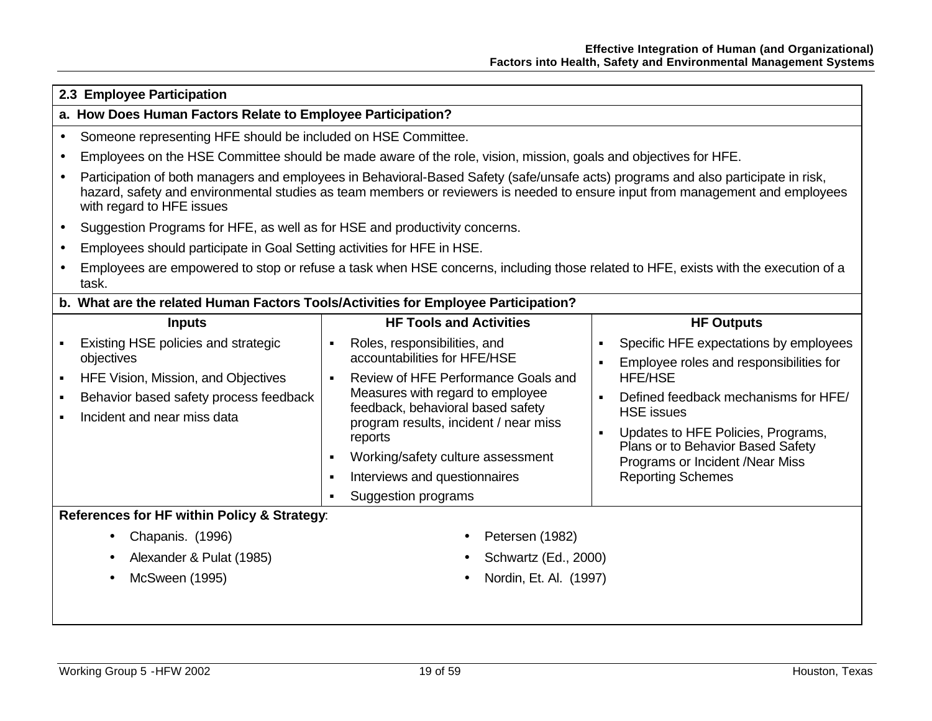|                  | 2.3 Employee Participation                                                                                                                                                                                                                                                                      |                          |                                                                                                                                                                                                                                                                                                                                      |                                                                      |                                                                                                                                                                                                                                                                                                            |  |  |
|------------------|-------------------------------------------------------------------------------------------------------------------------------------------------------------------------------------------------------------------------------------------------------------------------------------------------|--------------------------|--------------------------------------------------------------------------------------------------------------------------------------------------------------------------------------------------------------------------------------------------------------------------------------------------------------------------------------|----------------------------------------------------------------------|------------------------------------------------------------------------------------------------------------------------------------------------------------------------------------------------------------------------------------------------------------------------------------------------------------|--|--|
|                  | a. How Does Human Factors Relate to Employee Participation?                                                                                                                                                                                                                                     |                          |                                                                                                                                                                                                                                                                                                                                      |                                                                      |                                                                                                                                                                                                                                                                                                            |  |  |
| $\bullet$        | Someone representing HFE should be included on HSE Committee.                                                                                                                                                                                                                                   |                          |                                                                                                                                                                                                                                                                                                                                      |                                                                      |                                                                                                                                                                                                                                                                                                            |  |  |
| $\bullet$        | Employees on the HSE Committee should be made aware of the role, vision, mission, goals and objectives for HFE.                                                                                                                                                                                 |                          |                                                                                                                                                                                                                                                                                                                                      |                                                                      |                                                                                                                                                                                                                                                                                                            |  |  |
| $\bullet$        | Participation of both managers and employees in Behavioral-Based Safety (safe/unsafe acts) programs and also participate in risk,<br>hazard, safety and environmental studies as team members or reviewers is needed to ensure input from management and employees<br>with regard to HFE issues |                          |                                                                                                                                                                                                                                                                                                                                      |                                                                      |                                                                                                                                                                                                                                                                                                            |  |  |
| $\bullet$        | Suggestion Programs for HFE, as well as for HSE and productivity concerns.                                                                                                                                                                                                                      |                          |                                                                                                                                                                                                                                                                                                                                      |                                                                      |                                                                                                                                                                                                                                                                                                            |  |  |
| $\bullet$        | Employees should participate in Goal Setting activities for HFE in HSE.                                                                                                                                                                                                                         |                          |                                                                                                                                                                                                                                                                                                                                      |                                                                      |                                                                                                                                                                                                                                                                                                            |  |  |
| $\bullet$        | Employees are empowered to stop or refuse a task when HSE concerns, including those related to HFE, exists with the execution of a<br>task.                                                                                                                                                     |                          |                                                                                                                                                                                                                                                                                                                                      |                                                                      |                                                                                                                                                                                                                                                                                                            |  |  |
|                  | b. What are the related Human Factors Tools/Activities for Employee Participation?                                                                                                                                                                                                              |                          |                                                                                                                                                                                                                                                                                                                                      |                                                                      |                                                                                                                                                                                                                                                                                                            |  |  |
|                  | <b>Inputs</b>                                                                                                                                                                                                                                                                                   |                          | <b>HF Tools and Activities</b>                                                                                                                                                                                                                                                                                                       |                                                                      | <b>HF Outputs</b>                                                                                                                                                                                                                                                                                          |  |  |
| ٠<br>٠<br>٠<br>٠ | Existing HSE policies and strategic<br>objectives<br>HFE Vision, Mission, and Objectives<br>Behavior based safety process feedback<br>Incident and near miss data<br>References for HF within Policy & Strategy:                                                                                | $\blacksquare$<br>٠<br>٠ | Roles, responsibilities, and<br>accountabilities for HFE/HSE<br>Review of HFE Performance Goals and<br>Measures with regard to employee<br>feedback, behavioral based safety<br>program results, incident / near miss<br>reports<br>Working/safety culture assessment<br>Interviews and questionnaires<br><b>Suggestion programs</b> | $\blacksquare$<br>$\blacksquare$<br>$\blacksquare$<br>$\blacksquare$ | Specific HFE expectations by employees<br>Employee roles and responsibilities for<br><b>HFE/HSE</b><br>Defined feedback mechanisms for HFE/<br><b>HSE</b> issues<br>Updates to HFE Policies, Programs,<br>Plans or to Behavior Based Safety<br>Programs or Incident /Near Miss<br><b>Reporting Schemes</b> |  |  |
|                  | Chapanis. (1996)<br>Petersen (1982)<br>$\bullet$                                                                                                                                                                                                                                                |                          |                                                                                                                                                                                                                                                                                                                                      |                                                                      |                                                                                                                                                                                                                                                                                                            |  |  |
|                  | Alexander & Pulat (1985)                                                                                                                                                                                                                                                                        |                          | Schwartz (Ed., 2000)                                                                                                                                                                                                                                                                                                                 |                                                                      |                                                                                                                                                                                                                                                                                                            |  |  |
|                  | <b>McSween (1995)</b>                                                                                                                                                                                                                                                                           |                          | Nordin, Et. Al. (1997)                                                                                                                                                                                                                                                                                                               |                                                                      |                                                                                                                                                                                                                                                                                                            |  |  |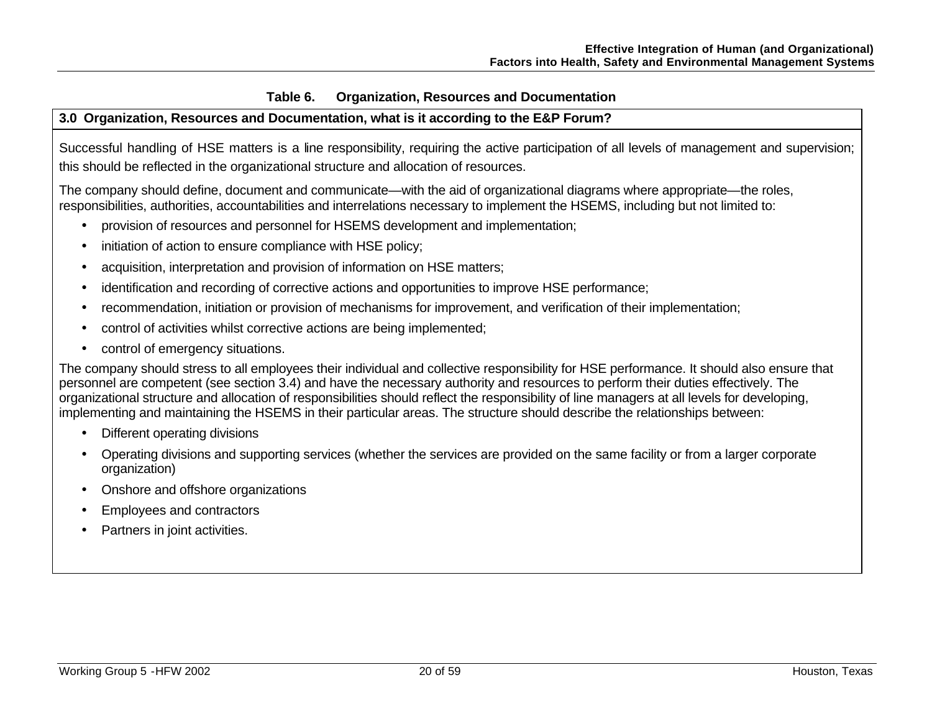## **Table 6. Organization, Resources and Documentation**

## **3.0 Organization, Resources and Documentation, what is it according to the E&P Forum?**

Successful handling of HSE matters is a line responsibility, requiring the active participation of all levels of management and supervision; this should be reflected in the organizational structure and allocation of resources.

The company should define, document and communicate—with the aid of organizational diagrams where appropriate—the roles, responsibilities, authorities, accountabilities and interrelations necessary to implement the HSEMS, including but not limited to:

- provision of resources and personnel for HSEMS development and implementation;
- initiation of action to ensure compliance with HSE policy;
- acquisition, interpretation and provision of information on HSE matters;
- identification and recording of corrective actions and opportunities to improve HSE performance;
- recommendation, initiation or provision of mechanisms for improvement, and verification of their implementation;
- control of activities whilst corrective actions are being implemented;
- control of emergency situations.

The company should stress to all employees their individual and collective responsibility for HSE performance. It should also ensure that personnel are competent (see section 3.4) and have the necessary authority and resources to perform their duties effectively. The organizational structure and allocation of responsibilities should reflect the responsibility of line managers at all levels for developing, implementing and maintaining the HSEMS in their particular areas. The structure should describe the relationships between:

- Different operating divisions
- Operating divisions and supporting services (whether the services are provided on the same facility or from a larger corporate organization)
- Onshore and offshore organizations
- Employees and contractors
- Partners in joint activities.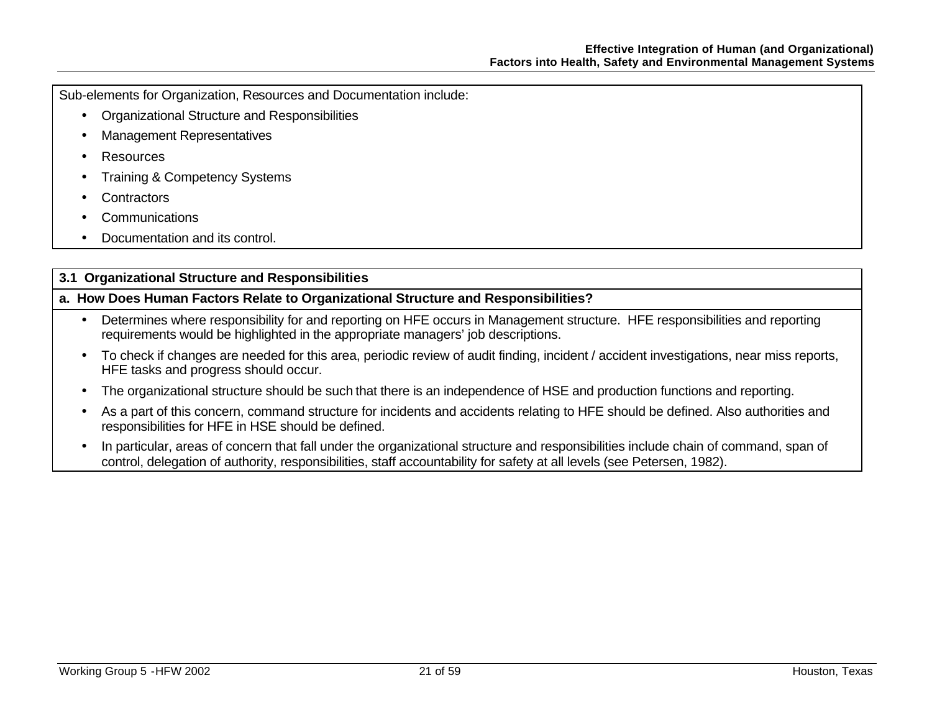Sub-elements for Organization, Resources and Documentation include:

- Organizational Structure and Responsibilities
- Management Representatives
- Resources
- Training & Competency Systems
- **Contractors**
- **Communications**
- Documentation and its control.

## **3.1 Organizational Structure and Responsibilities**

## **a. How Does Human Factors Relate to Organizational Structure and Responsibilities?**

- Determines where responsibility for and reporting on HFE occurs in Management structure. HFE responsibilities and reporting requirements would be highlighted in the appropriate managers' job descriptions.
- To check if changes are needed for this area, periodic review of audit finding, incident / accident investigations, near miss reports, HFE tasks and progress should occur.
- The organizational structure should be such that there is an independence of HSE and production functions and reporting.
- As a part of this concern, command structure for incidents and accidents relating to HFE should be defined. Also authorities and responsibilities for HFE in HSE should be defined.
- In particular, areas of concern that fall under the organizational structure and responsibilities include chain of command, span of control, delegation of authority, responsibilities, staff accountability for safety at all levels (see Petersen, 1982).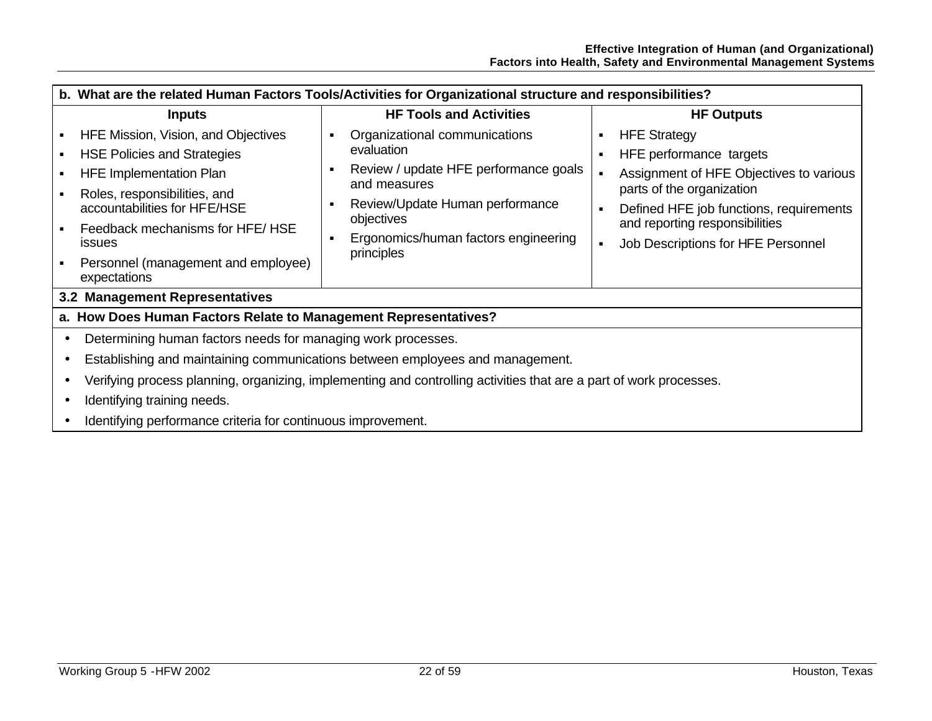| b. What are the related Human Factors Tools/Activities for Organizational structure and responsibilities?                                                                                                      |   |                                                                                                                                                                                               |                                       |                                                                                                                                                                                                     |
|----------------------------------------------------------------------------------------------------------------------------------------------------------------------------------------------------------------|---|-----------------------------------------------------------------------------------------------------------------------------------------------------------------------------------------------|---------------------------------------|-----------------------------------------------------------------------------------------------------------------------------------------------------------------------------------------------------|
| <b>Inputs</b>                                                                                                                                                                                                  |   | <b>HF Tools and Activities</b>                                                                                                                                                                |                                       | <b>HF Outputs</b>                                                                                                                                                                                   |
| HFE Mission, Vision, and Objectives<br><b>HSE Policies and Strategies</b><br><b>HFE Implementation Plan</b><br>Roles, responsibilities, and<br>accountabilities for HFE/HSE<br>Feedback mechanisms for HFE/HSE | л | Organizational communications<br>evaluation<br>Review / update HFE performance goals<br>and measures<br>Review/Update Human performance<br>objectives<br>Ergonomics/human factors engineering | $\blacksquare$<br>٠<br>$\blacksquare$ | <b>HFE Strategy</b><br>HFE performance targets<br>Assignment of HFE Objectives to various<br>parts of the organization<br>Defined HFE job functions, requirements<br>and reporting responsibilities |
| <b>issues</b><br>Personnel (management and employee)<br>expectations<br>3.2 Management Representatives                                                                                                         |   | principles                                                                                                                                                                                    | ×                                     | Job Descriptions for HFE Personnel                                                                                                                                                                  |
|                                                                                                                                                                                                                |   |                                                                                                                                                                                               |                                       |                                                                                                                                                                                                     |
| a. How Does Human Factors Relate to Management Representatives?                                                                                                                                                |   |                                                                                                                                                                                               |                                       |                                                                                                                                                                                                     |
| Determining human factors needs for managing work processes.                                                                                                                                                   |   |                                                                                                                                                                                               |                                       |                                                                                                                                                                                                     |
| Establishing and maintaining communications between employees and management.                                                                                                                                  |   |                                                                                                                                                                                               |                                       |                                                                                                                                                                                                     |
| Verifying process planning, organizing, implementing and controlling activities that are a part of work processes.                                                                                             |   |                                                                                                                                                                                               |                                       |                                                                                                                                                                                                     |
| Identifying training needs.                                                                                                                                                                                    |   |                                                                                                                                                                                               |                                       |                                                                                                                                                                                                     |
| Identifying performance criteria for continuous improvement.                                                                                                                                                   |   |                                                                                                                                                                                               |                                       |                                                                                                                                                                                                     |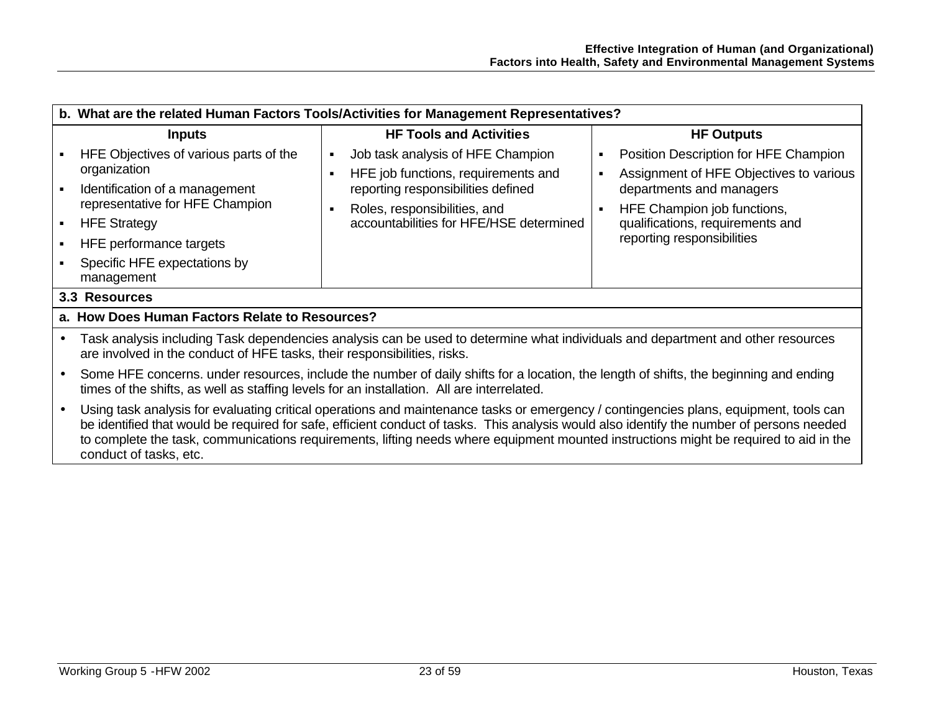|                                                | b. What are the related Human Factors Tools/Activities for Management Representatives?                                                                                                                                                                                                                                                                                                                                                                |                                                                                                                                                                                                |                                                                                                                                                                                                                                                        |  |  |  |
|------------------------------------------------|-------------------------------------------------------------------------------------------------------------------------------------------------------------------------------------------------------------------------------------------------------------------------------------------------------------------------------------------------------------------------------------------------------------------------------------------------------|------------------------------------------------------------------------------------------------------------------------------------------------------------------------------------------------|--------------------------------------------------------------------------------------------------------------------------------------------------------------------------------------------------------------------------------------------------------|--|--|--|
|                                                | <b>Inputs</b>                                                                                                                                                                                                                                                                                                                                                                                                                                         | <b>HF Tools and Activities</b>                                                                                                                                                                 | <b>HF Outputs</b>                                                                                                                                                                                                                                      |  |  |  |
| $\blacksquare$                                 | HFE Objectives of various parts of the<br>organization<br>Identification of a management<br>representative for HFE Champion<br><b>HFE Strategy</b><br>HFE performance targets<br>Specific HFE expectations by<br>management                                                                                                                                                                                                                           | Job task analysis of HFE Champion<br>HFE job functions, requirements and<br>reporting responsibilities defined<br>Roles, responsibilities, and<br>٠<br>accountabilities for HFE/HSE determined | Position Description for HFE Champion<br>٠<br>Assignment of HFE Objectives to various<br>$\blacksquare$<br>departments and managers<br>HFE Champion job functions,<br>$\blacksquare$<br>qualifications, requirements and<br>reporting responsibilities |  |  |  |
|                                                | 3.3 Resources                                                                                                                                                                                                                                                                                                                                                                                                                                         |                                                                                                                                                                                                |                                                                                                                                                                                                                                                        |  |  |  |
| a. How Does Human Factors Relate to Resources? |                                                                                                                                                                                                                                                                                                                                                                                                                                                       |                                                                                                                                                                                                |                                                                                                                                                                                                                                                        |  |  |  |
|                                                | Task analysis including Task dependencies analysis can be used to determine what individuals and department and other resources<br>are involved in the conduct of HFE tasks, their responsibilities, risks.                                                                                                                                                                                                                                           |                                                                                                                                                                                                |                                                                                                                                                                                                                                                        |  |  |  |
|                                                | Some HFE concerns. under resources, include the number of daily shifts for a location, the length of shifts, the beginning and ending<br>times of the shifts, as well as staffing levels for an installation. All are interrelated.                                                                                                                                                                                                                   |                                                                                                                                                                                                |                                                                                                                                                                                                                                                        |  |  |  |
|                                                | Using task analysis for evaluating critical operations and maintenance tasks or emergency / contingencies plans, equipment, tools can<br>be identified that would be required for safe, efficient conduct of tasks. This analysis would also identify the number of persons needed<br>to complete the task, communications requirements, lifting needs where equipment mounted instructions might be required to aid in the<br>conduct of tasks, etc. |                                                                                                                                                                                                |                                                                                                                                                                                                                                                        |  |  |  |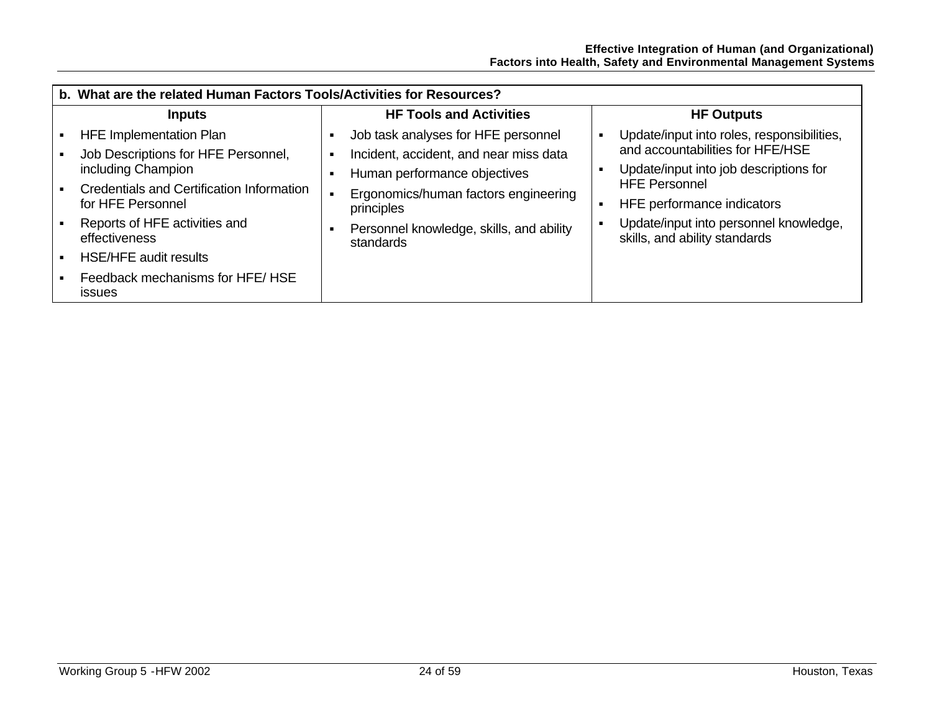| b. What are the related Human Factors Tools/Activities for Resources? |  |                                                                                    |   |                                                                            |
|-----------------------------------------------------------------------|--|------------------------------------------------------------------------------------|---|----------------------------------------------------------------------------|
| <b>Inputs</b>                                                         |  | <b>HF Tools and Activities</b>                                                     |   | <b>HF Outputs</b>                                                          |
| <b>HFE Implementation Plan</b>                                        |  | Job task analyses for HFE personnel                                                |   | Update/input into roles, responsibilities,                                 |
| Job Descriptions for HFE Personnel,<br>including Champion             |  | Incident, accident, and near miss data                                             |   | and accountabilities for HFE/HSE<br>Update/input into job descriptions for |
| Credentials and Certification Information<br>for HFE Personnel        |  | Human performance objectives<br>Ergonomics/human factors engineering<br>principles | л | <b>HFE Personnel</b><br>HFE performance indicators                         |
| Reports of HFE activities and<br>effectiveness                        |  | Personnel knowledge, skills, and ability<br>standards                              |   | Update/input into personnel knowledge,<br>skills, and ability standards    |
| <b>HSE/HFE audit results</b>                                          |  |                                                                                    |   |                                                                            |
| Feedback mechanisms for HFE/HSE<br><b>issues</b>                      |  |                                                                                    |   |                                                                            |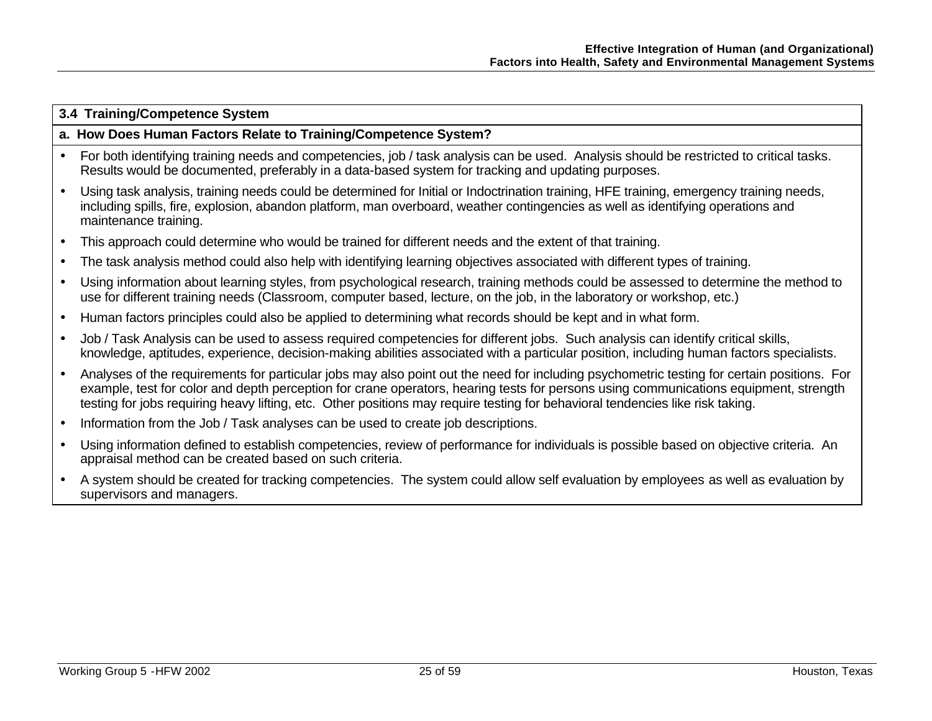#### **3.4 Training/Competence System**

#### **a. How Does Human Factors Relate to Training/Competence System?**

- For both identifying training needs and competencies, job / task analysis can be used. Analysis should be restricted to critical tasks. Results would be documented, preferably in a data-based system for tracking and updating purposes.
- Using task analysis, training needs could be determined for Initial or Indoctrination training, HFE training, emergency training needs, including spills, fire, explosion, abandon platform, man overboard, weather contingencies as well as identifying operations and maintenance training.
- This approach could determine who would be trained for different needs and the extent of that training.
- The task analysis method could also help with identifying learning objectives associated with different types of training.
- Using information about learning styles, from psychological research, training methods could be assessed to determine the method to use for different training needs (Classroom, computer based, lecture, on the job, in the laboratory or workshop, etc.)
- Human factors principles could also be applied to determining what records should be kept and in what form.
- Job / Task Analysis can be used to assess required competencies for different jobs. Such analysis can identify critical skills, knowledge, aptitudes, experience, decision-making abilities associated with a particular position, including human factors specialists.
- Analyses of the requirements for particular jobs may also point out the need for including psychometric testing for certain positions. For example, test for color and depth perception for crane operators, hearing tests for persons using communications equipment, strength testing for jobs requiring heavy lifting, etc. Other positions may require testing for behavioral tendencies like risk taking.
- Information from the Job / Task analyses can be used to create job descriptions.
- Using information defined to establish competencies, review of performance for individuals is possible based on objective criteria. An appraisal method can be created based on such criteria.
- A system should be created for tracking competencies. The system could allow self evaluation by employees as well as evaluation by supervisors and managers.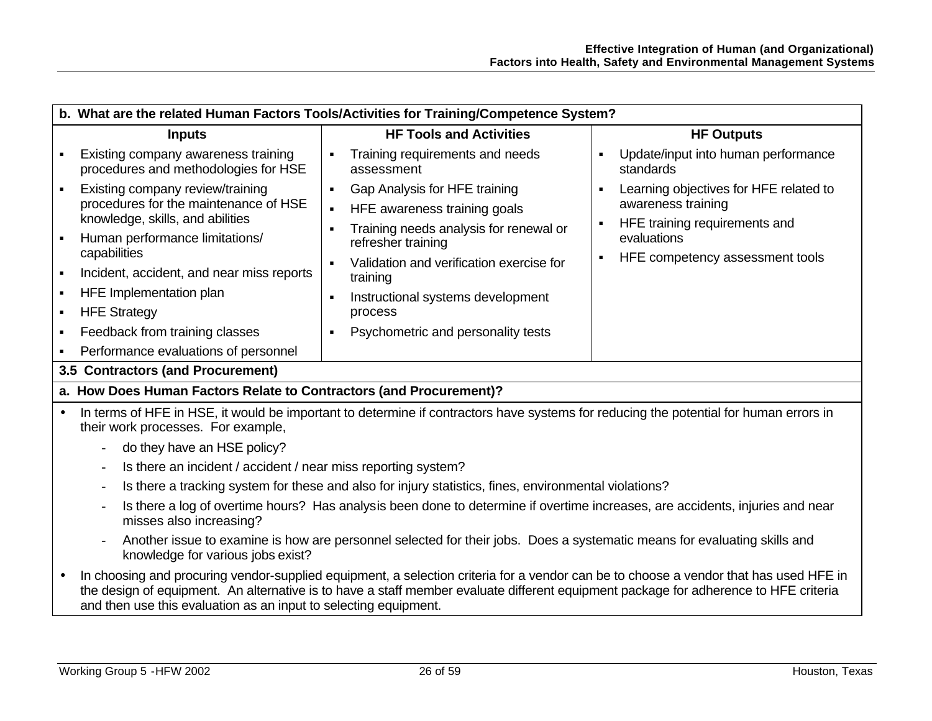|                                                      | b. What are the related Human Factors Tools/Activities for Training/Competence System?                                                                                                                                                                                                                                                   |                                                                                                                                                                                                                                                                                                                                                                  |                                                                                                                                                                   |  |  |
|------------------------------------------------------|------------------------------------------------------------------------------------------------------------------------------------------------------------------------------------------------------------------------------------------------------------------------------------------------------------------------------------------|------------------------------------------------------------------------------------------------------------------------------------------------------------------------------------------------------------------------------------------------------------------------------------------------------------------------------------------------------------------|-------------------------------------------------------------------------------------------------------------------------------------------------------------------|--|--|
|                                                      | <b>Inputs</b>                                                                                                                                                                                                                                                                                                                            | <b>HF Tools and Activities</b>                                                                                                                                                                                                                                                                                                                                   | <b>HF Outputs</b>                                                                                                                                                 |  |  |
| ٠                                                    | Existing company awareness training<br>procedures and methodologies for HSE                                                                                                                                                                                                                                                              | Training requirements and needs<br>$\blacksquare$<br>assessment                                                                                                                                                                                                                                                                                                  | Update/input into human performance<br>standards                                                                                                                  |  |  |
| $\blacksquare$<br>$\blacksquare$<br>٠<br>٠<br>٠<br>٠ | Existing company review/training<br>procedures for the maintenance of HSE<br>knowledge, skills, and abilities<br>Human performance limitations/<br>capabilities<br>Incident, accident, and near miss reports<br>HFE Implementation plan<br><b>HFE Strategy</b><br>Feedback from training classes<br>Performance evaluations of personnel | Gap Analysis for HFE training<br>$\blacksquare$<br>HFE awareness training goals<br>$\blacksquare$<br>Training needs analysis for renewal or<br>$\bullet$<br>refresher training<br>Validation and verification exercise for<br>training<br>Instructional systems development<br>$\blacksquare$<br>process<br>Psychometric and personality tests<br>$\blacksquare$ | Learning objectives for HFE related to<br>$\blacksquare$<br>awareness training<br>HFE training requirements and<br>evaluations<br>HFE competency assessment tools |  |  |
|                                                      | 3.5 Contractors (and Procurement)                                                                                                                                                                                                                                                                                                        |                                                                                                                                                                                                                                                                                                                                                                  |                                                                                                                                                                   |  |  |
|                                                      | a. How Does Human Factors Relate to Contractors (and Procurement)?                                                                                                                                                                                                                                                                       |                                                                                                                                                                                                                                                                                                                                                                  |                                                                                                                                                                   |  |  |
| $\bullet$                                            | In terms of HFE in HSE, it would be important to determine if contractors have systems for reducing the potential for human errors in<br>their work processes. For example,                                                                                                                                                              |                                                                                                                                                                                                                                                                                                                                                                  |                                                                                                                                                                   |  |  |
|                                                      | do they have an HSE policy?                                                                                                                                                                                                                                                                                                              |                                                                                                                                                                                                                                                                                                                                                                  |                                                                                                                                                                   |  |  |
|                                                      | Is there an incident / accident / near miss reporting system?                                                                                                                                                                                                                                                                            |                                                                                                                                                                                                                                                                                                                                                                  |                                                                                                                                                                   |  |  |
|                                                      |                                                                                                                                                                                                                                                                                                                                          | Is there a tracking system for these and also for injury statistics, fines, environmental violations?                                                                                                                                                                                                                                                            |                                                                                                                                                                   |  |  |
|                                                      | Is there a log of overtime hours? Has analysis been done to determine if overtime increases, are accidents, injuries and near<br>misses also increasing?                                                                                                                                                                                 |                                                                                                                                                                                                                                                                                                                                                                  |                                                                                                                                                                   |  |  |
|                                                      | knowledge for various jobs exist?                                                                                                                                                                                                                                                                                                        | Another issue to examine is how are personnel selected for their jobs. Does a systematic means for evaluating skills and                                                                                                                                                                                                                                         |                                                                                                                                                                   |  |  |
| $\bullet$                                            | and then use this evaluation as an input to selecting equipment.                                                                                                                                                                                                                                                                         | In choosing and procuring vendor-supplied equipment, a selection criteria for a vendor can be to choose a vendor that has used HFE in<br>the design of equipment. An alternative is to have a staff member evaluate different equipment package for adherence to HFE criteria                                                                                    |                                                                                                                                                                   |  |  |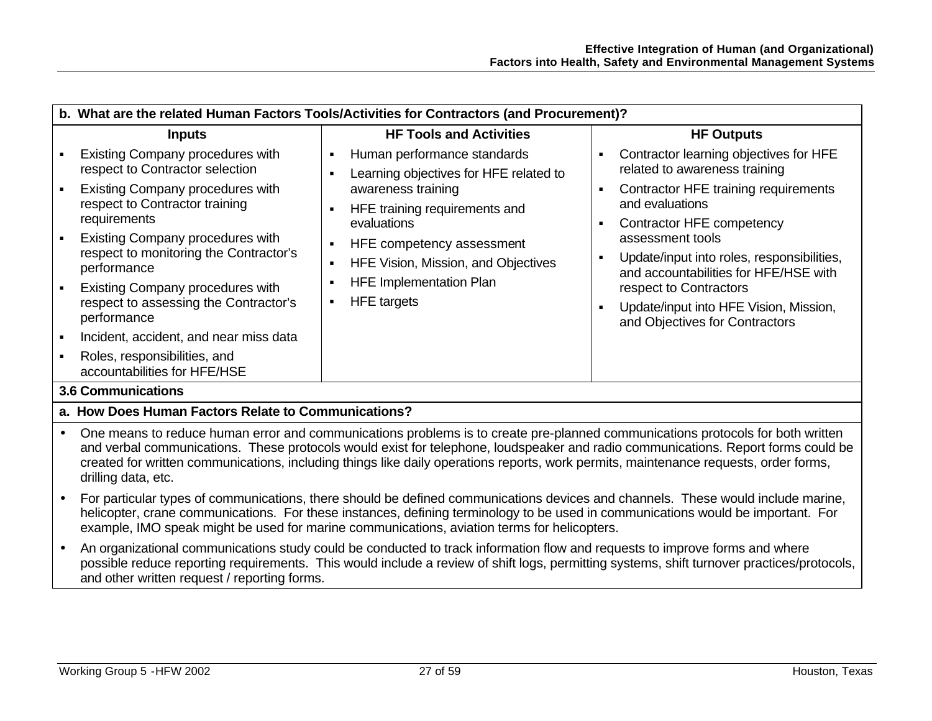| b. What are the related Human Factors Tools/Activities for Contractors (and Procurement)?        |                                                                                                                   |                                                                                     |  |
|--------------------------------------------------------------------------------------------------|-------------------------------------------------------------------------------------------------------------------|-------------------------------------------------------------------------------------|--|
| <b>Inputs</b>                                                                                    | <b>HF Tools and Activities</b>                                                                                    | <b>HF Outputs</b>                                                                   |  |
| Existing Company procedures with<br>respect to Contractor selection                              | Human performance standards<br>$\blacksquare$<br>٠<br>Learning objectives for HFE related to                      | Contractor learning objectives for HFE<br>related to awareness training             |  |
| Existing Company procedures with<br>respect to Contractor training<br>requirements               | awareness training<br>п<br>and evaluations<br>HFE training requirements and<br>$\blacksquare$<br>evaluations<br>п | Contractor HFE training requirements<br>Contractor HFE competency                   |  |
| <b>Existing Company procedures with</b><br>respect to monitoring the Contractor's<br>performance | assessment tools<br>HFE competency assessment<br>$\blacksquare$<br>п<br>HFE Vision, Mission, and Objectives<br>п  | Update/input into roles, responsibilities,<br>and accountabilities for HFE/HSE with |  |
| <b>Existing Company procedures with</b><br>respect to assessing the Contractor's<br>performance  | <b>HFE Implementation Plan</b><br>٠<br>respect to Contractors<br>HFE targets<br>٠<br>٠                            | Update/input into HFE Vision, Mission,<br>and Objectives for Contractors            |  |
| Incident, accident, and near miss data                                                           |                                                                                                                   |                                                                                     |  |
| Roles, responsibilities, and<br>accountabilities for HFE/HSE                                     |                                                                                                                   |                                                                                     |  |
| <b>3.6 Communications</b>                                                                        |                                                                                                                   |                                                                                     |  |
| a. How Does Human Factors Relate to Communications?                                              |                                                                                                                   |                                                                                     |  |

- One means to reduce human error and communications problems is to create pre-planned communications protocols for both written and verbal communications. These protocols would exist for telephone, loudspeaker and radio communications. Report forms could be created for written communications, including things like daily operations reports, work permits, maintenance requests, order forms, drilling data, etc.
- For particular types of communications, there should be defined communications devices and channels. These would include marine, helicopter, crane communications. For these instances, defining terminology to be used in communications would be important. For example, IMO speak might be used for marine communications, aviation terms for helicopters.
- An organizational communications study could be conducted to track information flow and requests to improve forms and where possible reduce reporting requirements. This would include a review of shift logs, permitting systems, shift turnover practices/protocols, and other written request / reporting forms.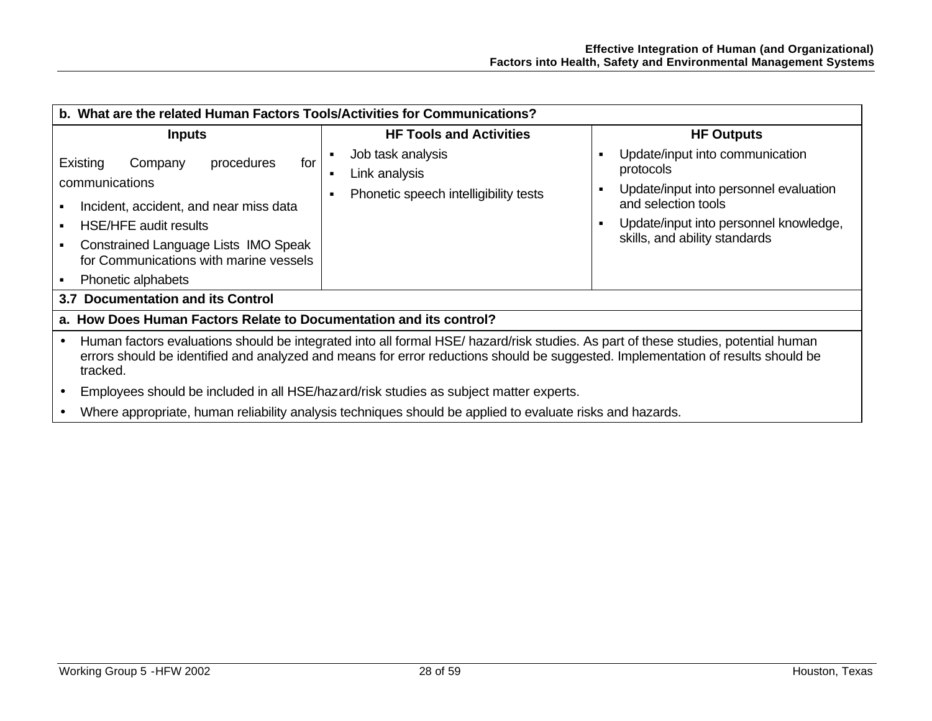| b. What are the related Human Factors Tools/Activities for Communications?                                                                                                                                                                                                         |                                                                                        |                                                                                                                                                                                                                      |  |  |
|------------------------------------------------------------------------------------------------------------------------------------------------------------------------------------------------------------------------------------------------------------------------------------|----------------------------------------------------------------------------------------|----------------------------------------------------------------------------------------------------------------------------------------------------------------------------------------------------------------------|--|--|
| <b>Inputs</b>                                                                                                                                                                                                                                                                      | <b>HF Tools and Activities</b>                                                         | <b>HF Outputs</b>                                                                                                                                                                                                    |  |  |
| Existing<br>for<br>procedures<br>Company<br>communications<br>Incident, accident, and near miss data<br><b>HSE/HFE audit results</b><br>Constrained Language Lists IMO Speak<br>for Communications with marine vessels<br>Phonetic alphabets                                       | Job task analysis<br>Link analysis<br>٠<br>Phonetic speech intelligibility tests       | Update/input into communication<br>п<br>protocols<br>Update/input into personnel evaluation<br>$\blacksquare$<br>and selection tools<br>Update/input into personnel knowledge,<br>٠<br>skills, and ability standards |  |  |
| 3.7 Documentation and its Control                                                                                                                                                                                                                                                  |                                                                                        |                                                                                                                                                                                                                      |  |  |
| a. How Does Human Factors Relate to Documentation and its control?                                                                                                                                                                                                                 |                                                                                        |                                                                                                                                                                                                                      |  |  |
| Human factors evaluations should be integrated into all formal HSE/ hazard/risk studies. As part of these studies, potential human<br>errors should be identified and analyzed and means for error reductions should be suggested. Implementation of results should be<br>tracked. |                                                                                        |                                                                                                                                                                                                                      |  |  |
|                                                                                                                                                                                                                                                                                    | Employees should be included in all HSE/hazard/risk studies as subject matter experts. |                                                                                                                                                                                                                      |  |  |
| Where appropriate, human reliability analysis techniques should be applied to evaluate risks and hazards.                                                                                                                                                                          |                                                                                        |                                                                                                                                                                                                                      |  |  |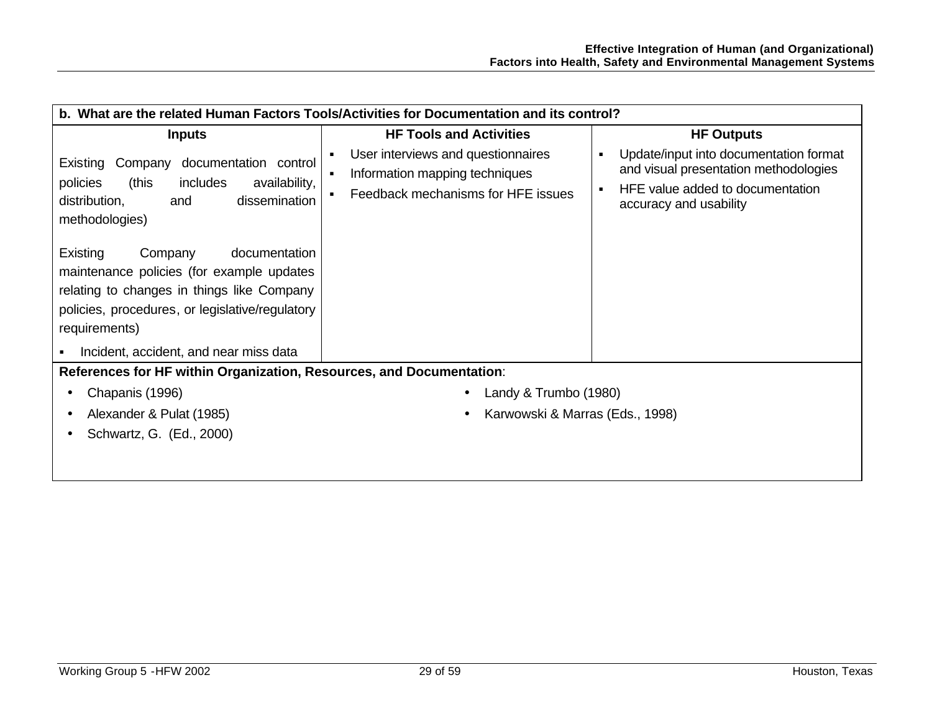| b. What are the related Human Factors Tools/Activities for Documentation and its control?                                                                                                                                                                                                                                                                                                                                    |                                                                                                                                                |                                                                                                                                                                      |  |
|------------------------------------------------------------------------------------------------------------------------------------------------------------------------------------------------------------------------------------------------------------------------------------------------------------------------------------------------------------------------------------------------------------------------------|------------------------------------------------------------------------------------------------------------------------------------------------|----------------------------------------------------------------------------------------------------------------------------------------------------------------------|--|
| <b>Inputs</b>                                                                                                                                                                                                                                                                                                                                                                                                                | <b>HF Tools and Activities</b>                                                                                                                 | <b>HF Outputs</b>                                                                                                                                                    |  |
| documentation control<br>Existing<br>Company<br>(this<br>includes<br>policies<br>availability,<br>dissemination<br>distribution,<br>and<br>methodologies)<br>Existing<br>documentation<br>Company<br>maintenance policies (for example updates<br>relating to changes in things like Company<br>policies, procedures, or legislative/regulatory<br>requirements)<br>Incident, accident, and near miss data<br>$\blacksquare$ | User interviews and questionnaires<br>$\blacksquare$<br>Information mapping techniques<br>$\blacksquare$<br>Feedback mechanisms for HFE issues | Update/input into documentation format<br>$\blacksquare$<br>and visual presentation methodologies<br>HFE value added to documentation<br>٠<br>accuracy and usability |  |
| References for HF within Organization, Resources, and Documentation:                                                                                                                                                                                                                                                                                                                                                         |                                                                                                                                                |                                                                                                                                                                      |  |
| Chapanis (1996)<br>$\bullet$                                                                                                                                                                                                                                                                                                                                                                                                 | Landy & Trumbo (1980)                                                                                                                          |                                                                                                                                                                      |  |
| Alexander & Pulat (1985)<br>$\bullet$                                                                                                                                                                                                                                                                                                                                                                                        | Karwowski & Marras (Eds., 1998)                                                                                                                |                                                                                                                                                                      |  |
| Schwartz, G. (Ed., 2000)<br>$\bullet$                                                                                                                                                                                                                                                                                                                                                                                        |                                                                                                                                                |                                                                                                                                                                      |  |
|                                                                                                                                                                                                                                                                                                                                                                                                                              |                                                                                                                                                |                                                                                                                                                                      |  |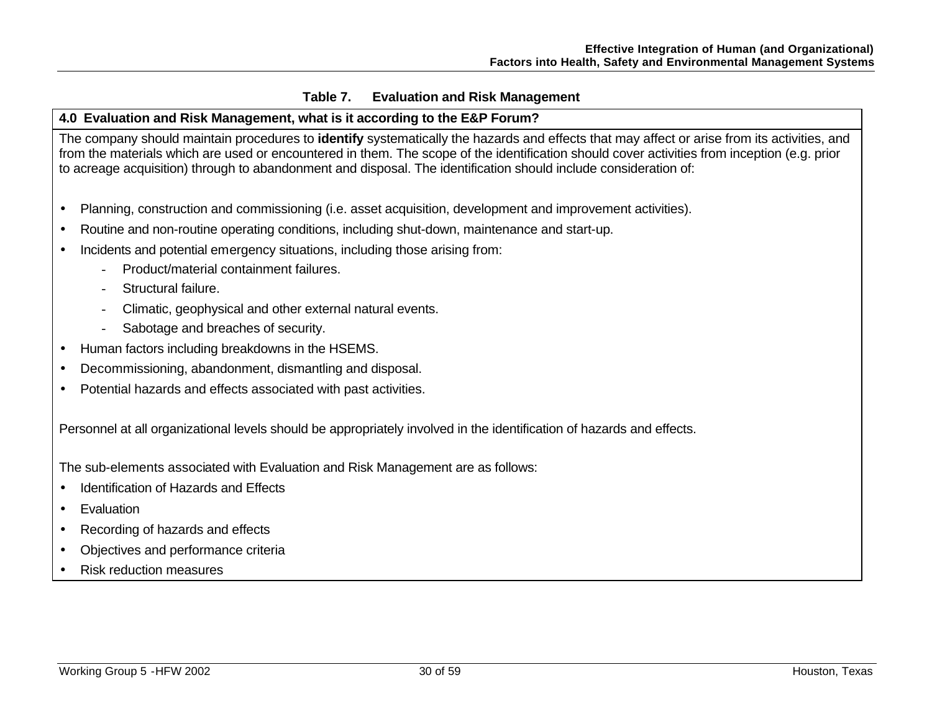## **Table 7. Evaluation and Risk Management**

## **4.0 Evaluation and Risk Management, what is it according to the E&P Forum?**

The company should maintain procedures to **identify** systematically the hazards and effects that may affect or arise from its activities, and from the materials which are used or encountered in them. The scope of the identification should cover activities from inception (e.g. prior to acreage acquisition) through to abandonment and disposal. The identification should include consideration of:

- Planning, construction and commissioning (i.e. asset acquisition, development and improvement activities).
- Routine and non-routine operating conditions, including shut-down, maintenance and start-up.
- Incidents and potential emergency situations, including those arising from:
	- Product/material containment failures.
	- Structural failure.
	- Climatic, geophysical and other external natural events.
	- Sabotage and breaches of security.
- Human factors including breakdowns in the HSEMS.
- Decommissioning, abandonment, dismantling and disposal.
- Potential hazards and effects associated with past activities.

Personnel at all organizational levels should be appropriately involved in the identification of hazards and effects.

The sub-elements associated with Evaluation and Risk Management are as follows:

- Identification of Hazards and Effects
- **Evaluation**
- Recording of hazards and effects
- Objectives and performance criteria
- Risk reduction measures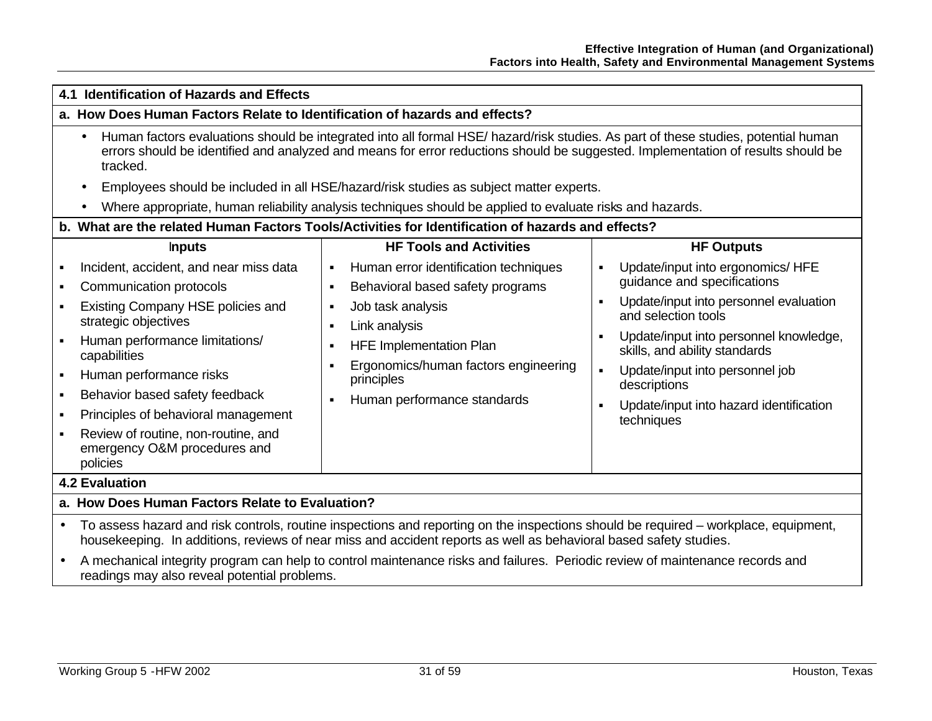| 4.1 Identification of Hazards and Effects                                                                                                                                                                                                                                                                                                                                    |                                                                                                                                                                                                                                                                                                                                                                                             |                                                                                                                                                                                                                                                                                                                                                                             |  |  |
|------------------------------------------------------------------------------------------------------------------------------------------------------------------------------------------------------------------------------------------------------------------------------------------------------------------------------------------------------------------------------|---------------------------------------------------------------------------------------------------------------------------------------------------------------------------------------------------------------------------------------------------------------------------------------------------------------------------------------------------------------------------------------------|-----------------------------------------------------------------------------------------------------------------------------------------------------------------------------------------------------------------------------------------------------------------------------------------------------------------------------------------------------------------------------|--|--|
| a. How Does Human Factors Relate to Identification of hazards and effects?                                                                                                                                                                                                                                                                                                   |                                                                                                                                                                                                                                                                                                                                                                                             |                                                                                                                                                                                                                                                                                                                                                                             |  |  |
| Human factors evaluations should be integrated into all formal HSE/ hazard/risk studies. As part of these studies, potential human<br>errors should be identified and analyzed and means for error reductions should be suggested. Implementation of results should be<br>tracked.                                                                                           |                                                                                                                                                                                                                                                                                                                                                                                             |                                                                                                                                                                                                                                                                                                                                                                             |  |  |
| $\bullet$                                                                                                                                                                                                                                                                                                                                                                    | Employees should be included in all HSE/hazard/risk studies as subject matter experts.                                                                                                                                                                                                                                                                                                      |                                                                                                                                                                                                                                                                                                                                                                             |  |  |
|                                                                                                                                                                                                                                                                                                                                                                              | Where appropriate, human reliability analysis techniques should be applied to evaluate risks and hazards.                                                                                                                                                                                                                                                                                   |                                                                                                                                                                                                                                                                                                                                                                             |  |  |
|                                                                                                                                                                                                                                                                                                                                                                              | b. What are the related Human Factors Tools/Activities for Identification of hazards and effects?                                                                                                                                                                                                                                                                                           |                                                                                                                                                                                                                                                                                                                                                                             |  |  |
| <b>Inputs</b>                                                                                                                                                                                                                                                                                                                                                                | <b>HF Tools and Activities</b>                                                                                                                                                                                                                                                                                                                                                              | <b>HF Outputs</b>                                                                                                                                                                                                                                                                                                                                                           |  |  |
| Incident, accident, and near miss data<br>Communication protocols<br>Existing Company HSE policies and<br>strategic objectives<br>Human performance limitations/<br>capabilities<br>Human performance risks<br>Behavior based safety feedback<br>٠<br>Principles of behavioral management<br>Review of routine, non-routine, and<br>emergency O&M procedures and<br>policies | Human error identification techniques<br>$\blacksquare$<br>Behavioral based safety programs<br>Job task analysis<br>$\blacksquare$<br>Link analysis<br><b>HFE Implementation Plan</b><br>Ergonomics/human factors engineering<br>principles<br>Human performance standards                                                                                                                  | Update/input into ergonomics/ HFE<br>٠<br>guidance and specifications<br>Update/input into personnel evaluation<br>٠<br>and selection tools<br>Update/input into personnel knowledge,<br>$\blacksquare$<br>skills, and ability standards<br>Update/input into personnel job<br>$\blacksquare$<br>descriptions<br>Update/input into hazard identification<br>п<br>techniques |  |  |
| <b>4.2 Evaluation</b>                                                                                                                                                                                                                                                                                                                                                        |                                                                                                                                                                                                                                                                                                                                                                                             |                                                                                                                                                                                                                                                                                                                                                                             |  |  |
| a. How Does Human Factors Relate to Evaluation?                                                                                                                                                                                                                                                                                                                              |                                                                                                                                                                                                                                                                                                                                                                                             |                                                                                                                                                                                                                                                                                                                                                                             |  |  |
| $\bullet$                                                                                                                                                                                                                                                                                                                                                                    | To assess hazard and risk controls, routine inspections and reporting on the inspections should be required - workplace, equipment,<br>housekeeping. In additions, reviews of near miss and accident reports as well as behavioral based safety studies.<br>A mechanical integrity program can belp to control maintenance rights and follures. Deriodio review of maintenance reserves and |                                                                                                                                                                                                                                                                                                                                                                             |  |  |

• A mechanical integrity program can help to control maintenance risks and failures. Periodic review of maintenance records and readings may also reveal potential problems.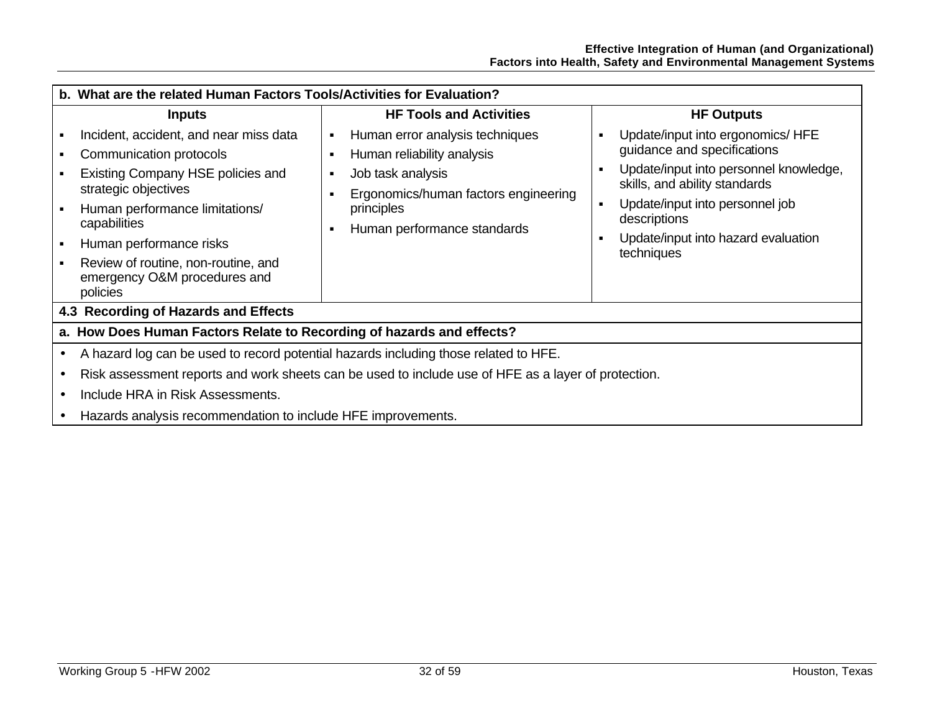| b. What are the related Human Factors Tools/Activities for Evaluation?                                                                                                                                                                                                                         |                                                                                                                                                                         |                                                                                                                                                                                                                                                                                                                |  |  |
|------------------------------------------------------------------------------------------------------------------------------------------------------------------------------------------------------------------------------------------------------------------------------------------------|-------------------------------------------------------------------------------------------------------------------------------------------------------------------------|----------------------------------------------------------------------------------------------------------------------------------------------------------------------------------------------------------------------------------------------------------------------------------------------------------------|--|--|
| <b>Inputs</b>                                                                                                                                                                                                                                                                                  | <b>HF Tools and Activities</b>                                                                                                                                          | <b>HF Outputs</b>                                                                                                                                                                                                                                                                                              |  |  |
| Incident, accident, and near miss data<br>Communication protocols<br>Existing Company HSE policies and<br>strategic objectives<br>Human performance limitations/<br>capabilities<br>Human performance risks<br>Review of routine, non-routine, and<br>emergency O&M procedures and<br>policies | Human error analysis techniques<br>Human reliability analysis<br>Job task analysis<br>Ergonomics/human factors engineering<br>principles<br>Human performance standards | Update/input into ergonomics/ HFE<br>$\blacksquare$<br>guidance and specifications<br>Update/input into personnel knowledge,<br>$\blacksquare$<br>skills, and ability standards<br>Update/input into personnel job<br>$\blacksquare$<br>descriptions<br>Update/input into hazard evaluation<br>٠<br>techniques |  |  |
| 4.3 Recording of Hazards and Effects                                                                                                                                                                                                                                                           |                                                                                                                                                                         |                                                                                                                                                                                                                                                                                                                |  |  |
| a. How Does Human Factors Relate to Recording of hazards and effects?                                                                                                                                                                                                                          |                                                                                                                                                                         |                                                                                                                                                                                                                                                                                                                |  |  |
| A hazard log can be used to record potential hazards including those related to HFE.                                                                                                                                                                                                           |                                                                                                                                                                         |                                                                                                                                                                                                                                                                                                                |  |  |
|                                                                                                                                                                                                                                                                                                | Risk assessment reports and work sheets can be used to include use of HFE as a layer of protection.                                                                     |                                                                                                                                                                                                                                                                                                                |  |  |
| Include HRA in Risk Assessments.                                                                                                                                                                                                                                                               |                                                                                                                                                                         |                                                                                                                                                                                                                                                                                                                |  |  |
| Hazards analysis recommendation to include HFE improvements.                                                                                                                                                                                                                                   |                                                                                                                                                                         |                                                                                                                                                                                                                                                                                                                |  |  |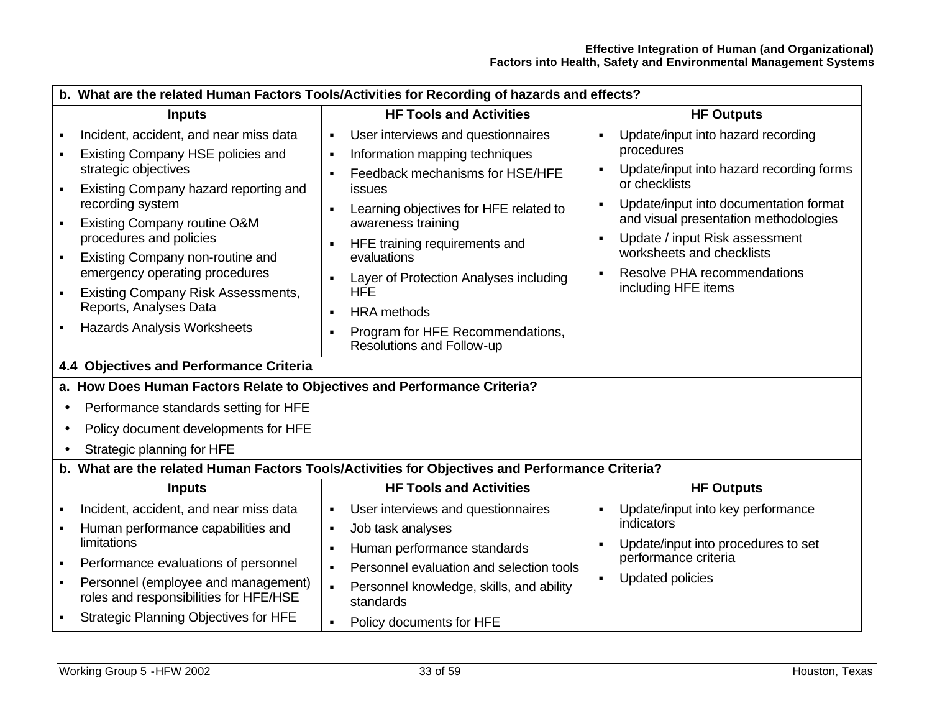|                | b. What are the related Human Factors Tools/Activities for Recording of hazards and effects?    |                |                                                               |                |                                                             |
|----------------|-------------------------------------------------------------------------------------------------|----------------|---------------------------------------------------------------|----------------|-------------------------------------------------------------|
|                | <b>Inputs</b>                                                                                   |                | <b>HF Tools and Activities</b>                                |                | <b>HF Outputs</b>                                           |
|                | Incident, accident, and near miss data                                                          | $\blacksquare$ | User interviews and questionnaires                            |                | Update/input into hazard recording                          |
|                | Existing Company HSE policies and                                                               | $\blacksquare$ | Information mapping techniques                                |                | procedures                                                  |
|                | strategic objectives                                                                            |                | Feedback mechanisms for HSE/HFE                               | ٠              | Update/input into hazard recording forms<br>or checklists   |
|                | Existing Company hazard reporting and<br>recording system                                       |                | issues                                                        | $\blacksquare$ | Update/input into documentation format                      |
|                | Existing Company routine O&M                                                                    |                | Learning objectives for HFE related to<br>awareness training  |                | and visual presentation methodologies                       |
|                | procedures and policies                                                                         | ٠              | HFE training requirements and                                 | $\blacksquare$ | Update / input Risk assessment                              |
| $\blacksquare$ | Existing Company non-routine and                                                                |                | evaluations                                                   |                | worksheets and checklists                                   |
|                | emergency operating procedures                                                                  |                | Layer of Protection Analyses including                        | $\blacksquare$ | Resolve PHA recommendations<br>including HFE items          |
| ٠              | <b>Existing Company Risk Assessments,</b><br>Reports, Analyses Data                             |                | <b>HFE</b>                                                    |                |                                                             |
|                |                                                                                                 |                | <b>HRA</b> methods                                            |                |                                                             |
|                | <b>Hazards Analysis Worksheets</b>                                                              |                | Program for HFE Recommendations,<br>Resolutions and Follow-up |                |                                                             |
|                | 4.4 Objectives and Performance Criteria                                                         |                |                                                               |                |                                                             |
|                | a. How Does Human Factors Relate to Objectives and Performance Criteria?                        |                |                                                               |                |                                                             |
| $\bullet$      | Performance standards setting for HFE                                                           |                |                                                               |                |                                                             |
| $\bullet$      | Policy document developments for HFE                                                            |                |                                                               |                |                                                             |
|                | Strategic planning for HFE                                                                      |                |                                                               |                |                                                             |
|                | b. What are the related Human Factors Tools/Activities for Objectives and Performance Criteria? |                |                                                               |                |                                                             |
|                | <b>Inputs</b>                                                                                   |                | <b>HF Tools and Activities</b>                                |                | <b>HF Outputs</b>                                           |
|                | Incident, accident, and near miss data                                                          | $\blacksquare$ | User interviews and questionnaires                            | ٠              | Update/input into key performance                           |
|                | Human performance capabilities and                                                              | $\blacksquare$ | Job task analyses                                             |                | indicators                                                  |
|                | limitations                                                                                     | $\blacksquare$ | Human performance standards                                   |                | Update/input into procedures to set<br>performance criteria |
| $\blacksquare$ | Performance evaluations of personnel                                                            |                | Personnel evaluation and selection tools                      | $\blacksquare$ |                                                             |
| ٠              | Personnel (employee and management)<br>roles and responsibilities for HFE/HSE                   | $\blacksquare$ | Personnel knowledge, skills, and ability<br>standards         |                | Updated policies                                            |
|                | Strategic Planning Objectives for HFE                                                           |                | Policy documents for HFE                                      |                |                                                             |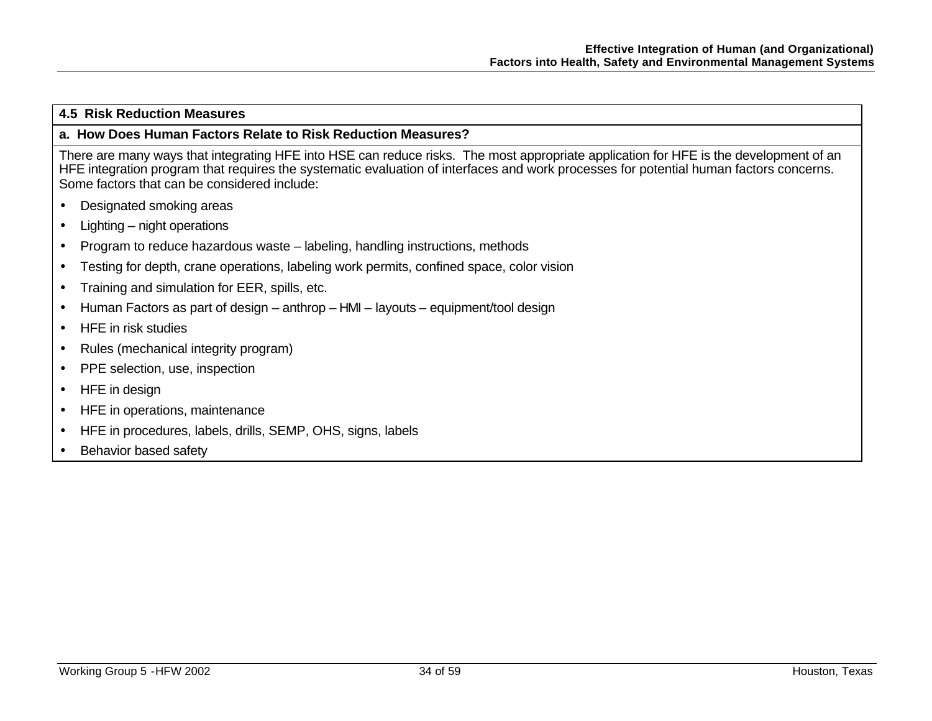#### **4.5 Risk Reduction Measures**

#### **a. How Does Human Factors Relate to Risk Reduction Measures?**

There are many ways that integrating HFE into HSE can reduce risks. The most appropriate application for HFE is the development of an HFE integration program that requires the systematic evaluation of interfaces and work processes for potential human factors concerns. Some factors that can be considered include:

- Designated smoking areas
- Lighting night operations
- Program to reduce hazardous waste labeling, handling instructions, methods
- Testing for depth, crane operations, labeling work permits, confined space, color vision
- Training and simulation for EER, spills, etc.
- Human Factors as part of design anthrop HMI layouts equipment/tool design
- HFE in risk studies
- Rules (mechanical integrity program)
- PPE selection, use, inspection
- HFE in design
- HFE in operations, maintenance
- HFE in procedures, labels, drills, SEMP, OHS, signs, labels
- **Behavior based safety**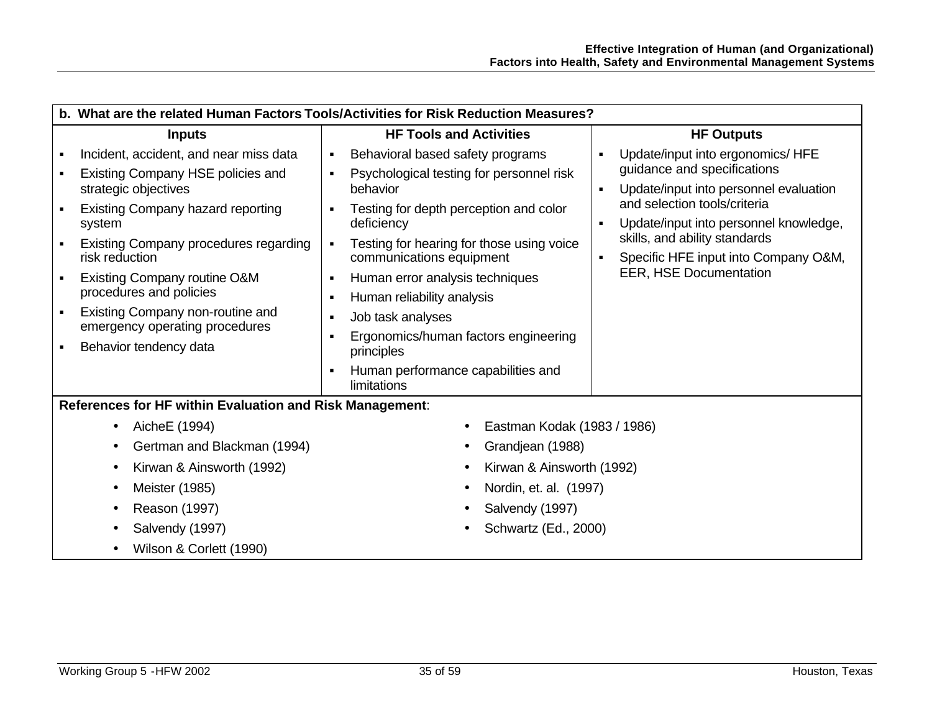|                | b. What are the related Human Factors Tools/Activities for Risk Reduction Measures? |                                                                                                     |                                                                                                                                         |  |
|----------------|-------------------------------------------------------------------------------------|-----------------------------------------------------------------------------------------------------|-----------------------------------------------------------------------------------------------------------------------------------------|--|
|                | <b>Inputs</b>                                                                       | <b>HF Tools and Activities</b>                                                                      | <b>HF Outputs</b>                                                                                                                       |  |
| л              | Incident, accident, and near miss data<br>Existing Company HSE policies and         | Behavioral based safety programs<br>٠<br>Psychological testing for personnel risk<br>$\blacksquare$ | Update/input into ergonomics/ HFE<br>$\blacksquare$<br>guidance and specifications                                                      |  |
|                | strategic objectives<br><b>Existing Company hazard reporting</b><br>system          | behavior<br>Testing for depth perception and color<br>deficiency                                    | Update/input into personnel evaluation<br>$\blacksquare$<br>and selection tools/criteria<br>Update/input into personnel knowledge,<br>п |  |
|                | <b>Existing Company procedures regarding</b><br>risk reduction                      | Testing for hearing for those using voice<br>communications equipment                               | skills, and ability standards<br>Specific HFE input into Company O&M,<br>$\blacksquare$                                                 |  |
|                | Existing Company routine O&M<br>procedures and policies                             | Human error analysis techniques<br>$\blacksquare$<br>Human reliability analysis<br>$\blacksquare$   | <b>EER, HSE Documentation</b>                                                                                                           |  |
| $\blacksquare$ | Existing Company non-routine and<br>emergency operating procedures                  | Job task analyses<br>$\blacksquare$<br>Ergonomics/human factors engineering<br>$\blacksquare$       |                                                                                                                                         |  |
|                | Behavior tendency data                                                              | principles                                                                                          |                                                                                                                                         |  |
|                |                                                                                     | Human performance capabilities and<br>limitations                                                   |                                                                                                                                         |  |
|                | References for HF within Evaluation and Risk Management:                            |                                                                                                     |                                                                                                                                         |  |
|                | AicheE (1994)<br>$\bullet$                                                          | Eastman Kodak (1983 / 1986)                                                                         |                                                                                                                                         |  |
|                | Gertman and Blackman (1994)                                                         | Grandjean (1988)                                                                                    |                                                                                                                                         |  |
|                | Kirwan & Ainsworth (1992)<br>$\bullet$                                              | Kirwan & Ainsworth (1992)                                                                           |                                                                                                                                         |  |
|                | Meister (1985)<br>$\bullet$                                                         | Nordin, et. al. (1997)                                                                              |                                                                                                                                         |  |
|                | Reason (1997)                                                                       | Salvendy (1997)                                                                                     |                                                                                                                                         |  |
|                | Salvendy (1997)                                                                     | Schwartz (Ed., 2000)                                                                                |                                                                                                                                         |  |
|                | Wilson & Corlett (1990)                                                             |                                                                                                     |                                                                                                                                         |  |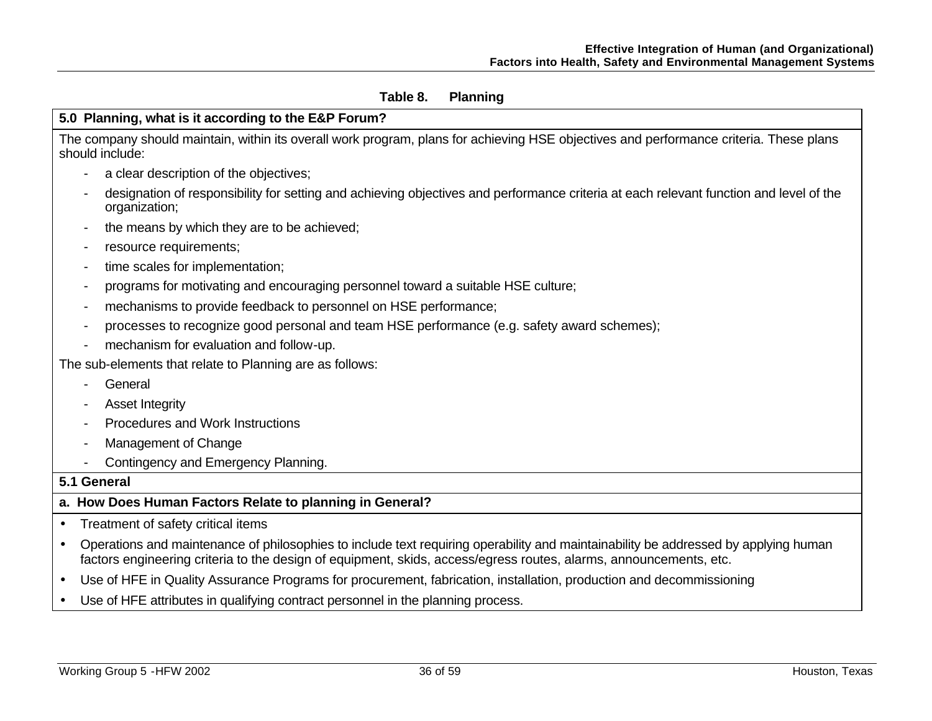### **Table 8. Planning**

## **5.0 Planning, what is it according to the E&P Forum?**

The company should maintain, within its overall work program, plans for achieving HSE objectives and performance criteria. These plans should include:

- a clear description of the objectives;
- designation of responsibility for setting and achieving objectives and performance criteria at each relevant function and level of the organization;
- the means by which they are to be achieved;
- resource requirements;
- time scales for implementation;
- programs for motivating and encouraging personnel toward a suitable HSE culture;
- mechanisms to provide feedback to personnel on HSE performance;
- processes to recognize good personal and team HSE performance (e.g. safety award schemes);
- mechanism for evaluation and follow-up.

The sub-elements that relate to Planning are as follows:

- **General**
- Asset Integrity
- Procedures and Work Instructions
- Management of Change
- Contingency and Emergency Planning.

#### **5.1 General**

#### **a. How Does Human Factors Relate to planning in General?**

- Treatment of safety critical items
- Operations and maintenance of philosophies to include text requiring operability and maintainability be addressed by applying human factors engineering criteria to the design of equipment, skids, access/egress routes, alarms, announcements, etc.
- Use of HFE in Quality Assurance Programs for procurement, fabrication, installation, production and decommissioning
- Use of HFE attributes in qualifying contract personnel in the planning process.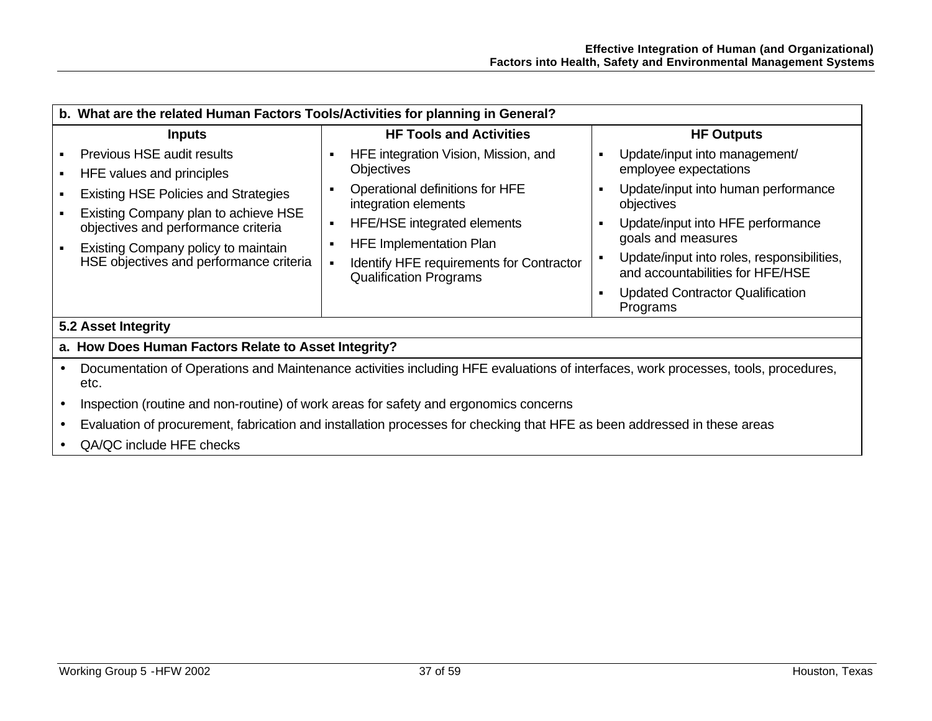| b. What are the related Human Factors Tools/Activities for planning in General?                                                                                                                                              |                                                                                                                                                                                |                                                                                                                                                                                                                                |  |  |
|------------------------------------------------------------------------------------------------------------------------------------------------------------------------------------------------------------------------------|--------------------------------------------------------------------------------------------------------------------------------------------------------------------------------|--------------------------------------------------------------------------------------------------------------------------------------------------------------------------------------------------------------------------------|--|--|
| <b>Inputs</b>                                                                                                                                                                                                                | <b>HF Tools and Activities</b>                                                                                                                                                 | <b>HF Outputs</b>                                                                                                                                                                                                              |  |  |
| Previous HSE audit results<br>HFE values and principles<br><b>Existing HSE Policies and Strategies</b><br>Existing Company plan to achieve HSE<br>objectives and performance criteria<br>Existing Company policy to maintain | HFE integration Vision, Mission, and<br><b>Objectives</b><br>Operational definitions for HFE<br>integration elements<br>HFE/HSE integrated elements<br>HFE Implementation Plan | Update/input into management/<br>٠<br>employee expectations<br>Update/input into human performance<br>п<br>objectives<br>Update/input into HFE performance<br>goals and measures<br>Update/input into roles, responsibilities, |  |  |
| HSE objectives and performance criteria                                                                                                                                                                                      | <b>Identify HFE requirements for Contractor</b><br><b>Qualification Programs</b>                                                                                               | and accountabilities for HFE/HSE<br><b>Updated Contractor Qualification</b><br>Programs                                                                                                                                        |  |  |
| 5.2 Asset Integrity                                                                                                                                                                                                          |                                                                                                                                                                                |                                                                                                                                                                                                                                |  |  |
| a. How Does Human Factors Relate to Asset Integrity?                                                                                                                                                                         |                                                                                                                                                                                |                                                                                                                                                                                                                                |  |  |
| Documentation of Operations and Maintenance activities including HFE evaluations of interfaces, work processes, tools, procedures,<br>etc.                                                                                   |                                                                                                                                                                                |                                                                                                                                                                                                                                |  |  |
|                                                                                                                                                                                                                              | Inspection (routine and non-routine) of work areas for safety and ergonomics concerns                                                                                          |                                                                                                                                                                                                                                |  |  |
| Evaluation of procurement, fabrication and installation processes for checking that HFE as been addressed in these areas                                                                                                     |                                                                                                                                                                                |                                                                                                                                                                                                                                |  |  |

• QA/QC include HFE checks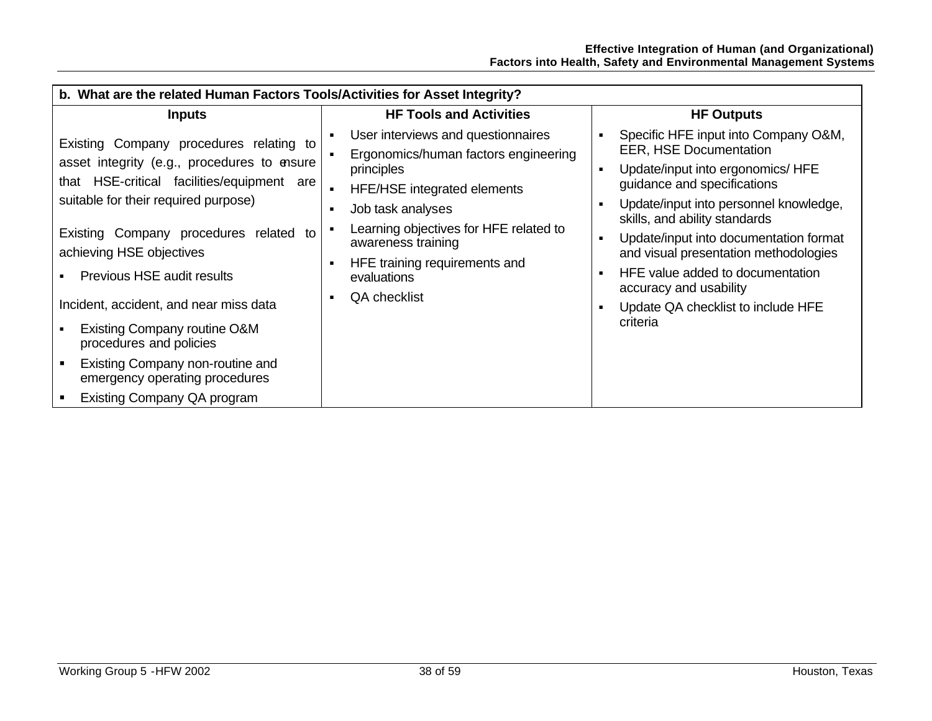| b. What are the related Human Factors Tools/Activities for Asset Integrity?                                                                                                                                                                                                                                                                                                                                                                                                                |                                                                                                                                                                                                                                                                                     |                                                                                                                                                                                                                                                                                                                                                                                                                         |  |  |  |
|--------------------------------------------------------------------------------------------------------------------------------------------------------------------------------------------------------------------------------------------------------------------------------------------------------------------------------------------------------------------------------------------------------------------------------------------------------------------------------------------|-------------------------------------------------------------------------------------------------------------------------------------------------------------------------------------------------------------------------------------------------------------------------------------|-------------------------------------------------------------------------------------------------------------------------------------------------------------------------------------------------------------------------------------------------------------------------------------------------------------------------------------------------------------------------------------------------------------------------|--|--|--|
| <b>Inputs</b>                                                                                                                                                                                                                                                                                                                                                                                                                                                                              | <b>HF Tools and Activities</b>                                                                                                                                                                                                                                                      | <b>HF Outputs</b>                                                                                                                                                                                                                                                                                                                                                                                                       |  |  |  |
| Existing Company procedures relating to<br>asset integrity (e.g., procedures to ensure<br>that HSE-critical facilities/equipment are<br>suitable for their required purpose)<br>Existing Company procedures related to<br>achieving HSE objectives<br>Previous HSE audit results<br>Incident, accident, and near miss data<br>Existing Company routine O&M<br>procedures and policies<br>Existing Company non-routine and<br>emergency operating procedures<br>Existing Company QA program | User interviews and questionnaires<br>Ergonomics/human factors engineering<br>principles<br><b>HFE/HSE</b> integrated elements<br>Job task analyses<br>Learning objectives for HFE related to<br>awareness training<br>HFE training requirements and<br>evaluations<br>QA checklist | Specific HFE input into Company O&M,<br><b>EER, HSE Documentation</b><br>Update/input into ergonomics/ HFE<br>guidance and specifications<br>Update/input into personnel knowledge,<br>skills, and ability standards<br>Update/input into documentation format<br>and visual presentation methodologies<br>HFE value added to documentation<br>accuracy and usability<br>Update QA checklist to include HFE<br>criteria |  |  |  |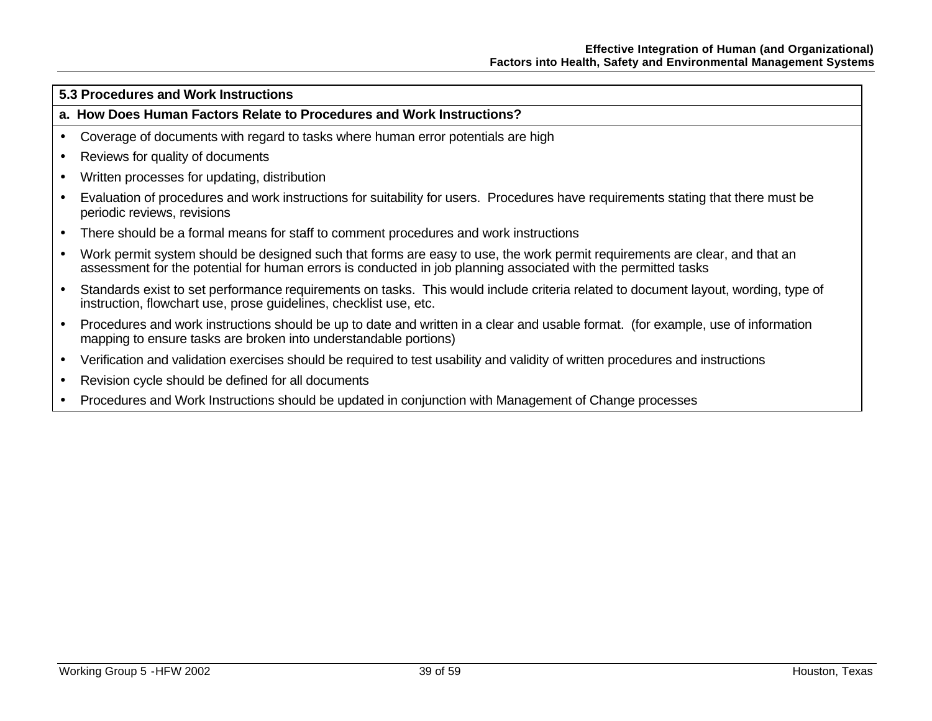#### **5.3 Procedures and Work Instructions**

#### **a. How Does Human Factors Relate to Procedures and Work Instructions?**

- Coverage of documents with regard to tasks where human error potentials are high
- Reviews for quality of documents
- Written processes for updating, distribution
- Evaluation of procedures and work instructions for suitability for users. Procedures have requirements stating that there must be periodic reviews, revisions
- There should be a formal means for staff to comment procedures and work instructions
- Work permit system should be designed such that forms are easy to use, the work permit requirements are clear, and that an assessment for the potential for human errors is conducted in job planning associated with the permitted tasks
- Standards exist to set performance requirements on tasks. This would include criteria related to document layout, wording, type of instruction, flowchart use, prose guidelines, checklist use, etc.
- Procedures and work instructions should be up to date and written in a clear and usable format. (for example, use of information mapping to ensure tasks are broken into understandable portions)
- Verification and validation exercises should be required to test usability and validity of written procedures and instructions
- Revision cycle should be defined for all documents
- Procedures and Work Instructions should be updated in conjunction with Management of Change processes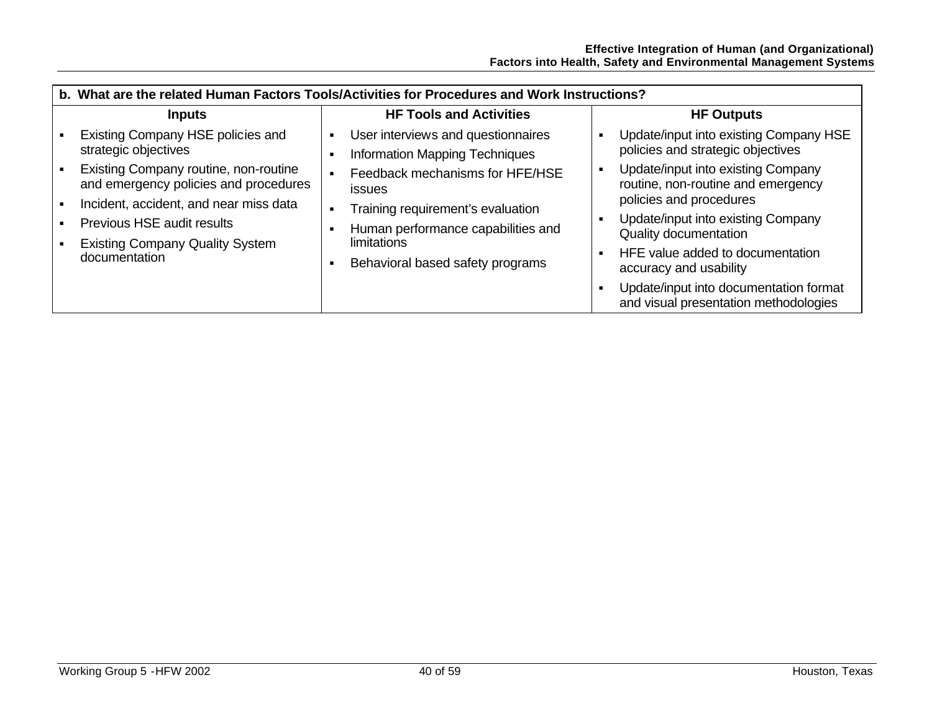| b. What are the related Human Factors Tools/Activities for Procedures and Work Instructions?                             |                                                                                        |                                                                                                     |  |
|--------------------------------------------------------------------------------------------------------------------------|----------------------------------------------------------------------------------------|-----------------------------------------------------------------------------------------------------|--|
| <b>Inputs</b>                                                                                                            | <b>HF Tools and Activities</b>                                                         | <b>HF Outputs</b>                                                                                   |  |
| Existing Company HSE policies and<br>strategic objectives                                                                | User interviews and questionnaires<br><b>Information Mapping Techniques</b>            | Update/input into existing Company HSE<br>policies and strategic objectives                         |  |
| Existing Company routine, non-routine<br>and emergency policies and procedures<br>Incident, accident, and near miss data | Feedback mechanisms for HFE/HSE<br><b>issues</b>                                       | Update/input into existing Company<br>routine, non-routine and emergency<br>policies and procedures |  |
| <b>Previous HSE audit results</b>                                                                                        | Training requirement's evaluation<br>Human performance capabilities and<br>limitations | Update/input into existing Company<br><b>Quality documentation</b>                                  |  |
| <b>Existing Company Quality System</b><br>documentation                                                                  | Behavioral based safety programs                                                       | HFE value added to documentation<br>accuracy and usability                                          |  |
|                                                                                                                          |                                                                                        | Update/input into documentation format<br>and visual presentation methodologies                     |  |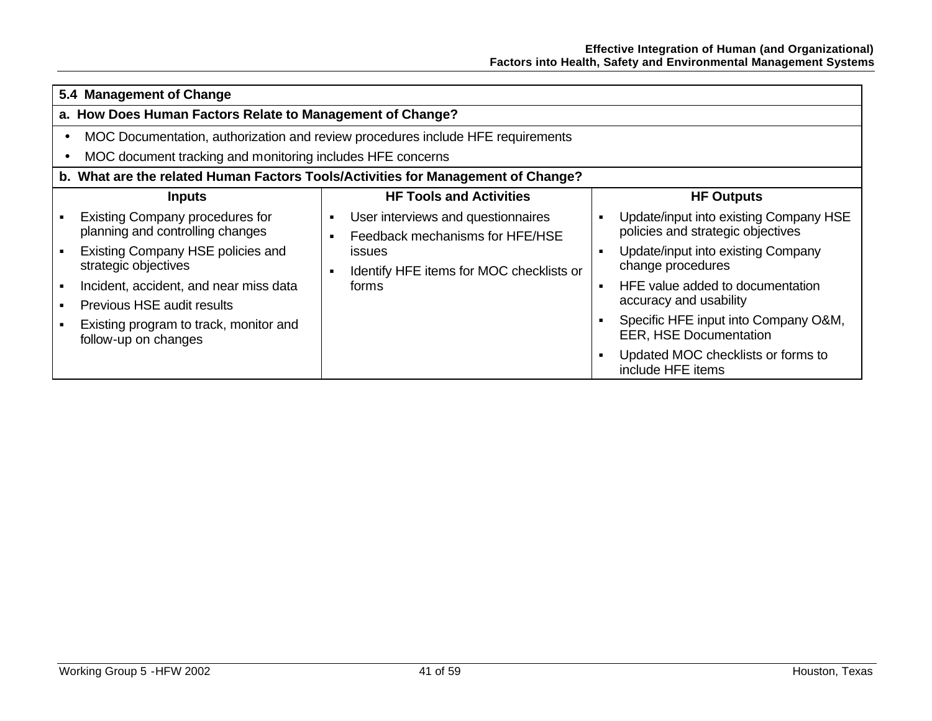| 5.4 Management of Change                                                         |  |                                                                       |                |                                                                             |  |
|----------------------------------------------------------------------------------|--|-----------------------------------------------------------------------|----------------|-----------------------------------------------------------------------------|--|
| a. How Does Human Factors Relate to Management of Change?                        |  |                                                                       |                |                                                                             |  |
| MOC Documentation, authorization and review procedures include HFE requirements  |  |                                                                       |                |                                                                             |  |
| MOC document tracking and monitoring includes HFE concerns                       |  |                                                                       |                |                                                                             |  |
| b. What are the related Human Factors Tools/Activities for Management of Change? |  |                                                                       |                |                                                                             |  |
| <b>Inputs</b>                                                                    |  | <b>HF Tools and Activities</b>                                        |                | <b>HF Outputs</b>                                                           |  |
| <b>Existing Company procedures for</b><br>planning and controlling changes       |  | User interviews and questionnaires<br>Feedback mechanisms for HFE/HSE | ٠              | Update/input into existing Company HSE<br>policies and strategic objectives |  |
| Existing Company HSE policies and<br>strategic objectives                        |  | <i>issues</i><br>Identify HFE items for MOC checklists or             | $\bullet$      | Update/input into existing Company<br>change procedures                     |  |
| Incident, accident, and near miss data<br><b>Previous HSE audit results</b>      |  | forms                                                                 | $\blacksquare$ | HFE value added to documentation<br>accuracy and usability                  |  |
| Existing program to track, monitor and<br>follow-up on changes                   |  |                                                                       |                | Specific HFE input into Company O&M,<br><b>EER, HSE Documentation</b>       |  |
|                                                                                  |  |                                                                       | $\blacksquare$ | Updated MOC checklists or forms to<br>include HFE items                     |  |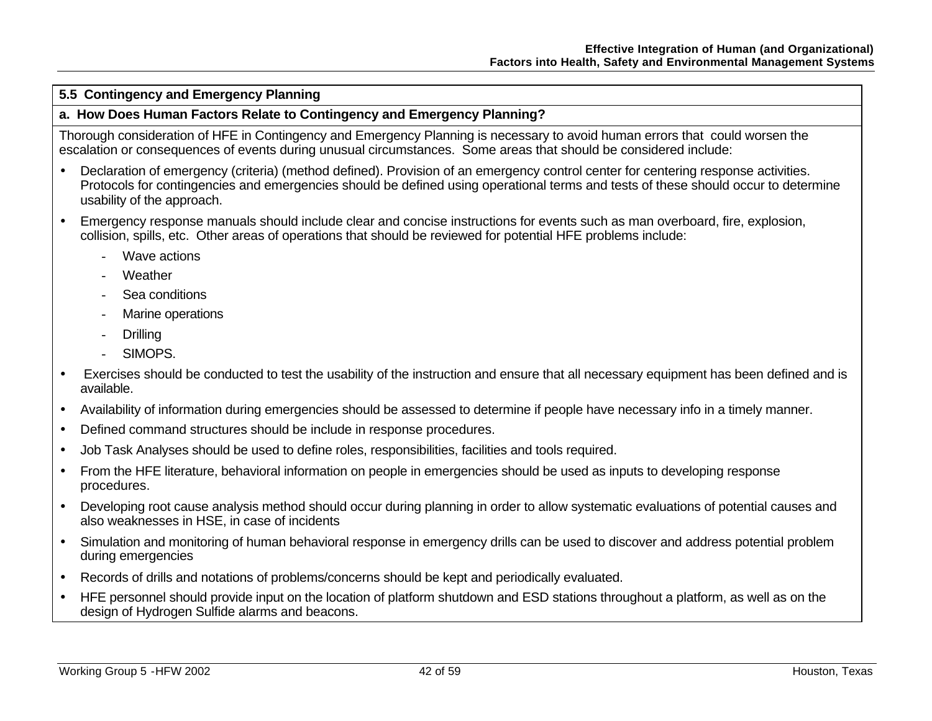## **5.5 Contingency and Emergency Planning**

#### **a. How Does Human Factors Relate to Contingency and Emergency Planning?**

Thorough consideration of HFE in Contingency and Emergency Planning is necessary to avoid human errors that could worsen the escalation or consequences of events during unusual circumstances. Some areas that should be considered include:

- Declaration of emergency (criteria) (method defined). Provision of an emergency control center for centering response activities. Protocols for contingencies and emergencies should be defined using operational terms and tests of these should occur to determine usability of the approach.
- Emergency response manuals should include clear and concise instructions for events such as man overboard, fire, explosion, collision, spills, etc. Other areas of operations that should be reviewed for potential HFE problems include:
	- Wave actions
	- Weather
	- Sea conditions
	- Marine operations
	- **Drilling**
	- SIMOPS.
- Exercises should be conducted to test the usability of the instruction and ensure that all necessary equipment has been defined and is available.
- Availability of information during emergencies should be assessed to determine if people have necessary info in a timely manner.
- Defined command structures should be include in response procedures.
- Job Task Analyses should be used to define roles, responsibilities, facilities and tools required.
- From the HFE literature, behavioral information on people in emergencies should be used as inputs to developing response procedures.
- Developing root cause analysis method should occur during planning in order to allow systematic evaluations of potential causes and also weaknesses in HSE, in case of incidents
- Simulation and monitoring of human behavioral response in emergency drills can be used to discover and address potential problem during emergencies
- Records of drills and notations of problems/concerns should be kept and periodically evaluated.
- HFE personnel should provide input on the location of platform shutdown and ESD stations throughout a platform, as well as on the design of Hydrogen Sulfide alarms and beacons.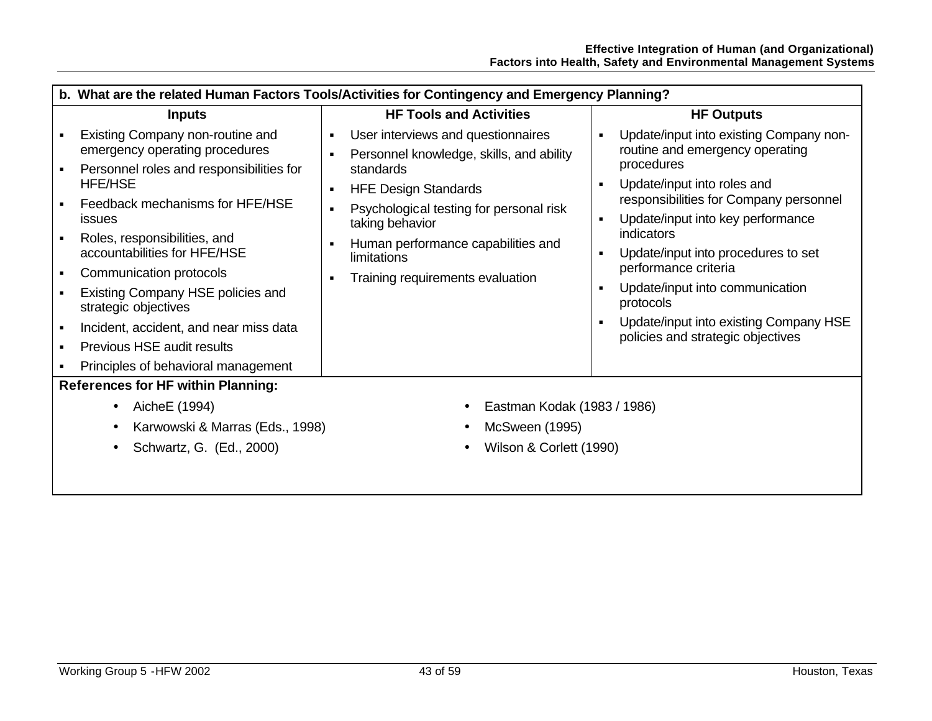|                                           | b. What are the related Human Factors Tools/Activities for Contingency and Emergency Planning? |                                                                                |                                                                                                            |  |  |
|-------------------------------------------|------------------------------------------------------------------------------------------------|--------------------------------------------------------------------------------|------------------------------------------------------------------------------------------------------------|--|--|
|                                           | <b>Inputs</b>                                                                                  | <b>HF Tools and Activities</b>                                                 | <b>HF Outputs</b>                                                                                          |  |  |
|                                           | Existing Company non-routine and<br>emergency operating procedures                             | User interviews and questionnaires<br>Personnel knowledge, skills, and ability | Update/input into existing Company non-<br>$\blacksquare$<br>routine and emergency operating<br>procedures |  |  |
|                                           | Personnel roles and responsibilities for<br><b>HFE/HSE</b>                                     | standards<br><b>HFE Design Standards</b><br>٠                                  | Update/input into roles and<br>$\blacksquare$                                                              |  |  |
|                                           | Feedback mechanisms for HFE/HSE<br><b>issues</b>                                               | Psychological testing for personal risk<br>taking behavior                     | responsibilities for Company personnel<br>Update/input into key performance<br>٠                           |  |  |
|                                           | Roles, responsibilities, and<br>accountabilities for HFE/HSE                                   | Human performance capabilities and<br>limitations                              | indicators<br>Update/input into procedures to set<br>٠                                                     |  |  |
|                                           | Communication protocols                                                                        | Training requirements evaluation                                               | performance criteria                                                                                       |  |  |
|                                           | Existing Company HSE policies and<br>strategic objectives                                      |                                                                                | Update/input into communication<br>$\blacksquare$<br>protocols                                             |  |  |
|                                           | Incident, accident, and near miss data                                                         |                                                                                | Update/input into existing Company HSE<br>٠<br>policies and strategic objectives                           |  |  |
|                                           | Previous HSE audit results                                                                     |                                                                                |                                                                                                            |  |  |
|                                           | Principles of behavioral management                                                            |                                                                                |                                                                                                            |  |  |
| <b>References for HF within Planning:</b> |                                                                                                |                                                                                |                                                                                                            |  |  |
|                                           | AicheE (1994)                                                                                  | Eastman Kodak (1983 / 1986)                                                    |                                                                                                            |  |  |
|                                           | Karwowski & Marras (Eds., 1998)                                                                | McSween (1995)                                                                 |                                                                                                            |  |  |
|                                           | Schwartz, G. (Ed., 2000)                                                                       | Wilson & Corlett (1990)                                                        |                                                                                                            |  |  |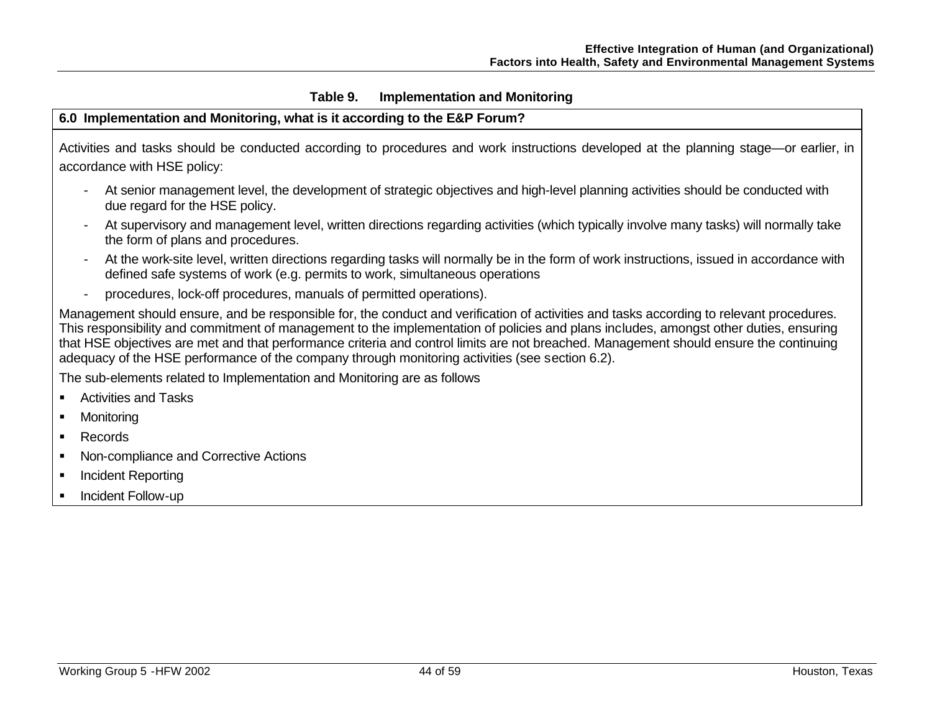## **Table 9. Implementation and Monitoring**

## **6.0 Implementation and Monitoring, what is it according to the E&P Forum?**

Activities and tasks should be conducted according to procedures and work instructions developed at the planning stage—or earlier, in accordance with HSE policy:

- At senior management level, the development of strategic objectives and high-level planning activities should be conducted with due regard for the HSE policy.
- At supervisory and management level, written directions regarding activities (which typically involve many tasks) will normally take the form of plans and procedures.
- At the work-site level, written directions regarding tasks will normally be in the form of work instructions, issued in accordance with defined safe systems of work (e.g. permits to work, simultaneous operations
- procedures, lock-off procedures, manuals of permitted operations).

Management should ensure, and be responsible for, the conduct and verification of activities and tasks according to relevant procedures. This responsibility and commitment of management to the implementation of policies and plans includes, amongst other duties, ensuring that HSE objectives are met and that performance criteria and control limits are not breached. Management should ensure the continuing adequacy of the HSE performance of the company through monitoring activities (see section 6.2).

The sub-elements related to Implementation and Monitoring are as follows

- ß Activities and Tasks
- Monitoring
- Records
- ß Non-compliance and Corrective Actions
- ß Incident Reporting
- **EXEC** Incident Follow-up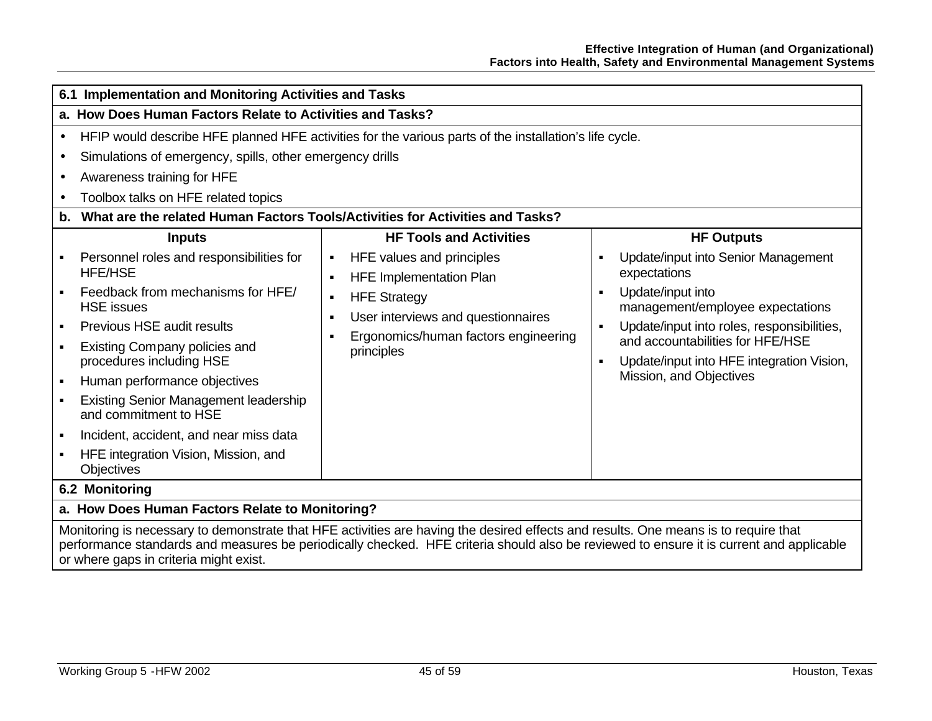| 6.1 Implementation and Monitoring Activities and Tasks                                                                                                                                                                                                                                                                                                                |                                                                                                                                                                          |                                                                                                                                                                                                                                                                                       |  |  |
|-----------------------------------------------------------------------------------------------------------------------------------------------------------------------------------------------------------------------------------------------------------------------------------------------------------------------------------------------------------------------|--------------------------------------------------------------------------------------------------------------------------------------------------------------------------|---------------------------------------------------------------------------------------------------------------------------------------------------------------------------------------------------------------------------------------------------------------------------------------|--|--|
| a. How Does Human Factors Relate to Activities and Tasks?                                                                                                                                                                                                                                                                                                             |                                                                                                                                                                          |                                                                                                                                                                                                                                                                                       |  |  |
| HFIP would describe HFE planned HFE activities for the various parts of the installation's life cycle.<br>$\bullet$<br>Simulations of emergency, spills, other emergency drills<br>$\bullet$<br>Awareness training for HFE<br>$\bullet$<br>Toolbox talks on HFE related topics<br>What are the related Human Factors Tools/Activities for Activities and Tasks?<br>b. |                                                                                                                                                                          |                                                                                                                                                                                                                                                                                       |  |  |
| <b>Inputs</b><br>Personnel roles and responsibilities for                                                                                                                                                                                                                                                                                                             | <b>HF Tools and Activities</b><br>HFE values and principles<br>$\blacksquare$                                                                                            | <b>HF Outputs</b><br>Update/input into Senior Management<br>٠                                                                                                                                                                                                                         |  |  |
| <b>HFE/HSE</b><br>Feedback from mechanisms for HFE/<br><b>HSE</b> issues<br>Previous HSE audit results<br>$\blacksquare$<br>Existing Company policies and<br>procedures including HSE<br>Human performance objectives<br><b>Existing Senior Management leadership</b><br>and commitment to HSE<br>Incident, accident, and near miss data                              | <b>HFE Implementation Plan</b><br><b>HFE Strategy</b><br>٠<br>User interviews and questionnaires<br>$\blacksquare$<br>Ergonomics/human factors engineering<br>principles | expectations<br>Update/input into<br>$\blacksquare$<br>management/employee expectations<br>Update/input into roles, responsibilities,<br>$\blacksquare$<br>and accountabilities for HFE/HSE<br>Update/input into HFE integration Vision,<br>$\blacksquare$<br>Mission, and Objectives |  |  |
| HFE integration Vision, Mission, and<br><b>Objectives</b>                                                                                                                                                                                                                                                                                                             |                                                                                                                                                                          |                                                                                                                                                                                                                                                                                       |  |  |
| 6.2 Monitoring                                                                                                                                                                                                                                                                                                                                                        |                                                                                                                                                                          |                                                                                                                                                                                                                                                                                       |  |  |
| a. How Does Human Factors Relate to Monitoring?                                                                                                                                                                                                                                                                                                                       |                                                                                                                                                                          |                                                                                                                                                                                                                                                                                       |  |  |
| Monitoring is necessary to demonstrate that HFE activities are having the desired effects and results. One means is to require that<br>performance standards and measures be periodically checked. HFE criteria should also be reviewed to ensure it is current and applicable<br>or where gaps in criteria might exist.                                              |                                                                                                                                                                          |                                                                                                                                                                                                                                                                                       |  |  |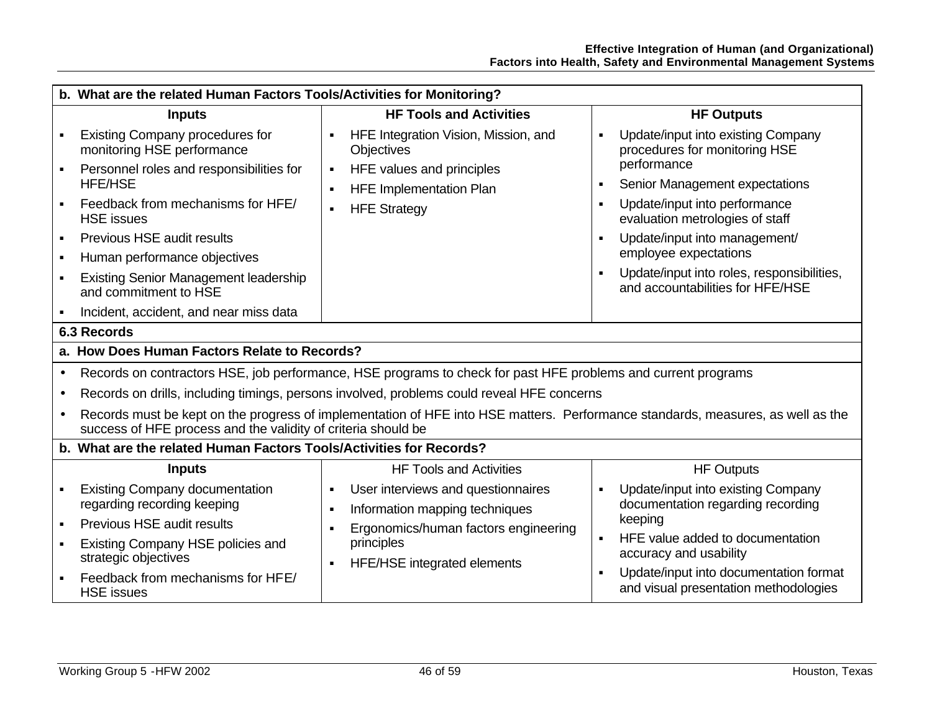|           | b. What are the related Human Factors Tools/Activities for Monitoring?                                                                                                                                                                                                                                       |                                                                                                                             |                                                                                                                                                                                                                                                                                                                     |  |  |  |  |
|-----------|--------------------------------------------------------------------------------------------------------------------------------------------------------------------------------------------------------------------------------------------------------------------------------------------------------------|-----------------------------------------------------------------------------------------------------------------------------|---------------------------------------------------------------------------------------------------------------------------------------------------------------------------------------------------------------------------------------------------------------------------------------------------------------------|--|--|--|--|
|           | <b>Inputs</b>                                                                                                                                                                                                                                                                                                | <b>HF Tools and Activities</b>                                                                                              | <b>HF Outputs</b>                                                                                                                                                                                                                                                                                                   |  |  |  |  |
|           | <b>Existing Company procedures for</b><br>monitoring HSE performance                                                                                                                                                                                                                                         | HFE Integration Vision, Mission, and<br><b>Objectives</b>                                                                   | Update/input into existing Company<br>$\blacksquare$<br>procedures for monitoring HSE                                                                                                                                                                                                                               |  |  |  |  |
|           | Personnel roles and responsibilities for<br><b>HFE/HSE</b><br>Feedback from mechanisms for HFE/<br><b>HSE</b> issues<br><b>Previous HSE audit results</b><br>Human performance objectives<br><b>Existing Senior Management leadership</b><br>and commitment to HSE<br>Incident, accident, and near miss data | HFE values and principles<br>$\blacksquare$<br><b>HFE Implementation Plan</b><br>٠<br><b>HFE Strategy</b><br>$\blacksquare$ | performance<br>Senior Management expectations<br>$\blacksquare$<br>Update/input into performance<br>$\blacksquare$<br>evaluation metrologies of staff<br>Update/input into management/<br>$\blacksquare$<br>employee expectations<br>Update/input into roles, responsibilities,<br>and accountabilities for HFE/HSE |  |  |  |  |
|           | 6.3 Records                                                                                                                                                                                                                                                                                                  |                                                                                                                             |                                                                                                                                                                                                                                                                                                                     |  |  |  |  |
|           | a. How Does Human Factors Relate to Records?                                                                                                                                                                                                                                                                 |                                                                                                                             |                                                                                                                                                                                                                                                                                                                     |  |  |  |  |
| $\bullet$ | Records on contractors HSE, job performance, HSE programs to check for past HFE problems and current programs                                                                                                                                                                                                |                                                                                                                             |                                                                                                                                                                                                                                                                                                                     |  |  |  |  |
|           | Records on drills, including timings, persons involved, problems could reveal HFE concerns                                                                                                                                                                                                                   |                                                                                                                             |                                                                                                                                                                                                                                                                                                                     |  |  |  |  |
|           | Records must be kept on the progress of implementation of HFE into HSE matters. Performance standards, measures, as well as the<br>success of HFE process and the validity of criteria should be                                                                                                             |                                                                                                                             |                                                                                                                                                                                                                                                                                                                     |  |  |  |  |
|           | b. What are the related Human Factors Tools/Activities for Records?                                                                                                                                                                                                                                          |                                                                                                                             |                                                                                                                                                                                                                                                                                                                     |  |  |  |  |
|           | <b>Inputs</b>                                                                                                                                                                                                                                                                                                | <b>HF Tools and Activities</b>                                                                                              | <b>HF Outputs</b>                                                                                                                                                                                                                                                                                                   |  |  |  |  |
|           | <b>Existing Company documentation</b><br>regarding recording keeping                                                                                                                                                                                                                                         | User interviews and questionnaires<br>Information mapping techniques<br>٠                                                   | Update/input into existing Company<br>٠<br>documentation regarding recording                                                                                                                                                                                                                                        |  |  |  |  |
|           | <b>Previous HSE audit results</b>                                                                                                                                                                                                                                                                            | Ergonomics/human factors engineering                                                                                        | keeping                                                                                                                                                                                                                                                                                                             |  |  |  |  |
|           | Existing Company HSE policies and<br>strategic objectives                                                                                                                                                                                                                                                    | principles<br><b>HFE/HSE</b> integrated elements<br>٠                                                                       | HFE value added to documentation<br>$\blacksquare$<br>accuracy and usability                                                                                                                                                                                                                                        |  |  |  |  |
|           | Feedback from mechanisms for HFE/<br><b>HSE</b> issues                                                                                                                                                                                                                                                       |                                                                                                                             | Update/input into documentation format<br>$\blacksquare$<br>and visual presentation methodologies                                                                                                                                                                                                                   |  |  |  |  |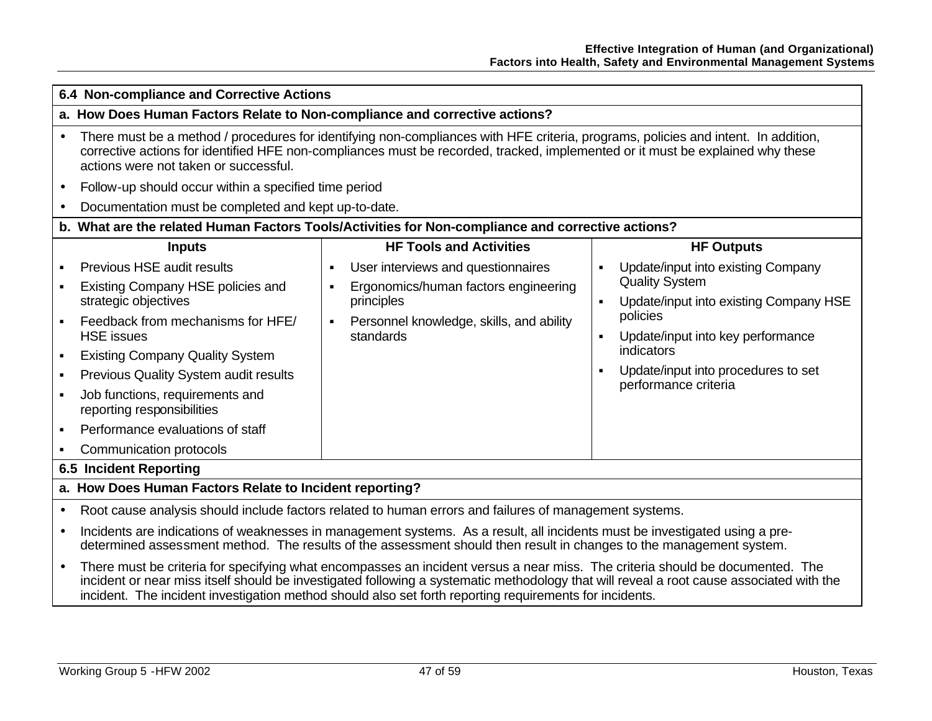|           | 6.4 Non-compliance and Corrective Actions                                                                                                                                                                                                                                                                                                                                            |                                                                                                                                                                                       |                                                                                                                                                                                                                                                                                           |  |  |  |
|-----------|--------------------------------------------------------------------------------------------------------------------------------------------------------------------------------------------------------------------------------------------------------------------------------------------------------------------------------------------------------------------------------------|---------------------------------------------------------------------------------------------------------------------------------------------------------------------------------------|-------------------------------------------------------------------------------------------------------------------------------------------------------------------------------------------------------------------------------------------------------------------------------------------|--|--|--|
|           | a. How Does Human Factors Relate to Non-compliance and corrective actions?                                                                                                                                                                                                                                                                                                           |                                                                                                                                                                                       |                                                                                                                                                                                                                                                                                           |  |  |  |
| $\bullet$ | There must be a method / procedures for identifying non-compliances with HFE criteria, programs, policies and intent. In addition,<br>corrective actions for identified HFE non-compliances must be recorded, tracked, implemented or it must be explained why these<br>actions were not taken or successful.                                                                        |                                                                                                                                                                                       |                                                                                                                                                                                                                                                                                           |  |  |  |
| $\bullet$ | Follow-up should occur within a specified time period                                                                                                                                                                                                                                                                                                                                |                                                                                                                                                                                       |                                                                                                                                                                                                                                                                                           |  |  |  |
|           | Documentation must be completed and kept up-to-date.                                                                                                                                                                                                                                                                                                                                 |                                                                                                                                                                                       |                                                                                                                                                                                                                                                                                           |  |  |  |
|           |                                                                                                                                                                                                                                                                                                                                                                                      | b. What are the related Human Factors Tools/Activities for Non-compliance and corrective actions?                                                                                     |                                                                                                                                                                                                                                                                                           |  |  |  |
|           | <b>Inputs</b>                                                                                                                                                                                                                                                                                                                                                                        | <b>HF Tools and Activities</b>                                                                                                                                                        | <b>HF Outputs</b>                                                                                                                                                                                                                                                                         |  |  |  |
|           | Previous HSE audit results<br>Existing Company HSE policies and<br>strategic objectives<br>Feedback from mechanisms for HFE/<br><b>HSE</b> issues<br><b>Existing Company Quality System</b><br>Previous Quality System audit results<br>Job functions, requirements and<br>reporting responsibilities<br>Performance evaluations of staff                                            | User interviews and questionnaires<br>Ergonomics/human factors engineering<br>$\blacksquare$<br>principles<br>Personnel knowledge, skills, and ability<br>$\blacksquare$<br>standards | Update/input into existing Company<br>$\blacksquare$<br><b>Quality System</b><br>Update/input into existing Company HSE<br>$\blacksquare$<br>policies<br>Update/input into key performance<br>$\blacksquare$<br>indicators<br>Update/input into procedures to set<br>performance criteria |  |  |  |
|           | Communication protocols                                                                                                                                                                                                                                                                                                                                                              |                                                                                                                                                                                       |                                                                                                                                                                                                                                                                                           |  |  |  |
|           | 6.5 Incident Reporting<br>a. How Does Human Factors Relate to Incident reporting?                                                                                                                                                                                                                                                                                                    |                                                                                                                                                                                       |                                                                                                                                                                                                                                                                                           |  |  |  |
|           |                                                                                                                                                                                                                                                                                                                                                                                      |                                                                                                                                                                                       |                                                                                                                                                                                                                                                                                           |  |  |  |
| $\bullet$ |                                                                                                                                                                                                                                                                                                                                                                                      | Root cause analysis should include factors related to human errors and failures of management systems.                                                                                |                                                                                                                                                                                                                                                                                           |  |  |  |
| $\bullet$ | Incidents are indications of weaknesses in management systems. As a result, all incidents must be investigated using a pre-<br>determined assessment method. The results of the assessment should then result in changes to the management system.                                                                                                                                   |                                                                                                                                                                                       |                                                                                                                                                                                                                                                                                           |  |  |  |
| $\bullet$ | There must be criteria for specifying what encompasses an incident versus a near miss. The criteria should be documented. The<br>incident or near miss itself should be investigated following a systematic methodology that will reveal a root cause associated with the<br>incident. The incident investigation method should also set forth reporting requirements for incidents. |                                                                                                                                                                                       |                                                                                                                                                                                                                                                                                           |  |  |  |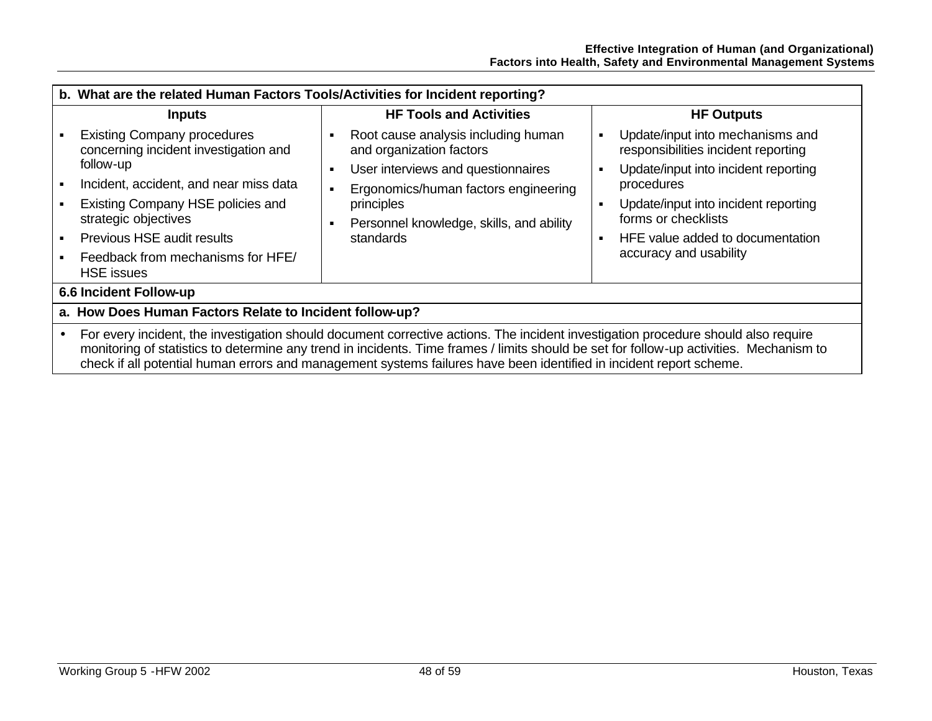|                                                                                                                                                                                                                                                                                                                                                                                                      | b. What are the related Human Factors Tools/Activities for Incident reporting?                                                                                                                                                       |                                                                                                                                                                                                                           |                                                                                                                                                                                                                                                                                                                       |  |  |  |
|------------------------------------------------------------------------------------------------------------------------------------------------------------------------------------------------------------------------------------------------------------------------------------------------------------------------------------------------------------------------------------------------------|--------------------------------------------------------------------------------------------------------------------------------------------------------------------------------------------------------------------------------------|---------------------------------------------------------------------------------------------------------------------------------------------------------------------------------------------------------------------------|-----------------------------------------------------------------------------------------------------------------------------------------------------------------------------------------------------------------------------------------------------------------------------------------------------------------------|--|--|--|
|                                                                                                                                                                                                                                                                                                                                                                                                      | <b>Inputs</b>                                                                                                                                                                                                                        | <b>HF Tools and Activities</b>                                                                                                                                                                                            | <b>HF Outputs</b>                                                                                                                                                                                                                                                                                                     |  |  |  |
| follow-up<br>strategic objectives<br><b>HSE</b> issues                                                                                                                                                                                                                                                                                                                                               | <b>Existing Company procedures</b><br>concerning incident investigation and<br>Incident, accident, and near miss data<br>Existing Company HSE policies and<br><b>Previous HSE audit results</b><br>Feedback from mechanisms for HFE/ | Root cause analysis including human<br>and organization factors<br>User interviews and questionnaires<br>Ergonomics/human factors engineering<br>principles<br>Personnel knowledge, skills, and ability<br>л<br>standards | Update/input into mechanisms and<br>$\blacksquare$<br>responsibilities incident reporting<br>Update/input into incident reporting<br>п<br>procedures<br>Update/input into incident reporting<br>$\blacksquare$<br>forms or checklists<br>HFE value added to documentation<br>$\blacksquare$<br>accuracy and usability |  |  |  |
| 6.6 Incident Follow-up                                                                                                                                                                                                                                                                                                                                                                               |                                                                                                                                                                                                                                      |                                                                                                                                                                                                                           |                                                                                                                                                                                                                                                                                                                       |  |  |  |
|                                                                                                                                                                                                                                                                                                                                                                                                      | a. How Does Human Factors Relate to Incident follow-up?                                                                                                                                                                              |                                                                                                                                                                                                                           |                                                                                                                                                                                                                                                                                                                       |  |  |  |
| For every incident, the investigation should document corrective actions. The incident investigation procedure should also require<br>monitoring of statistics to determine any trend in incidents. Time frames / limits should be set for follow-up activities. Mechanism to<br>check if all potential human errors and management systems failures have been identified in incident report scheme. |                                                                                                                                                                                                                                      |                                                                                                                                                                                                                           |                                                                                                                                                                                                                                                                                                                       |  |  |  |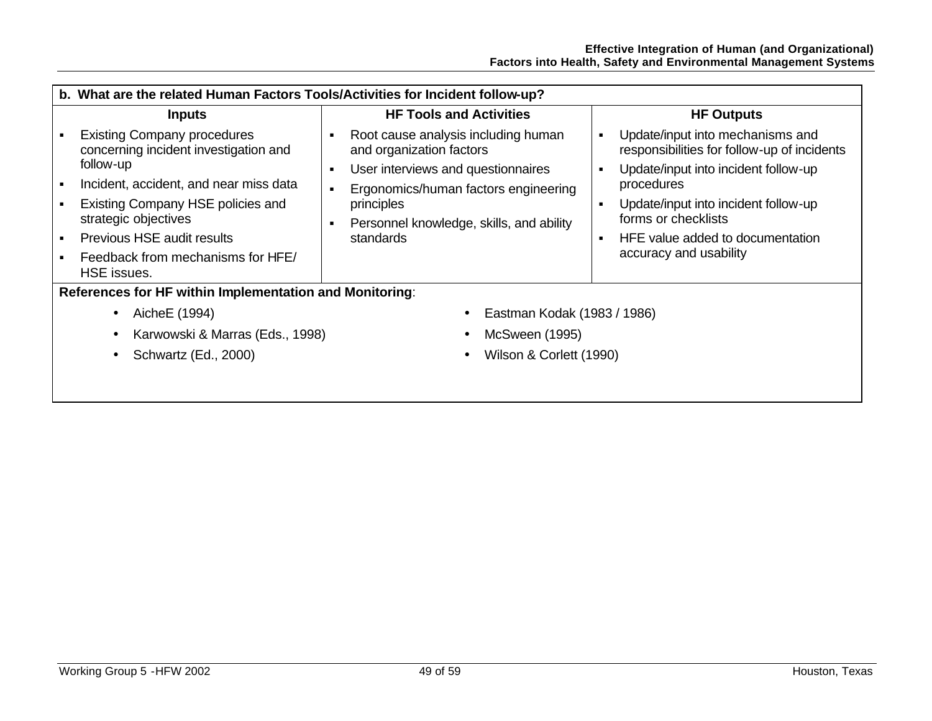|                                                         | b. What are the related Human Factors Tools/Activities for Incident follow-up?                                                                                                                                                                                                    |                                                                                                                                                                                                                           |                                                                                                                                                                                                                                                                                                             |  |  |  |
|---------------------------------------------------------|-----------------------------------------------------------------------------------------------------------------------------------------------------------------------------------------------------------------------------------------------------------------------------------|---------------------------------------------------------------------------------------------------------------------------------------------------------------------------------------------------------------------------|-------------------------------------------------------------------------------------------------------------------------------------------------------------------------------------------------------------------------------------------------------------------------------------------------------------|--|--|--|
|                                                         | <b>Inputs</b>                                                                                                                                                                                                                                                                     | <b>HF Tools and Activities</b>                                                                                                                                                                                            | <b>HF Outputs</b>                                                                                                                                                                                                                                                                                           |  |  |  |
|                                                         | <b>Existing Company procedures</b><br>concerning incident investigation and<br>follow-up<br>Incident, accident, and near miss data<br>Existing Company HSE policies and<br>strategic objectives<br>Previous HSE audit results<br>Feedback from mechanisms for HFE/<br>HSE issues. | Root cause analysis including human<br>and organization factors<br>User interviews and questionnaires<br>л<br>Ergonomics/human factors engineering<br>principles<br>Personnel knowledge, skills, and ability<br>standards | Update/input into mechanisms and<br>responsibilities for follow-up of incidents<br>Update/input into incident follow-up<br>$\blacksquare$<br>procedures<br>Update/input into incident follow-up<br>٠<br>forms or checklists<br>HFE value added to documentation<br>$\blacksquare$<br>accuracy and usability |  |  |  |
| References for HF within Implementation and Monitoring: |                                                                                                                                                                                                                                                                                   |                                                                                                                                                                                                                           |                                                                                                                                                                                                                                                                                                             |  |  |  |
|                                                         | AicheE (1994)<br>$\bullet$                                                                                                                                                                                                                                                        | Eastman Kodak (1983 / 1986)                                                                                                                                                                                               |                                                                                                                                                                                                                                                                                                             |  |  |  |
| Karwowski & Marras (Eds., 1998)                         |                                                                                                                                                                                                                                                                                   | McSween (1995)                                                                                                                                                                                                            |                                                                                                                                                                                                                                                                                                             |  |  |  |
|                                                         | Schwartz (Ed., 2000)                                                                                                                                                                                                                                                              | Wilson & Corlett (1990)                                                                                                                                                                                                   |                                                                                                                                                                                                                                                                                                             |  |  |  |
|                                                         |                                                                                                                                                                                                                                                                                   |                                                                                                                                                                                                                           |                                                                                                                                                                                                                                                                                                             |  |  |  |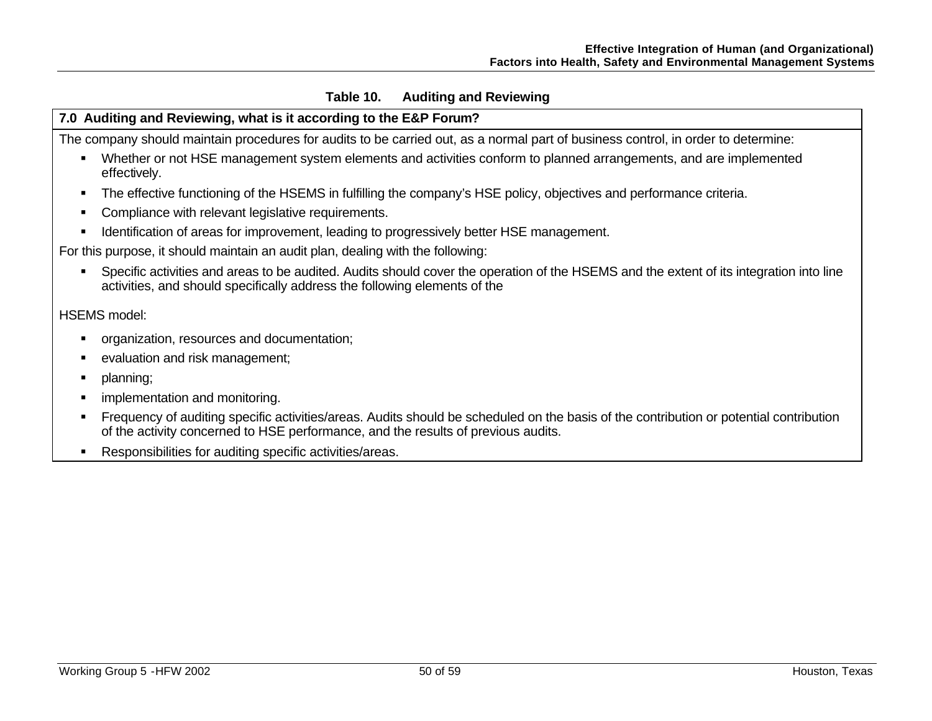## **Table 10. Auditing and Reviewing**

## **7.0 Auditing and Reviewing, what is it according to the E&P Forum?**

The company should maintain procedures for audits to be carried out, as a normal part of business control, in order to determine:

- Whether or not HSE management system elements and activities conform to planned arrangements, and are implemented effectively.
- The effective functioning of the HSEMS in fulfilling the company's HSE policy, objectives and performance criteria.
- **Compliance with relevant legislative requirements.**
- **IDENTIFICATION IS IDENT IS IDENT** Identification of areas for improvement, leading to progressively better HSE management.

For this purpose, it should maintain an audit plan, dealing with the following:

**Specific activities and areas to be audited.** Audits should cover the operation of the HSEMS and the extent of its integration into line activities, and should specifically address the following elements of the

## HSEMS model:

- **•** organization, resources and documentation;
- evaluation and risk management;
- planning;
- implementation and monitoring.
- ß Frequency of auditing specific activities/areas. Audits should be scheduled on the basis of the contribution or potential contribution of the activity concerned to HSE performance, and the results of previous audits.
- **Responsibilities for auditing specific activities/areas.**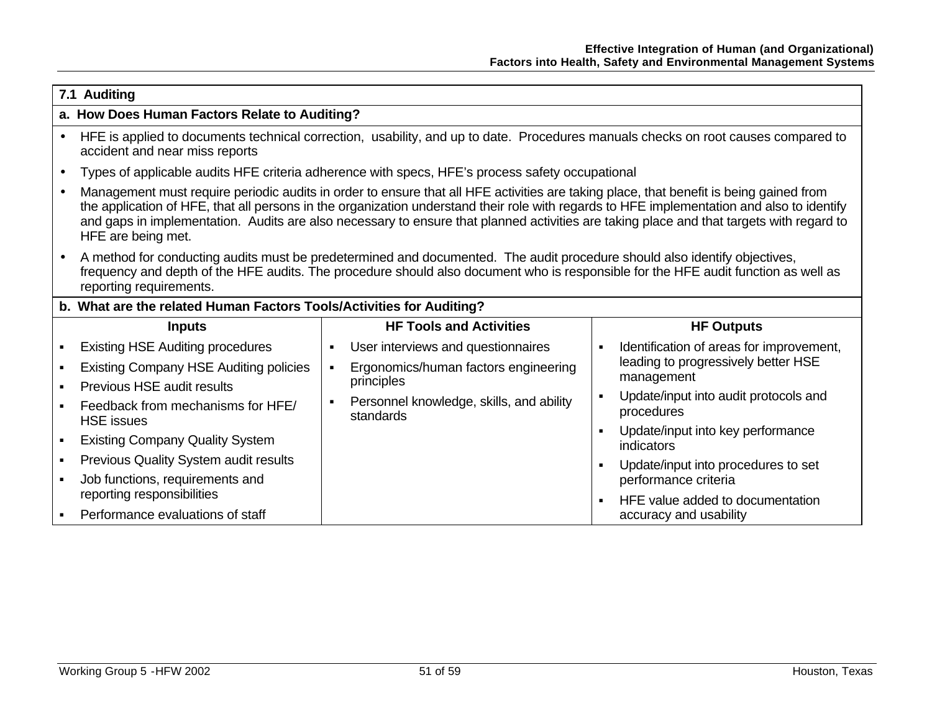|           | 7.1 Auditing                                                                                                                                                                                                                                                                                                                                                                                                                                           |                |                                                                                                 |                |                                                          |  |
|-----------|--------------------------------------------------------------------------------------------------------------------------------------------------------------------------------------------------------------------------------------------------------------------------------------------------------------------------------------------------------------------------------------------------------------------------------------------------------|----------------|-------------------------------------------------------------------------------------------------|----------------|----------------------------------------------------------|--|
|           | a. How Does Human Factors Relate to Auditing?                                                                                                                                                                                                                                                                                                                                                                                                          |                |                                                                                                 |                |                                                          |  |
| $\bullet$ | HFE is applied to documents technical correction, usability, and up to date. Procedures manuals checks on root causes compared to<br>accident and near miss reports                                                                                                                                                                                                                                                                                    |                |                                                                                                 |                |                                                          |  |
| $\bullet$ |                                                                                                                                                                                                                                                                                                                                                                                                                                                        |                | Types of applicable audits HFE criteria adherence with specs, HFE's process safety occupational |                |                                                          |  |
|           | Management must require periodic audits in order to ensure that all HFE activities are taking place, that benefit is being gained from<br>the application of HFE, that all persons in the organization understand their role with regards to HFE implementation and also to identify<br>and gaps in implementation. Audits are also necessary to ensure that planned activities are taking place and that targets with regard to<br>HFE are being met. |                |                                                                                                 |                |                                                          |  |
|           | A method for conducting audits must be predetermined and documented. The audit procedure should also identify objectives,<br>frequency and depth of the HFE audits. The procedure should also document who is responsible for the HFE audit function as well as<br>reporting requirements.                                                                                                                                                             |                |                                                                                                 |                |                                                          |  |
|           | b. What are the related Human Factors Tools/Activities for Auditing?                                                                                                                                                                                                                                                                                                                                                                                   |                |                                                                                                 |                |                                                          |  |
|           | <b>Inputs</b>                                                                                                                                                                                                                                                                                                                                                                                                                                          |                | <b>HF Tools and Activities</b>                                                                  |                | <b>HF Outputs</b>                                        |  |
|           | <b>Existing HSE Auditing procedures</b>                                                                                                                                                                                                                                                                                                                                                                                                                | $\blacksquare$ | User interviews and questionnaires                                                              | $\blacksquare$ | Identification of areas for improvement,                 |  |
| ٠         | <b>Existing Company HSE Auditing policies</b>                                                                                                                                                                                                                                                                                                                                                                                                          |                | Ergonomics/human factors engineering                                                            |                | leading to progressively better HSE                      |  |
|           | Previous HSE audit results                                                                                                                                                                                                                                                                                                                                                                                                                             |                | principles                                                                                      | $\blacksquare$ | management<br>Update/input into audit protocols and      |  |
|           | Feedback from mechanisms for HFE/<br><b>HSE</b> issues                                                                                                                                                                                                                                                                                                                                                                                                 | $\blacksquare$ | Personnel knowledge, skills, and ability<br>standards                                           |                | procedures                                               |  |
|           | <b>Existing Company Quality System</b>                                                                                                                                                                                                                                                                                                                                                                                                                 |                |                                                                                                 | ٠              | Update/input into key performance<br>indicators          |  |
| ٠         | Previous Quality System audit results                                                                                                                                                                                                                                                                                                                                                                                                                  |                |                                                                                                 | $\blacksquare$ | Update/input into procedures to set                      |  |
|           | Job functions, requirements and<br>reporting responsibilities                                                                                                                                                                                                                                                                                                                                                                                          |                |                                                                                                 |                | performance criteria<br>HFE value added to documentation |  |
|           | Performance evaluations of staff                                                                                                                                                                                                                                                                                                                                                                                                                       |                |                                                                                                 |                | accuracy and usability                                   |  |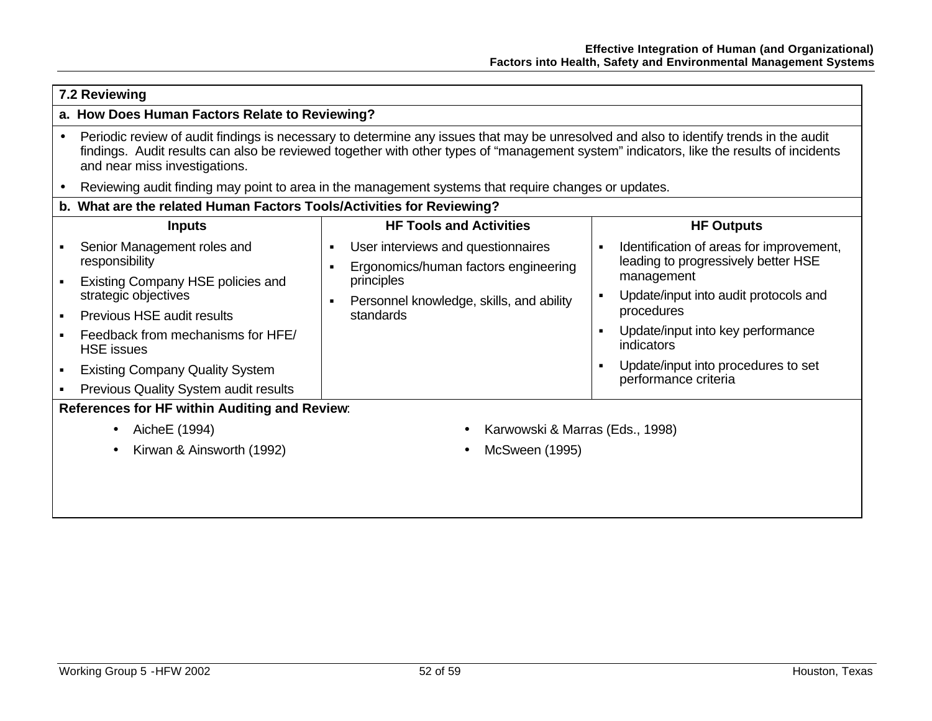| 7.2 Reviewing |                                                                                                                                                                                                                                                                                                                    |                                                                                                      |                                                                                                   |  |  |  |
|---------------|--------------------------------------------------------------------------------------------------------------------------------------------------------------------------------------------------------------------------------------------------------------------------------------------------------------------|------------------------------------------------------------------------------------------------------|---------------------------------------------------------------------------------------------------|--|--|--|
|               | a. How Does Human Factors Relate to Reviewing?                                                                                                                                                                                                                                                                     |                                                                                                      |                                                                                                   |  |  |  |
|               | Periodic review of audit findings is necessary to determine any issues that may be unresolved and also to identify trends in the audit<br>findings. Audit results can also be reviewed together with other types of "management system" indicators, like the results of incidents<br>and near miss investigations. |                                                                                                      |                                                                                                   |  |  |  |
|               |                                                                                                                                                                                                                                                                                                                    | Reviewing audit finding may point to area in the management systems that require changes or updates. |                                                                                                   |  |  |  |
|               | b. What are the related Human Factors Tools/Activities for Reviewing?                                                                                                                                                                                                                                              |                                                                                                      |                                                                                                   |  |  |  |
|               | <b>Inputs</b>                                                                                                                                                                                                                                                                                                      | <b>HF Tools and Activities</b>                                                                       | <b>HF Outputs</b>                                                                                 |  |  |  |
|               | Senior Management roles and<br>responsibility                                                                                                                                                                                                                                                                      | User interviews and questionnaires<br>$\blacksquare$<br>Ergonomics/human factors engineering         | Identification of areas for improvement,<br>$\blacksquare$<br>leading to progressively better HSE |  |  |  |
|               | Existing Company HSE policies and<br>strategic objectives                                                                                                                                                                                                                                                          | principles<br>Personnel knowledge, skills, and ability<br>$\blacksquare$                             | management<br>Update/input into audit protocols and<br>$\blacksquare$                             |  |  |  |
|               | Previous HSE audit results                                                                                                                                                                                                                                                                                         | standards                                                                                            | procedures                                                                                        |  |  |  |
|               | Feedback from mechanisms for HFE/<br><b>HSE</b> issues                                                                                                                                                                                                                                                             |                                                                                                      | Update/input into key performance<br>$\blacksquare$<br>indicators                                 |  |  |  |
|               | <b>Existing Company Quality System</b>                                                                                                                                                                                                                                                                             |                                                                                                      | Update/input into procedures to set<br>٠<br>performance criteria                                  |  |  |  |
| ٠             | Previous Quality System audit results                                                                                                                                                                                                                                                                              |                                                                                                      |                                                                                                   |  |  |  |
|               | References for HF within Auditing and Review:                                                                                                                                                                                                                                                                      |                                                                                                      |                                                                                                   |  |  |  |
|               | Aiche E (1994)<br>$\bullet$                                                                                                                                                                                                                                                                                        | Karwowski & Marras (Eds., 1998)                                                                      |                                                                                                   |  |  |  |
|               | Kirwan & Ainsworth (1992)                                                                                                                                                                                                                                                                                          | McSween (1995)                                                                                       |                                                                                                   |  |  |  |
|               |                                                                                                                                                                                                                                                                                                                    |                                                                                                      |                                                                                                   |  |  |  |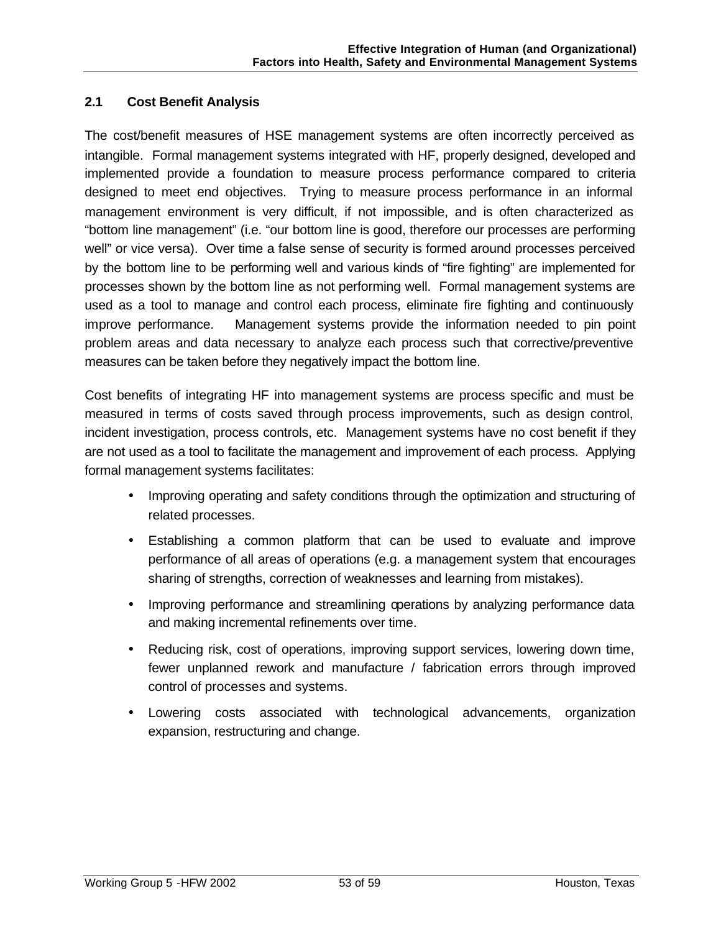## **2.1 Cost Benefit Analysis**

The cost/benefit measures of HSE management systems are often incorrectly perceived as intangible. Formal management systems integrated with HF, properly designed, developed and implemented provide a foundation to measure process performance compared to criteria designed to meet end objectives. Trying to measure process performance in an informal management environment is very difficult, if not impossible, and is often characterized as "bottom line management" (i.e. "our bottom line is good, therefore our processes are performing well" or vice versa). Over time a false sense of security is formed around processes perceived by the bottom line to be performing well and various kinds of "fire fighting" are implemented for processes shown by the bottom line as not performing well. Formal management systems are used as a tool to manage and control each process, eliminate fire fighting and continuously improve performance. Management systems provide the information needed to pin point problem areas and data necessary to analyze each process such that corrective/preventive measures can be taken before they negatively impact the bottom line.

Cost benefits of integrating HF into management systems are process specific and must be measured in terms of costs saved through process improvements, such as design control, incident investigation, process controls, etc. Management systems have no cost benefit if they are not used as a tool to facilitate the management and improvement of each process. Applying formal management systems facilitates:

- Improving operating and safety conditions through the optimization and structuring of related processes.
- Establishing a common platform that can be used to evaluate and improve performance of all areas of operations (e.g. a management system that encourages sharing of strengths, correction of weaknesses and learning from mistakes).
- Improving performance and streamlining operations by analyzing performance data and making incremental refinements over time.
- Reducing risk, cost of operations, improving support services, lowering down time, fewer unplanned rework and manufacture / fabrication errors through improved control of processes and systems.
- Lowering costs associated with technological advancements, organization expansion, restructuring and change.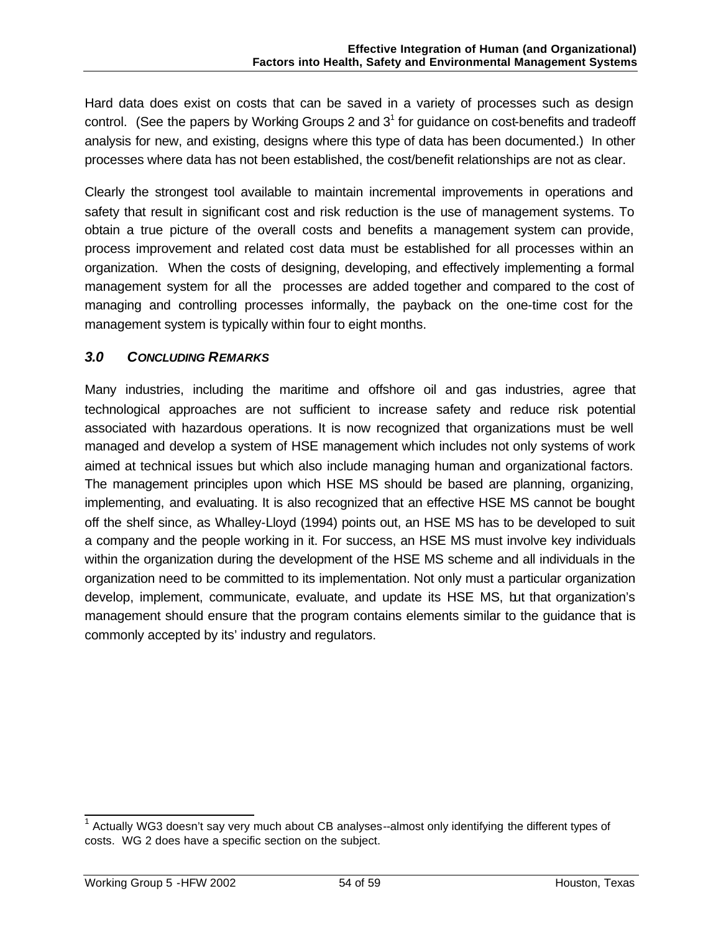Hard data does exist on costs that can be saved in a variety of processes such as design control. (See the papers by Working Groups 2 and  $3<sup>1</sup>$  for guidance on cost-benefits and tradeoff analysis for new, and existing, designs where this type of data has been documented.) In other processes where data has not been established, the cost/benefit relationships are not as clear.

Clearly the strongest tool available to maintain incremental improvements in operations and safety that result in significant cost and risk reduction is the use of management systems. To obtain a true picture of the overall costs and benefits a management system can provide, process improvement and related cost data must be established for all processes within an organization. When the costs of designing, developing, and effectively implementing a formal management system for all the processes are added together and compared to the cost of managing and controlling processes informally, the payback on the one-time cost for the management system is typically within four to eight months.

## *3.0 CONCLUDING REMARKS*

Many industries, including the maritime and offshore oil and gas industries, agree that technological approaches are not sufficient to increase safety and reduce risk potential associated with hazardous operations. It is now recognized that organizations must be well managed and develop a system of HSE management which includes not only systems of work aimed at technical issues but which also include managing human and organizational factors. The management principles upon which HSE MS should be based are planning, organizing, implementing, and evaluating. It is also recognized that an effective HSE MS cannot be bought off the shelf since, as Whalley-Lloyd (1994) points out, an HSE MS has to be developed to suit a company and the people working in it. For success, an HSE MS must involve key individuals within the organization during the development of the HSE MS scheme and all individuals in the organization need to be committed to its implementation. Not only must a particular organization develop, implement, communicate, evaluate, and update its HSE MS, but that organization's management should ensure that the program contains elements similar to the guidance that is commonly accepted by its' industry and regulators.

 1 Actually WG3 doesn't say very much about CB analyses--almost only identifying the different types of costs. WG 2 does have a specific section on the subject.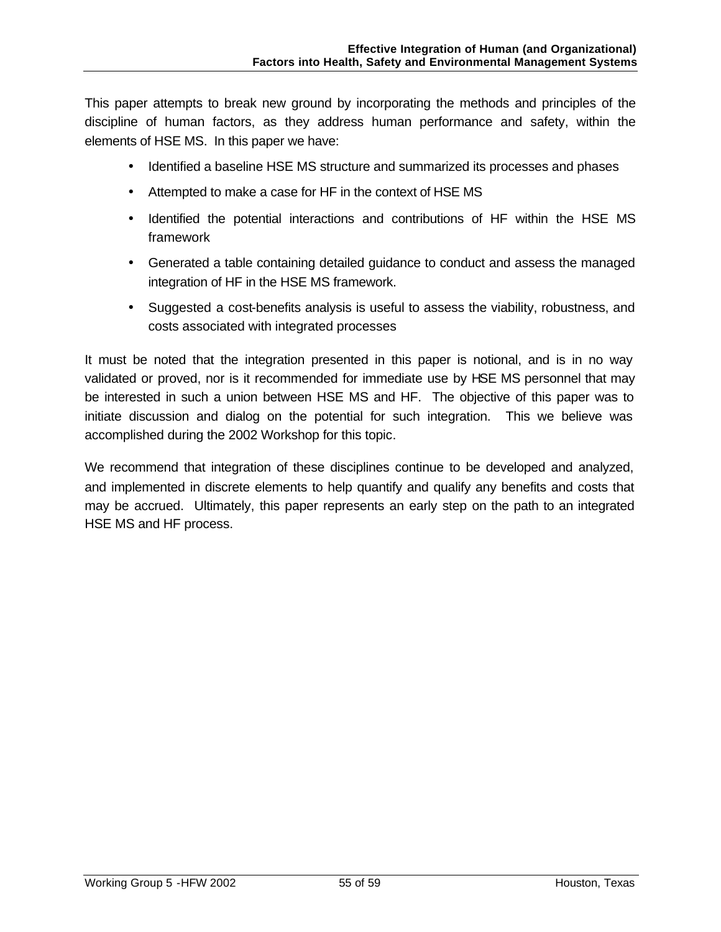This paper attempts to break new ground by incorporating the methods and principles of the discipline of human factors, as they address human performance and safety, within the elements of HSE MS. In this paper we have:

- Identified a baseline HSE MS structure and summarized its processes and phases
- Attempted to make a case for HF in the context of HSE MS
- Identified the potential interactions and contributions of HF within the HSE MS framework
- Generated a table containing detailed guidance to conduct and assess the managed integration of HF in the HSE MS framework.
- Suggested a cost-benefits analysis is useful to assess the viability, robustness, and costs associated with integrated processes

It must be noted that the integration presented in this paper is notional, and is in no way validated or proved, nor is it recommended for immediate use by HSE MS personnel that may be interested in such a union between HSE MS and HF. The objective of this paper was to initiate discussion and dialog on the potential for such integration. This we believe was accomplished during the 2002 Workshop for this topic.

We recommend that integration of these disciplines continue to be developed and analyzed, and implemented in discrete elements to help quantify and qualify any benefits and costs that may be accrued. Ultimately, this paper represents an early step on the path to an integrated HSE MS and HF process.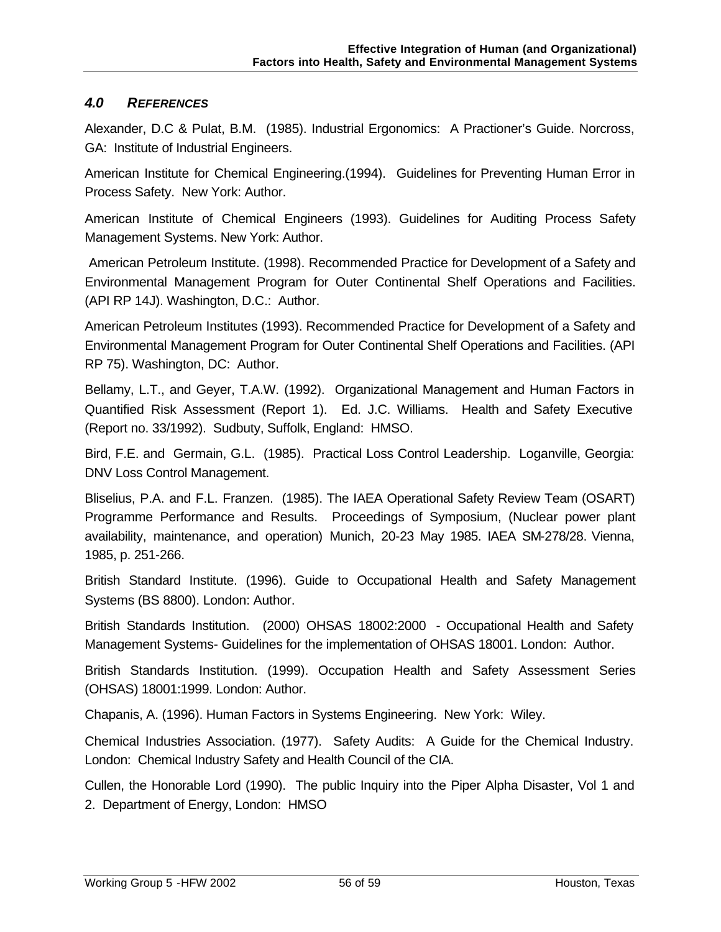## *4.0 REFERENCES*

Alexander, D.C & Pulat, B.M. (1985). Industrial Ergonomics: A Practioner's Guide. Norcross, GA: Institute of Industrial Engineers.

American Institute for Chemical Engineering.(1994). Guidelines for Preventing Human Error in Process Safety. New York: Author.

American Institute of Chemical Engineers (1993). Guidelines for Auditing Process Safety Management Systems. New York: Author.

 American Petroleum Institute. (1998). Recommended Practice for Development of a Safety and Environmental Management Program for Outer Continental Shelf Operations and Facilities. (API RP 14J). Washington, D.C.: Author.

American Petroleum Institutes (1993). Recommended Practice for Development of a Safety and Environmental Management Program for Outer Continental Shelf Operations and Facilities. (API RP 75). Washington, DC: Author.

Bellamy, L.T., and Geyer, T.A.W. (1992). Organizational Management and Human Factors in Quantified Risk Assessment (Report 1). Ed. J.C. Williams. Health and Safety Executive (Report no. 33/1992). Sudbuty, Suffolk, England: HMSO.

Bird, F.E. and Germain, G.L. (1985). Practical Loss Control Leadership. Loganville, Georgia: DNV Loss Control Management.

Bliselius, P.A. and F.L. Franzen. (1985). The IAEA Operational Safety Review Team (OSART) Programme Performance and Results. Proceedings of Symposium, (Nuclear power plant availability, maintenance, and operation) Munich, 20-23 May 1985. IAEA SM-278/28. Vienna, 1985, p. 251-266.

British Standard Institute. (1996). Guide to Occupational Health and Safety Management Systems (BS 8800). London: Author.

British Standards Institution. (2000) OHSAS 18002:2000 - Occupational Health and Safety Management Systems- Guidelines for the implementation of OHSAS 18001. London: Author.

British Standards Institution. (1999). Occupation Health and Safety Assessment Series (OHSAS) 18001:1999. London: Author.

Chapanis, A. (1996). Human Factors in Systems Engineering. New York: Wiley.

Chemical Industries Association. (1977). Safety Audits: A Guide for the Chemical Industry. London: Chemical Industry Safety and Health Council of the CIA.

Cullen, the Honorable Lord (1990). The public Inquiry into the Piper Alpha Disaster, Vol 1 and 2. Department of Energy, London: HMSO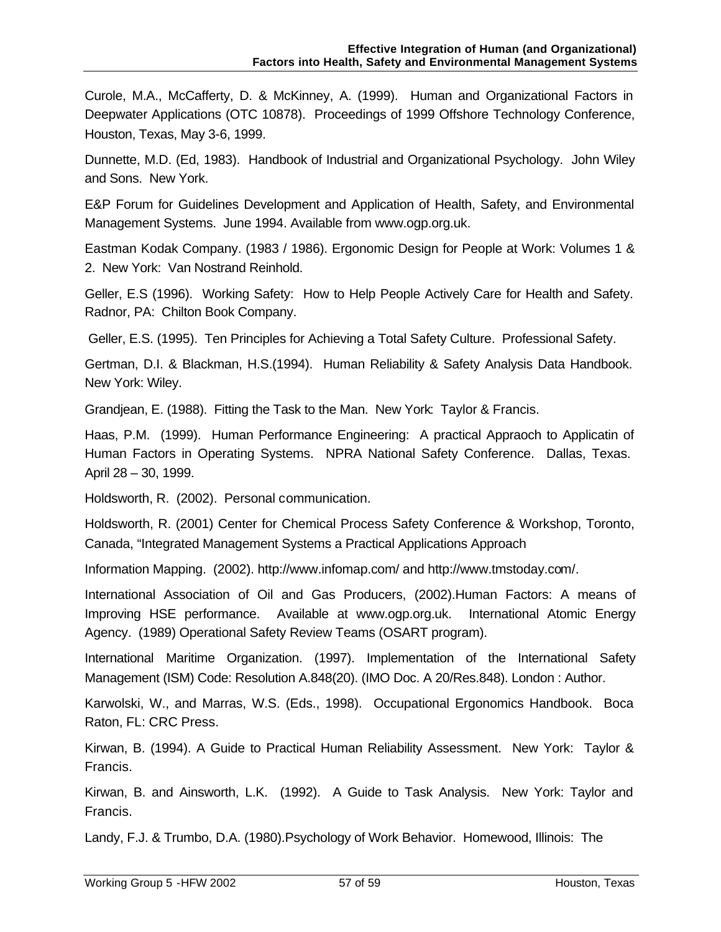Curole, M.A., McCafferty, D. & McKinney, A. (1999). Human and Organizational Factors in Deepwater Applications (OTC 10878). Proceedings of 1999 Offshore Technology Conference, Houston, Texas, May 3-6, 1999.

Dunnette, M.D. (Ed, 1983). Handbook of Industrial and Organizational Psychology. John Wiley and Sons. New York.

E&P Forum for Guidelines Development and Application of Health, Safety, and Environmental Management Systems. June 1994. Available from www.ogp.org.uk.

Eastman Kodak Company. (1983 / 1986). Ergonomic Design for People at Work: Volumes 1 & 2. New York: Van Nostrand Reinhold.

Geller, E.S (1996). Working Safety: How to Help People Actively Care for Health and Safety. Radnor, PA: Chilton Book Company.

Geller, E.S. (1995). Ten Principles for Achieving a Total Safety Culture. Professional Safety.

Gertman, D.I. & Blackman, H.S.(1994). Human Reliability & Safety Analysis Data Handbook. New York: Wiley.

Grandjean, E. (1988). Fitting the Task to the Man. New York: Taylor & Francis.

Haas, P.M. (1999). Human Performance Engineering: A practical Appraoch to Applicatin of Human Factors in Operating Systems. NPRA National Safety Conference. Dallas, Texas. April 28 – 30, 1999.

Holdsworth, R. (2002). Personal communication.

Holdsworth, R. (2001) Center for Chemical Process Safety Conference & Workshop, Toronto, Canada, "Integrated Management Systems a Practical Applications Approach

Information Mapping. (2002). http://www.infomap.com/ and http://www.tmstoday.com/.

International Association of Oil and Gas Producers, (2002).Human Factors: A means of Improving HSE performance. Available at www.ogp.org.uk. International Atomic Energy Agency. (1989) Operational Safety Review Teams (OSART program).

International Maritime Organization. (1997). Implementation of the International Safety Management (ISM) Code: Resolution A.848(20). (IMO Doc. A 20/Res.848). London : Author.

Karwolski, W., and Marras, W.S. (Eds., 1998). Occupational Ergonomics Handbook. Boca Raton, FL: CRC Press.

Kirwan, B. (1994). A Guide to Practical Human Reliability Assessment. New York: Taylor & Francis.

Kirwan, B. and Ainsworth, L.K. (1992). A Guide to Task Analysis. New York: Taylor and Francis.

Landy, F.J. & Trumbo, D.A. (1980).Psychology of Work Behavior. Homewood, Illinois: The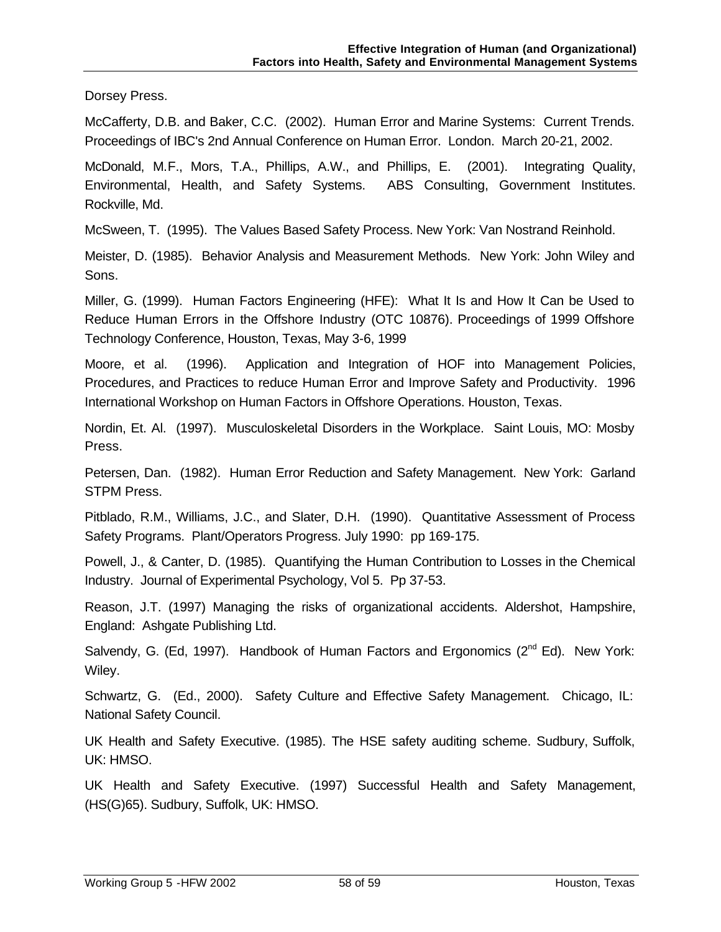Dorsey Press.

McCafferty, D.B. and Baker, C.C. (2002). Human Error and Marine Systems: Current Trends. Proceedings of IBC's 2nd Annual Conference on Human Error. London. March 20-21, 2002.

McDonald, M.F., Mors, T.A., Phillips, A.W., and Phillips, E. (2001). Integrating Quality, Environmental, Health, and Safety Systems. ABS Consulting, Government Institutes. Rockville, Md.

McSween, T. (1995). The Values Based Safety Process. New York: Van Nostrand Reinhold.

Meister, D. (1985). Behavior Analysis and Measurement Methods. New York: John Wiley and Sons.

Miller, G. (1999). Human Factors Engineering (HFE): What It Is and How It Can be Used to Reduce Human Errors in the Offshore Industry (OTC 10876). Proceedings of 1999 Offshore Technology Conference, Houston, Texas, May 3-6, 1999

Moore, et al. (1996). Application and Integration of HOF into Management Policies, Procedures, and Practices to reduce Human Error and Improve Safety and Productivity. 1996 International Workshop on Human Factors in Offshore Operations. Houston, Texas.

Nordin, Et. Al. (1997). Musculoskeletal Disorders in the Workplace. Saint Louis, MO: Mosby Press.

Petersen, Dan. (1982). Human Error Reduction and Safety Management. New York: Garland STPM Press.

Pitblado, R.M., Williams, J.C., and Slater, D.H. (1990). Quantitative Assessment of Process Safety Programs. Plant/Operators Progress. July 1990: pp 169-175.

Powell, J., & Canter, D. (1985). Quantifying the Human Contribution to Losses in the Chemical Industry. Journal of Experimental Psychology, Vol 5. Pp 37-53.

Reason, J.T. (1997) Managing the risks of organizational accidents. Aldershot, Hampshire, England: Ashgate Publishing Ltd.

Salvendy, G. (Ed, 1997). Handbook of Human Factors and Ergonomics ( $2^{nd}$  Ed). New York: Wiley.

Schwartz, G. (Ed., 2000). Safety Culture and Effective Safety Management. Chicago, IL: National Safety Council.

UK Health and Safety Executive. (1985). The HSE safety auditing scheme. Sudbury, Suffolk, UK: HMSO.

UK Health and Safety Executive. (1997) Successful Health and Safety Management, (HS(G)65). Sudbury, Suffolk, UK: HMSO.